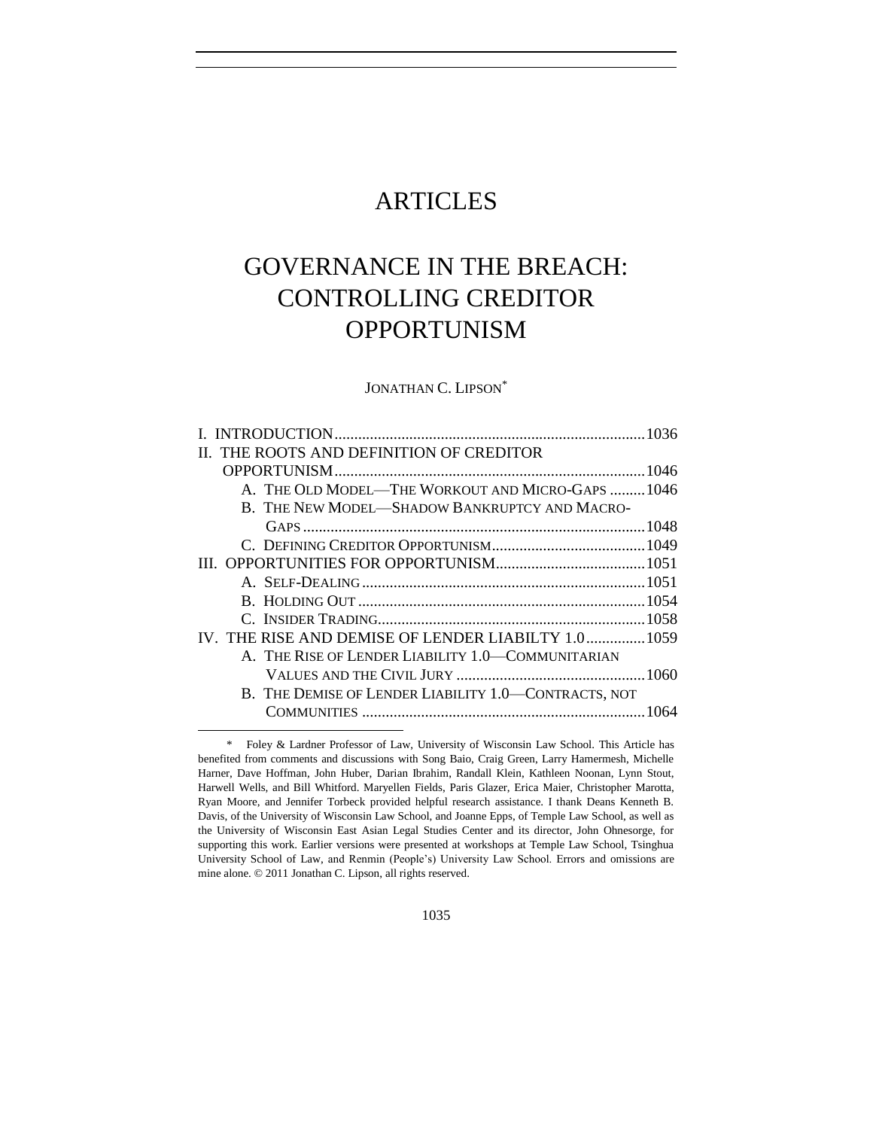## ARTICLES

# GOVERNANCE IN THE BREACH: CONTROLLING CREDITOR OPPORTUNISM

JONATHAN C. LIPSON\*

|  | II. THE ROOTS AND DEFINITION OF CREDITOR             |  |
|--|------------------------------------------------------|--|
|  |                                                      |  |
|  | A. THE OLD MODEL—THE WORKOUT AND MICRO-GAPS 1046     |  |
|  | B. THE NEW MODEL—SHADOW BANKRUPTCY AND MACRO-        |  |
|  |                                                      |  |
|  |                                                      |  |
|  |                                                      |  |
|  |                                                      |  |
|  |                                                      |  |
|  |                                                      |  |
|  | IV. THE RISE AND DEMISE OF LENDER LIABILTY 1.0 1059  |  |
|  | A. THE RISE OF LENDER LIABILITY 1.0-COMMUNITARIAN    |  |
|  |                                                      |  |
|  | B. THE DEMISE OF LENDER LIABILITY 1.0-CONTRACTS, NOT |  |
|  |                                                      |  |

<sup>\*</sup> Foley & Lardner Professor of Law, University of Wisconsin Law School. This Article has benefited from comments and discussions with Song Baio, Craig Green, Larry Hamermesh, Michelle Harner, Dave Hoffman, John Huber, Darian Ibrahim, Randall Klein, Kathleen Noonan, Lynn Stout, Harwell Wells, and Bill Whitford. Maryellen Fields, Paris Glazer, Erica Maier, Christopher Marotta, Ryan Moore, and Jennifer Torbeck provided helpful research assistance. I thank Deans Kenneth B. Davis, of the University of Wisconsin Law School, and Joanne Epps, of Temple Law School, as well as the University of Wisconsin East Asian Legal Studies Center and its director, John Ohnesorge, for supporting this work. Earlier versions were presented at workshops at Temple Law School, Tsinghua University School of Law, and Renmin (People's) University Law School. Errors and omissions are mine alone. © 2011 Jonathan C. Lipson, all rights reserved.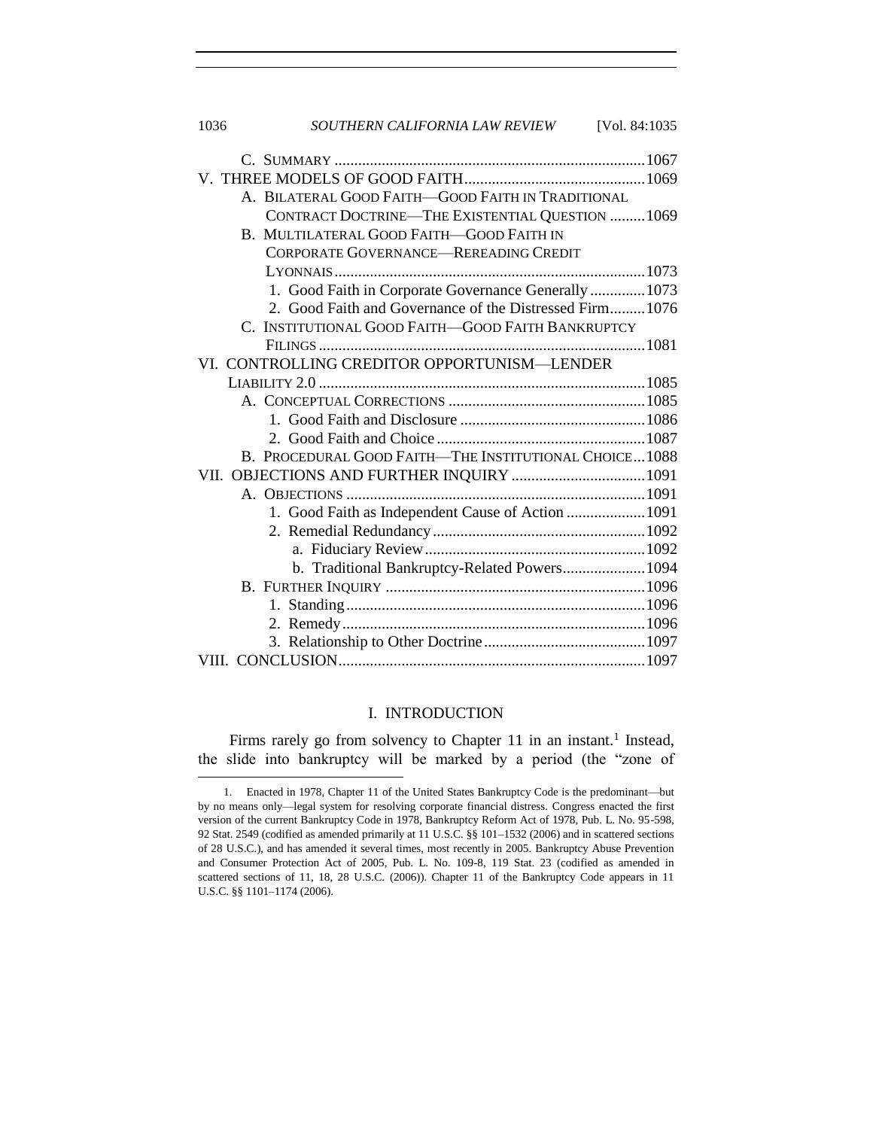| SOUTHERN CALIFORNIA LAW REVIEW<br>1036<br>[Vol. 84:1035] |  |  |  |
|----------------------------------------------------------|--|--|--|
|                                                          |  |  |  |
|                                                          |  |  |  |
| A. BILATERAL GOOD FAITH-GOOD FAITH IN TRADITIONAL        |  |  |  |
| CONTRACT DOCTRINE-THE EXISTENTIAL QUESTION 1069          |  |  |  |
| B. MULTILATERAL GOOD FAITH-GOOD FAITH IN                 |  |  |  |
| <b>CORPORATE GOVERNANCE-REREADING CREDIT</b>             |  |  |  |
|                                                          |  |  |  |
| 1. Good Faith in Corporate Governance Generally1073      |  |  |  |
| 2. Good Faith and Governance of the Distressed Firm1076  |  |  |  |
| C. INSTITUTIONAL GOOD FAITH-GOOD FAITH BANKRUPTCY        |  |  |  |
|                                                          |  |  |  |
| VI. CONTROLLING CREDITOR OPPORTUNISM-LENDER              |  |  |  |
|                                                          |  |  |  |
|                                                          |  |  |  |
|                                                          |  |  |  |
|                                                          |  |  |  |
| B. PROCEDURAL GOOD FAITH-THE INSTITUTIONAL CHOICE 1088   |  |  |  |
| VII. OBJECTIONS AND FURTHER INQUIRY  1091                |  |  |  |
|                                                          |  |  |  |
| 1. Good Faith as Independent Cause of Action 1091        |  |  |  |
|                                                          |  |  |  |
|                                                          |  |  |  |
| b. Traditional Bankruptcy-Related Powers 1094            |  |  |  |
|                                                          |  |  |  |
|                                                          |  |  |  |
|                                                          |  |  |  |
|                                                          |  |  |  |
|                                                          |  |  |  |

## I. INTRODUCTION

<span id="page-1-0"></span>Firms rarely go from solvency to Chapter 11 in an instant.<sup>1</sup> Instead, the slide into bankruptcy will be marked by a period (the "zone of

<sup>1.</sup> Enacted in 1978, Chapter 11 of the United States Bankruptcy Code is the predominant—but by no means only—legal system for resolving corporate financial distress. Congress enacted the first version of the current Bankruptcy Code in 1978, Bankruptcy Reform Act of 1978, Pub. L. No. 95-598, 92 Stat. 2549 (codified as amended primarily at 11 U.S.C. §§ 101–1532 (2006) and in scattered sections of 28 U.S.C.), and has amended it several times, most recently in 2005. Bankruptcy Abuse Prevention and Consumer Protection Act of 2005, Pub. L. No. 109-8, 119 Stat. 23 (codified as amended in scattered sections of 11, 18, 28 U.S.C. (2006)). Chapter 11 of the Bankruptcy Code appears in 11 U.S.C. §§ 1101–1174 (2006).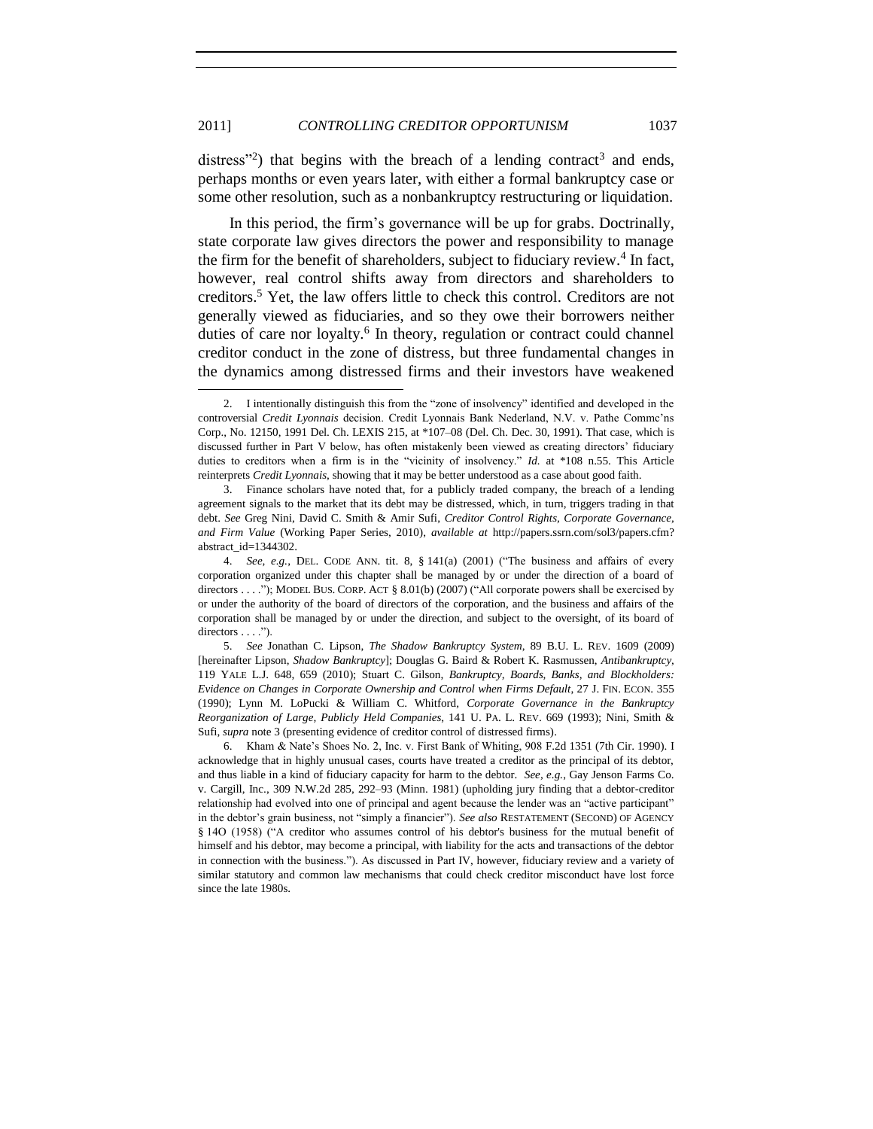<span id="page-2-2"></span>l

<span id="page-2-0"></span>distress"<sup>2</sup>) that begins with the breach of a lending contract<sup>3</sup> and ends, perhaps months or even years later, with either a formal bankruptcy case or some other resolution, such as a nonbankruptcy restructuring or liquidation.

<span id="page-2-1"></span>In this period, the firm's governance will be up for grabs. Doctrinally, state corporate law gives directors the power and responsibility to manage the firm for the benefit of shareholders, subject to fiduciary review.<sup>4</sup> In fact, however, real control shifts away from directors and shareholders to creditors.<sup>5</sup> Yet, the law offers little to check this control. Creditors are not generally viewed as fiduciaries, and so they owe their borrowers neither duties of care nor loyalty.<sup>6</sup> In theory, regulation or contract could channel creditor conduct in the zone of distress, but three fundamental changes in the dynamics among distressed firms and their investors have weakened

<sup>2.</sup> I intentionally distinguish this from the "zone of insolvency" identified and developed in the controversial *Credit Lyonnais* decision. Credit Lyonnais Bank Nederland, N.V. v. Pathe Commc'ns Corp., No. 12150, 1991 Del. Ch. LEXIS 215, at \*107–08 (Del. Ch. Dec. 30, 1991). That case, which is discussed further in Part V below, has often mistakenly been viewed as creating directors' fiduciary duties to creditors when a firm is in the "vicinity of insolvency." *Id.* at \*108 n.55. This Article reinterprets *Credit Lyonnais*, showing that it may be better understood as a case about good faith.

<sup>3.</sup> Finance scholars have noted that, for a publicly traded company, the breach of a lending agreement signals to the market that its debt may be distressed, which, in turn, triggers trading in that debt. *See* Greg Nini, David C. Smith & Amir Sufi, *Creditor Control Rights, Corporate Governance, and Firm Value* (Working Paper Series, 2010), *available at* http://papers.ssrn.com/sol3/papers.cfm? abstract\_id=1344302.

<sup>4.</sup> *See, e.g.*, DEL. CODE ANN. tit. 8,  $\S$  141(a) (2001) ("The business and affairs of every corporation organized under this chapter shall be managed by or under the direction of a board of directors . . . ."); MODEL BUS. CORP. ACT § 8.01(b) (2007) ("All corporate powers shall be exercised by or under the authority of the board of directors of the corporation, and the business and affairs of the corporation shall be managed by or under the direction, and subject to the oversight, of its board of directors  $\dots$ .").

<sup>5.</sup> *See* Jonathan C. Lipson, *The Shadow Bankruptcy System*, 89 B.U. L. REV. 1609 (2009) [hereinafter Lipson, *Shadow Bankruptcy*]; Douglas G. Baird & Robert K. Rasmussen, *Antibankruptcy*, 119 YALE L.J. 648, 659 (2010); Stuart C. Gilson, *Bankruptcy, Boards, Banks, and Blockholders: Evidence on Changes in Corporate Ownership and Control when Firms Default*, 27 J. FIN. ECON. 355 (1990); Lynn M. LoPucki & William C. Whitford, *Corporate Governance in the Bankruptcy Reorganization of Large, Publicly Held Companies*, 141 U. PA. L. REV. 669 (1993); Nini, Smith & Sufi, *supra* not[e 3](#page-2-0) (presenting evidence of creditor control of distressed firms).

<sup>6.</sup> Kham & Nate's Shoes No. 2, Inc. v. First Bank of Whiting, 908 F.2d 1351 (7th Cir. 1990). I acknowledge that in highly unusual cases, courts have treated a creditor as the principal of its debtor, and thus liable in a kind of fiduciary capacity for harm to the debtor. *See, e.g.*, Gay Jenson Farms Co. v. Cargill, Inc., 309 N.W.2d 285, 292–93 (Minn. 1981) (upholding jury finding that a debtor-creditor relationship had evolved into one of principal and agent because the lender was an "active participant" in the debtor's grain business, not "simply a financier"). *See also* RESTATEMENT (SECOND) OF AGENCY § 14O (1958) ("A creditor who assumes control of his debtor's business for the mutual benefit of himself and his debtor, may become a principal, with liability for the acts and transactions of the debtor in connection with the business."). As discussed in Part IV, however, fiduciary review and a variety of similar statutory and common law mechanisms that could check creditor misconduct have lost force since the late 1980s.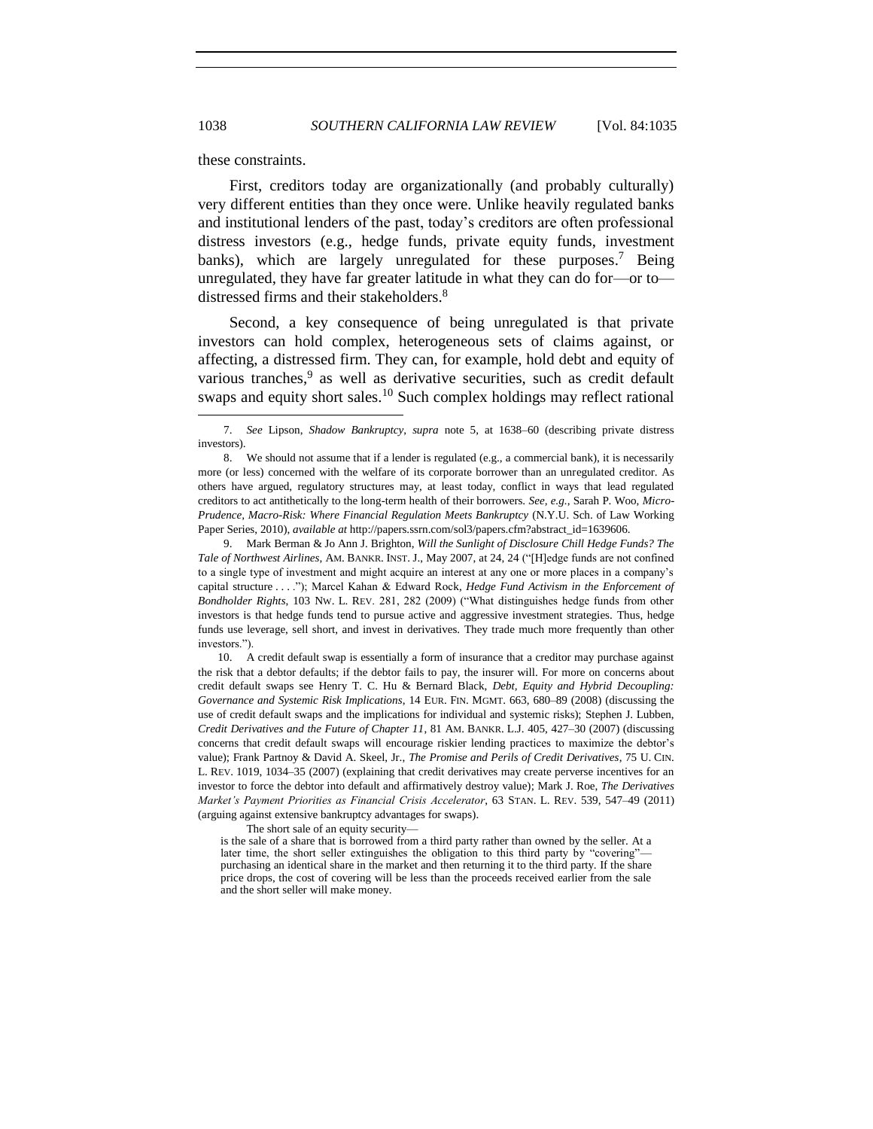these constraints.

First, creditors today are organizationally (and probably culturally) very different entities than they once were. Unlike heavily regulated banks and institutional lenders of the past, today's creditors are often professional distress investors (e.g., hedge funds, private equity funds, investment banks), which are largely unregulated for these purposes.<sup>7</sup> Being unregulated, they have far greater latitude in what they can do for—or to distressed firms and their stakeholders.<sup>8</sup>

<span id="page-3-0"></span>Second, a key consequence of being unregulated is that private investors can hold complex, heterogeneous sets of claims against, or affecting, a distressed firm. They can, for example, hold debt and equity of various tranches,<sup>9</sup> as well as derivative securities, such as credit default swaps and equity short sales.<sup>10</sup> Such complex holdings may reflect rational

9. Mark Berman & Jo Ann J. Brighton, *Will the Sunlight of Disclosure Chill Hedge Funds? The Tale of Northwest Airlines*, AM. BANKR. INST. J., May 2007, at 24, 24 ("[H]edge funds are not confined to a single type of investment and might acquire an interest at any one or more places in a company's capital structure . . . . "); Marcel Kahan & Edward Rock, *Hedge Fund Activism in the Enforcement of Bondholder Rights*, 103 Nw. L. REV. 281, 282 (2009) ("What distinguishes hedge funds from other investors is that hedge funds tend to pursue active and aggressive investment strategies. Thus, hedge funds use leverage, sell short, and invest in derivatives. They trade much more frequently than other investors.").

10. A credit default swap is essentially a form of insurance that a creditor may purchase against the risk that a debtor defaults; if the debtor fails to pay, the insurer will. For more on concerns about credit default swaps see Henry T. C. Hu & Bernard Black, *Debt, Equity and Hybrid Decoupling: Governance and Systemic Risk Implications*, 14 EUR. FIN. MGMT. 663, 680–89 (2008) (discussing the use of credit default swaps and the implications for individual and systemic risks); Stephen J. Lubben, *Credit Derivatives and the Future of Chapter 11*, 81 AM. BANKR. L.J. 405, 427–30 (2007) (discussing concerns that credit default swaps will encourage riskier lending practices to maximize the debtor's value); Frank Partnoy & David A. Skeel, Jr., *The Promise and Perils of Credit Derivatives*, 75 U. CIN. L. REV. 1019, 1034–35 (2007) (explaining that credit derivatives may create perverse incentives for an investor to force the debtor into default and affirmatively destroy value); Mark J. Roe, *The Derivatives Market's Payment Priorities as Financial Crisis Accelerator*, 63 STAN. L. REV. 539, 547–49 (2011) (arguing against extensive bankruptcy advantages for swaps).

The short sale of an equity security—

is the sale of a share that is borrowed from a third party rather than owned by the seller. At a later time, the short seller extinguishes the obligation to this third party by "covering" purchasing an identical share in the market and then returning it to the third party. If the share price drops, the cost of covering will be less than the proceeds received earlier from the sale and the short seller will make money.

<span id="page-3-1"></span><sup>7.</sup> *See* Lipson, *Shadow Bankruptcy*, *supra* note [5,](#page-2-1) at 1638–60 (describing private distress investors).

<sup>8.</sup> We should not assume that if a lender is regulated (e.g., a commercial bank), it is necessarily more (or less) concerned with the welfare of its corporate borrower than an unregulated creditor. As others have argued, regulatory structures may, at least today, conflict in ways that lead regulated creditors to act antithetically to the long-term health of their borrowers. *See, e.g.*, Sarah P. Woo, *Micro-Prudence, Macro-Risk: Where Financial Regulation Meets Bankruptcy* (N.Y.U. Sch. of Law Working Paper Series, 2010), *available at* http://papers.ssrn.com/sol3/papers.cfm?abstract\_id=1639606.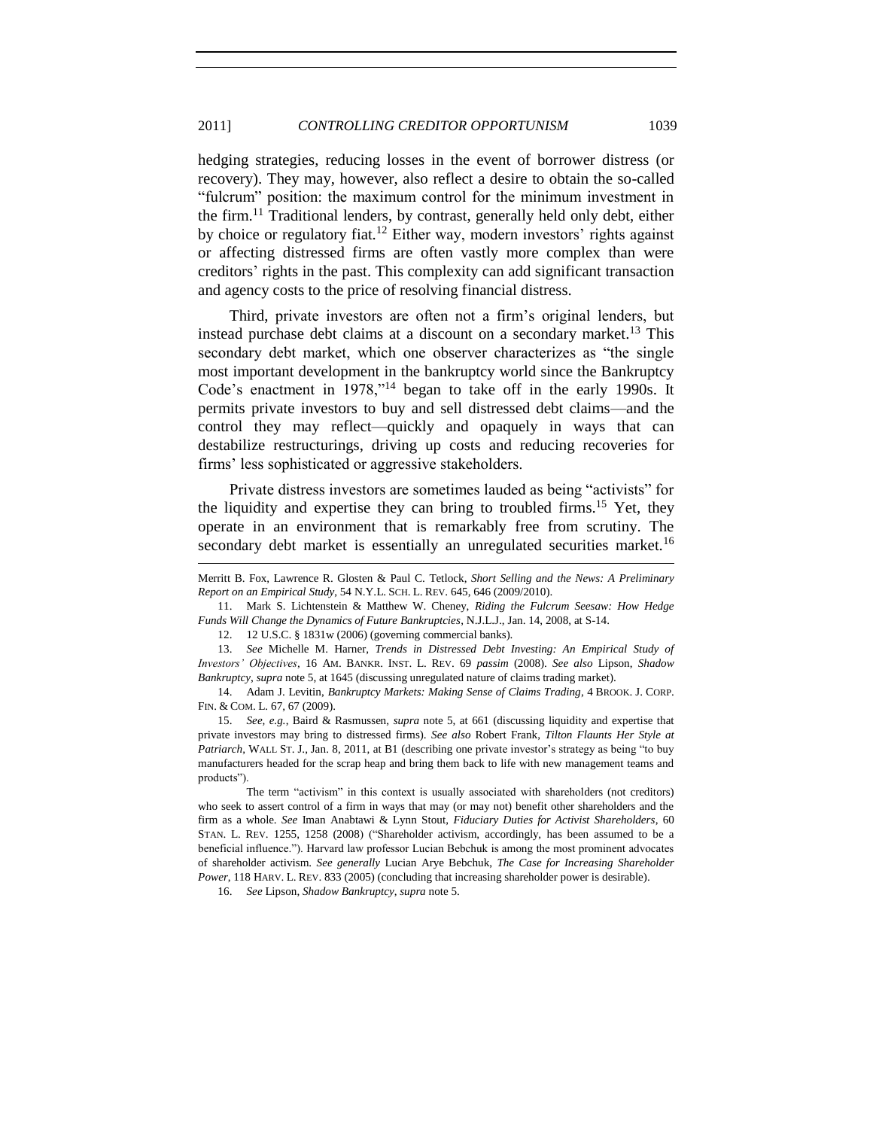hedging strategies, reducing losses in the event of borrower distress (or recovery). They may, however, also reflect a desire to obtain the so-called ―fulcrum‖ position: the maximum control for the minimum investment in the firm.<sup>11</sup> Traditional lenders, by contrast, generally held only debt, either by choice or regulatory fiat.<sup>12</sup> Either way, modern investors' rights against or affecting distressed firms are often vastly more complex than were creditors' rights in the past. This complexity can add significant transaction and agency costs to the price of resolving financial distress.

<span id="page-4-1"></span>Third, private investors are often not a firm's original lenders, but instead purchase debt claims at a discount on a secondary market.<sup>13</sup> This secondary debt market, which one observer characterizes as "the single most important development in the bankruptcy world since the Bankruptcy Code's enactment in  $1978$ ,"<sup>14</sup> began to take off in the early 1990s. It permits private investors to buy and sell distressed debt claims—and the control they may reflect—quickly and opaquely in ways that can destabilize restructurings, driving up costs and reducing recoveries for firms' less sophisticated or aggressive stakeholders.

<span id="page-4-0"></span>Private distress investors are sometimes lauded as being "activists" for the liquidity and expertise they can bring to troubled firms.<sup>15</sup> Yet, they operate in an environment that is remarkably free from scrutiny. The secondary debt market is essentially an unregulated securities market.<sup>16</sup>

12. 12 U.S.C. § 1831w (2006) (governing commercial banks).

l

13. *See* Michelle M. Harner, *Trends in Distressed Debt Investing: An Empirical Study of Investors' Objectives*, 16 AM. BANKR. INST. L. REV. 69 *passim* (2008). *See also* Lipson, *Shadow Bankruptcy*, *supra* note [5,](#page-2-1) at 1645 (discussing unregulated nature of claims trading market).

14. Adam J. Levitin, *Bankruptcy Markets: Making Sense of Claims Trading*, 4 BROOK. J. CORP. FIN. & COM. L. 67, 67 (2009).

15. *See, e.g.*, Baird & Rasmussen, *supra* note [5,](#page-2-1) at 661 (discussing liquidity and expertise that private investors may bring to distressed firms). *See also* Robert Frank, *Tilton Flaunts Her Style at Patriarch*, WALL ST. J., Jan. 8, 2011, at B1 (describing one private investor's strategy as being "to buy" manufacturers headed for the scrap heap and bring them back to life with new management teams and products").

The term "activism" in this context is usually associated with shareholders (not creditors) who seek to assert control of a firm in ways that may (or may not) benefit other shareholders and the firm as a whole. *See* Iman Anabtawi & Lynn Stout, *Fiduciary Duties for Activist Shareholders*, 60 STAN. L. REV. 1255, 1258 (2008) ("Shareholder activism, accordingly, has been assumed to be a beneficial influence."). Harvard law professor Lucian Bebchuk is among the most prominent advocates of shareholder activism. *See generally* Lucian Arye Bebchuk, *The Case for Increasing Shareholder Power*, 118 HARV. L. REV. 833 (2005) (concluding that increasing shareholder power is desirable).

16. *See* Lipson, *Shadow Bankruptcy*, *supra* not[e 5.](#page-2-1)

Merritt B. Fox, Lawrence R. Glosten & Paul C. Tetlock, *Short Selling and the News: A Preliminary Report on an Empirical Study*, 54 N.Y.L. SCH. L. REV. 645, 646 (2009/2010).

<sup>11.</sup> Mark S. Lichtenstein & Matthew W. Cheney, *Riding the Fulcrum Seesaw: How Hedge Funds Will Change the Dynamics of Future Bankruptcies*, N.J.L.J., Jan. 14, 2008, at S-14.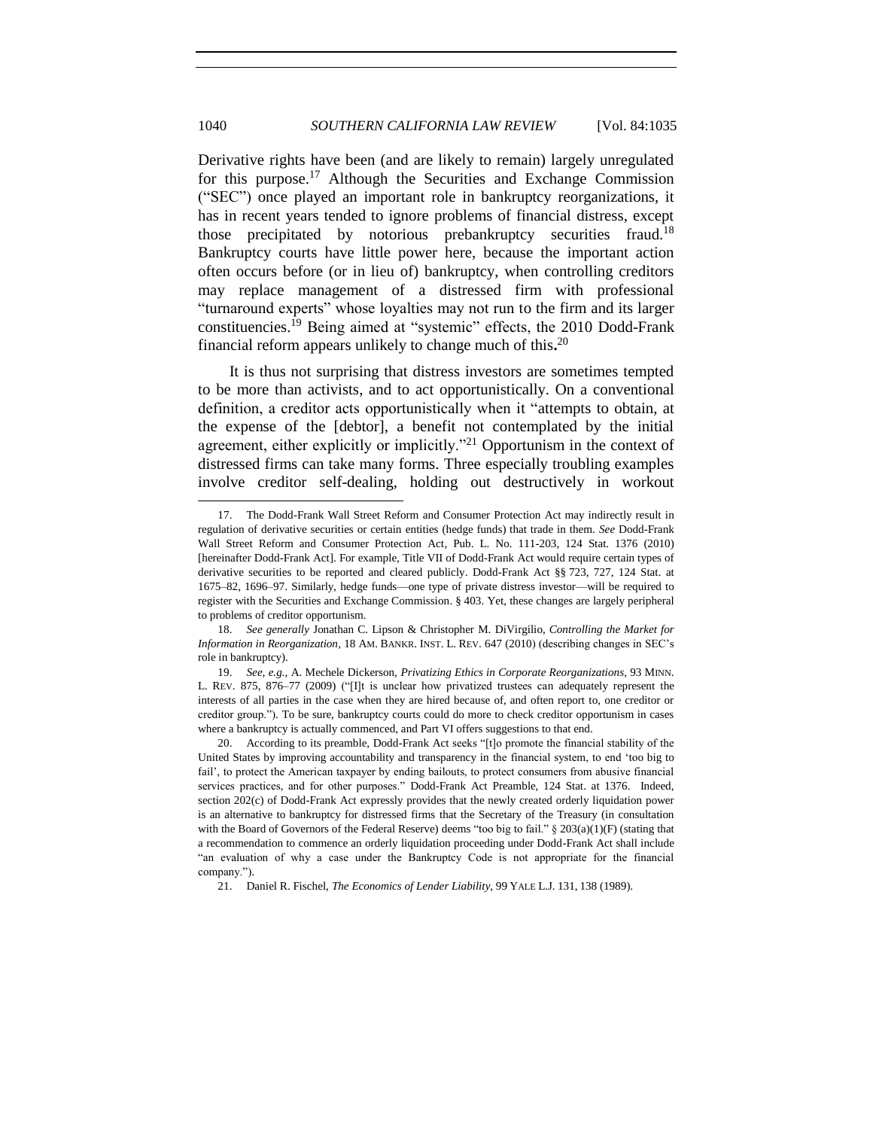<span id="page-5-1"></span>Derivative rights have been (and are likely to remain) largely unregulated for this purpose.<sup>17</sup> Although the Securities and Exchange Commission (―SEC‖) once played an important role in bankruptcy reorganizations, it has in recent years tended to ignore problems of financial distress, except those precipitated by notorious prebankruptcy securities fraud.<sup>18</sup> Bankruptcy courts have little power here, because the important action often occurs before (or in lieu of) bankruptcy, when controlling creditors may replace management of a distressed firm with professional "turnaround experts" whose loyalties may not run to the firm and its larger constituencies.<sup>19</sup> Being aimed at "systemic" effects, the 2010 Dodd-Frank financial reform appears unlikely to change much of this**.** 20

It is thus not surprising that distress investors are sometimes tempted to be more than activists, and to act opportunistically. On a conventional definition, a creditor acts opportunistically when it "attempts to obtain, at the expense of the [debtor], a benefit not contemplated by the initial agreement, either explicitly or implicitly."<sup>21</sup> Opportunism in the context of distressed firms can take many forms. Three especially troubling examples involve creditor self-dealing, holding out destructively in workout

<span id="page-5-0"></span>l

21. Daniel R. Fischel, *The Economics of Lender Liability*, 99 YALE L.J. 131, 138 (1989).

<sup>17.</sup> The Dodd-Frank Wall Street Reform and Consumer Protection Act may indirectly result in regulation of derivative securities or certain entities (hedge funds) that trade in them. *See* Dodd-Frank Wall Street Reform and Consumer Protection Act, Pub. L. No. 111-203, 124 Stat. 1376 (2010) [hereinafter Dodd-Frank Act]. For example, Title VII of Dodd-Frank Act would require certain types of derivative securities to be reported and cleared publicly. Dodd-Frank Act §§ 723, 727, 124 Stat. at 1675–82, 1696–97. Similarly, hedge funds—one type of private distress investor—will be required to register with the Securities and Exchange Commission. § 403. Yet, these changes are largely peripheral to problems of creditor opportunism.

<sup>18.</sup> *See generally* Jonathan C. Lipson & Christopher M. DiVirgilio, *Controlling the Market for Information in Reorganization*, 18 AM. BANKR. INST. L. REV. 647 (2010) (describing changes in SEC's role in bankruptcy).

<sup>19.</sup> *See, e.g.*, A. Mechele Dickerson, *Privatizing Ethics in Corporate Reorganizations*, 93 MINN. L. REV. 875, 876–77 (2009) ("[I]t is unclear how privatized trustees can adequately represent the interests of all parties in the case when they are hired because of, and often report to, one creditor or creditor group."). To be sure, bankruptcy courts could do more to check creditor opportunism in cases where a bankruptcy is actually commenced, and Part VI offers suggestions to that end.

<sup>20.</sup> According to its preamble, Dodd-Frank Act seeks "[t]o promote the financial stability of the United States by improving accountability and transparency in the financial system, to end 'too big to fail', to protect the American taxpayer by ending bailouts, to protect consumers from abusive financial services practices, and for other purposes." Dodd-Frank Act Preamble, 124 Stat. at 1376. Indeed, section 202(c) of Dodd-Frank Act expressly provides that the newly created orderly liquidation power is an alternative to bankruptcy for distressed firms that the Secretary of the Treasury (in consultation with the Board of Governors of the Federal Reserve) deems "too big to fail."  $\S 203(a)(1)$ (F) (stating that a recommendation to commence an orderly liquidation proceeding under Dodd-Frank Act shall include ―an evaluation of why a case under the Bankruptcy Code is not appropriate for the financial company.").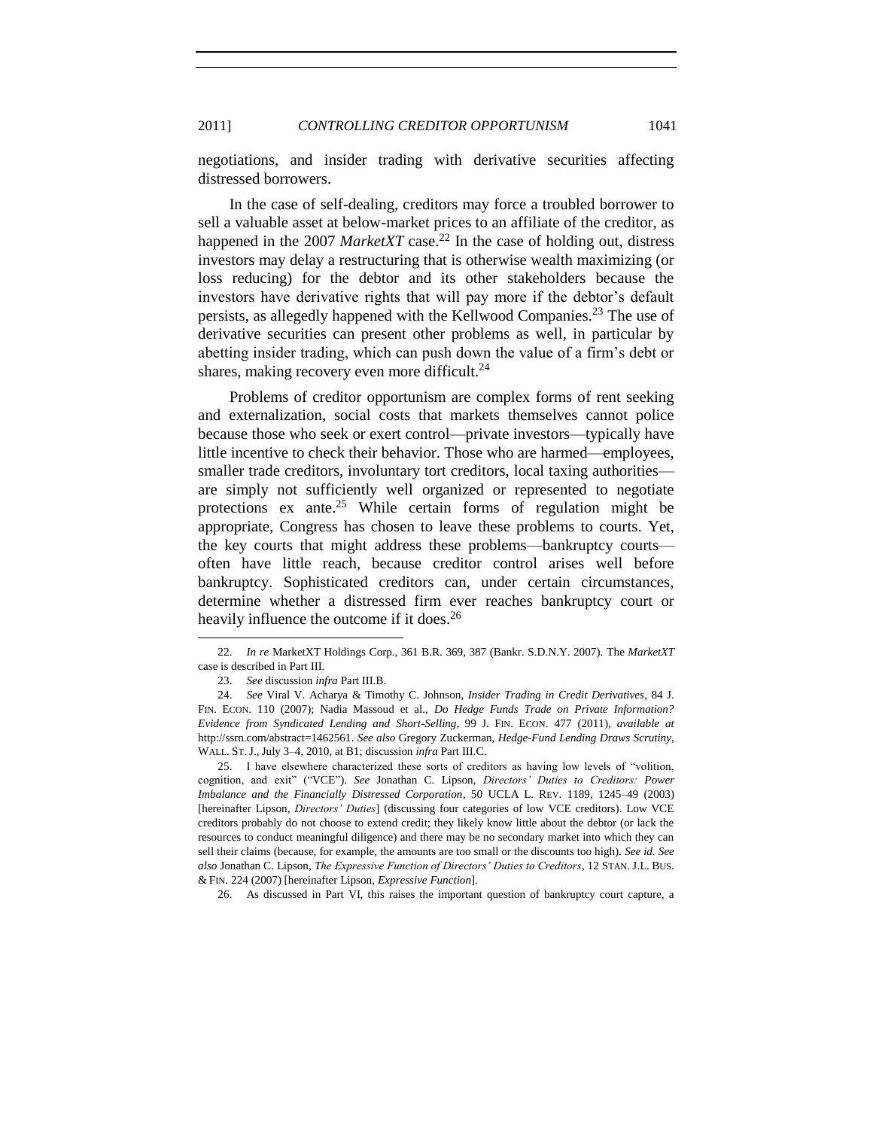negotiations, and insider trading with derivative securities affecting distressed borrowers.

In the case of self-dealing, creditors may force a troubled borrower to sell a valuable asset at below-market prices to an affiliate of the creditor, as happened in the 2007 *MarketXT* case.<sup>22</sup> In the case of holding out, distress investors may delay a restructuring that is otherwise wealth maximizing (or loss reducing) for the debtor and its other stakeholders because the investors have derivative rights that will pay more if the debtor's default persists, as allegedly happened with the Kellwood Companies.<sup>23</sup> The use of derivative securities can present other problems as well, in particular by abetting insider trading, which can push down the value of a firm's debt or shares, making recovery even more difficult.<sup>24</sup>

<span id="page-6-2"></span><span id="page-6-1"></span>Problems of creditor opportunism are complex forms of rent seeking and externalization, social costs that markets themselves cannot police because those who seek or exert control—private investors—typically have little incentive to check their behavior. Those who are harmed—employees, smaller trade creditors, involuntary tort creditors, local taxing authorities are simply not sufficiently well organized or represented to negotiate protections ex ante.<sup>25</sup> While certain forms of regulation might be appropriate, Congress has chosen to leave these problems to courts. Yet, the key courts that might address these problems—bankruptcy courts often have little reach, because creditor control arises well before bankruptcy. Sophisticated creditors can, under certain circumstances, determine whether a distressed firm ever reaches bankruptcy court or heavily influence the outcome if it does.<sup>26</sup>

l

26. As discussed in Part VI, this raises the important question of bankruptcy court capture, a

<sup>22.</sup> *In re* MarketXT Holdings Corp., 361 B.R. 369, 387 (Bankr. S.D.N.Y. 2007). The *MarketXT* case is described in Part III.

<span id="page-6-0"></span><sup>23.</sup> *See* discussion *infra* Part III.B.

<sup>24.</sup> *See* Viral V. Acharya & Timothy C. Johnson, *Insider Trading in Credit Derivatives*, 84 J. FIN. ECON. 110 (2007); Nadia Massoud et al., *Do Hedge Funds Trade on Private Information? Evidence from Syndicated Lending and Short-Selling*, 99 J. FIN. ECON. 477 (2011), *available at*  http://ssrn.com/abstract=1462561. *See also* Gregory Zuckerman, *Hedge-Fund Lending Draws Scrutiny*, WALL. ST. J., July 3–4, 2010, at B1; discussion *infra* Part III.C.

<sup>25.</sup> I have elsewhere characterized these sorts of creditors as having low levels of "volition, cognition, and exit" ("VCE"). See Jonathan C. Lipson, *Directors' Duties to Creditors: Power Imbalance and the Financially Distressed Corporation*, 50 UCLA L. REV. 1189, 1245–49 (2003) [hereinafter Lipson, *Directors' Duties*] (discussing four categories of low VCE creditors). Low VCE creditors probably do not choose to extend credit; they likely know little about the debtor (or lack the resources to conduct meaningful diligence) and there may be no secondary market into which they can sell their claims (because, for example, the amounts are too small or the discounts too high). *See id. See also* Jonathan C. Lipson, *The Expressive Function of Directors' Duties to Creditors*, 12 STAN. J.L. BUS. & FIN. 224 (2007) [hereinafter Lipson, *Expressive Function*].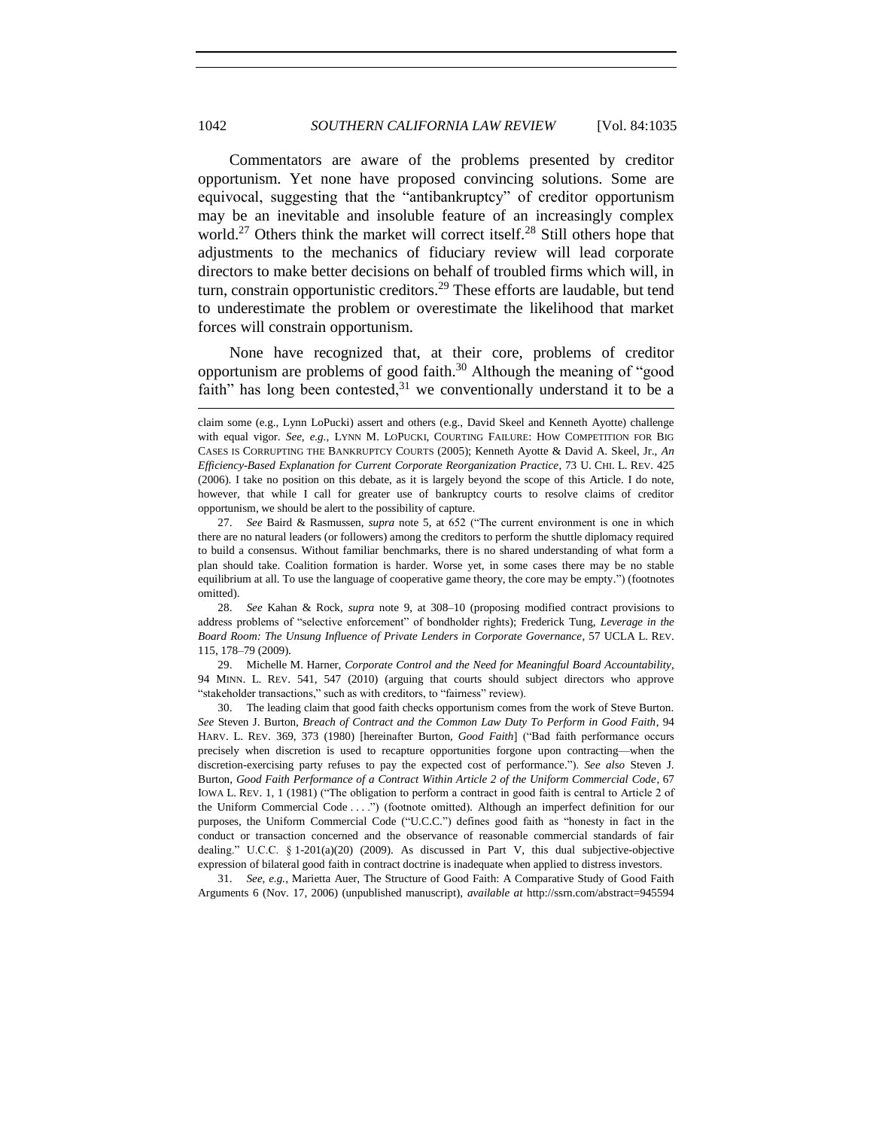Commentators are aware of the problems presented by creditor opportunism. Yet none have proposed convincing solutions. Some are equivocal, suggesting that the "antibankruptcy" of creditor opportunism may be an inevitable and insoluble feature of an increasingly complex world.<sup>27</sup> Others think the market will correct itself.<sup>28</sup> Still others hope that adjustments to the mechanics of fiduciary review will lead corporate directors to make better decisions on behalf of troubled firms which will, in turn, constrain opportunistic creditors.<sup>29</sup> These efforts are laudable, but tend to underestimate the problem or overestimate the likelihood that market forces will constrain opportunism.

<span id="page-7-2"></span><span id="page-7-1"></span>None have recognized that, at their core, problems of creditor opportunism are problems of good faith. $30$  Although the meaning of "good faith" has long been contested, $31$  we conventionally understand it to be a

<span id="page-7-0"></span>l

28. *See* Kahan & Rock, *supra* note [9,](#page-3-0) at 308–10 (proposing modified contract provisions to address problems of "selective enforcement" of bondholder rights); Frederick Tung, *Leverage in the Board Room: The Unsung Influence of Private Lenders in Corporate Governance*, 57 UCLA L. REV. 115, 178–79 (2009).

29. Michelle M. Harner, *Corporate Control and the Need for Meaningful Board Accountability*, 94 MINN. L. REV. 541, 547 (2010) (arguing that courts should subject directors who approve "stakeholder transactions," such as with creditors, to "fairness" review).

30. The leading claim that good faith checks opportunism comes from the work of Steve Burton. *See* Steven J. Burton, *Breach of Contract and the Common Law Duty To Perform in Good Faith*, 94 HARV. L. REV. 369, 373 (1980) [hereinafter Burton, *Good Faith*] ("Bad faith performance occurs precisely when discretion is used to recapture opportunities forgone upon contracting—when the discretion-exercising party refuses to pay the expected cost of performance.‖). *See also* Steven J. Burton, *Good Faith Performance of a Contract Within Article 2 of the Uniform Commercial Code*, 67 IOWA L. REV. 1, 1 (1981) ("The obligation to perform a contract in good faith is central to Article 2 of the Uniform Commercial Code . . . .") (footnote omitted). Although an imperfect definition for our purposes, the Uniform Commercial Code ("U.C.C.") defines good faith as "honesty in fact in the conduct or transaction concerned and the observance of reasonable commercial standards of fair dealing." U.C.C.  $\S 1-201(a)(20)$  (2009). As discussed in Part V, this dual subjective-objective expression of bilateral good faith in contract doctrine is inadequate when applied to distress investors.

31. *See, e.g.*, Marietta Auer, The Structure of Good Faith: A Comparative Study of Good Faith Arguments 6 (Nov. 17, 2006) (unpublished manuscript), *available at* http://ssrn.com/abstract=945594

claim some (e.g., Lynn LoPucki) assert and others (e.g., David Skeel and Kenneth Ayotte) challenge with equal vigor. See, e.g., LYNN M. LOPUCKI, COURTING FAILURE: HOW COMPETITION FOR BIG CASES IS CORRUPTING THE BANKRUPTCY COURTS (2005); Kenneth Ayotte & David A. Skeel, Jr., *An Efficiency-Based Explanation for Current Corporate Reorganization Practice*, 73 U. CHI. L. REV. 425 (2006). I take no position on this debate, as it is largely beyond the scope of this Article. I do note, however, that while I call for greater use of bankruptcy courts to resolve claims of creditor opportunism, we should be alert to the possibility of capture.

<sup>27.</sup> See Baird & Rasmussen, *supra* note [5,](#page-2-1) at 652 ("The current environment is one in which there are no natural leaders (or followers) among the creditors to perform the shuttle diplomacy required to build a consensus. Without familiar benchmarks, there is no shared understanding of what form a plan should take. Coalition formation is harder. Worse yet, in some cases there may be no stable equilibrium at all. To use the language of cooperative game theory, the core may be empty.") (footnotes omitted).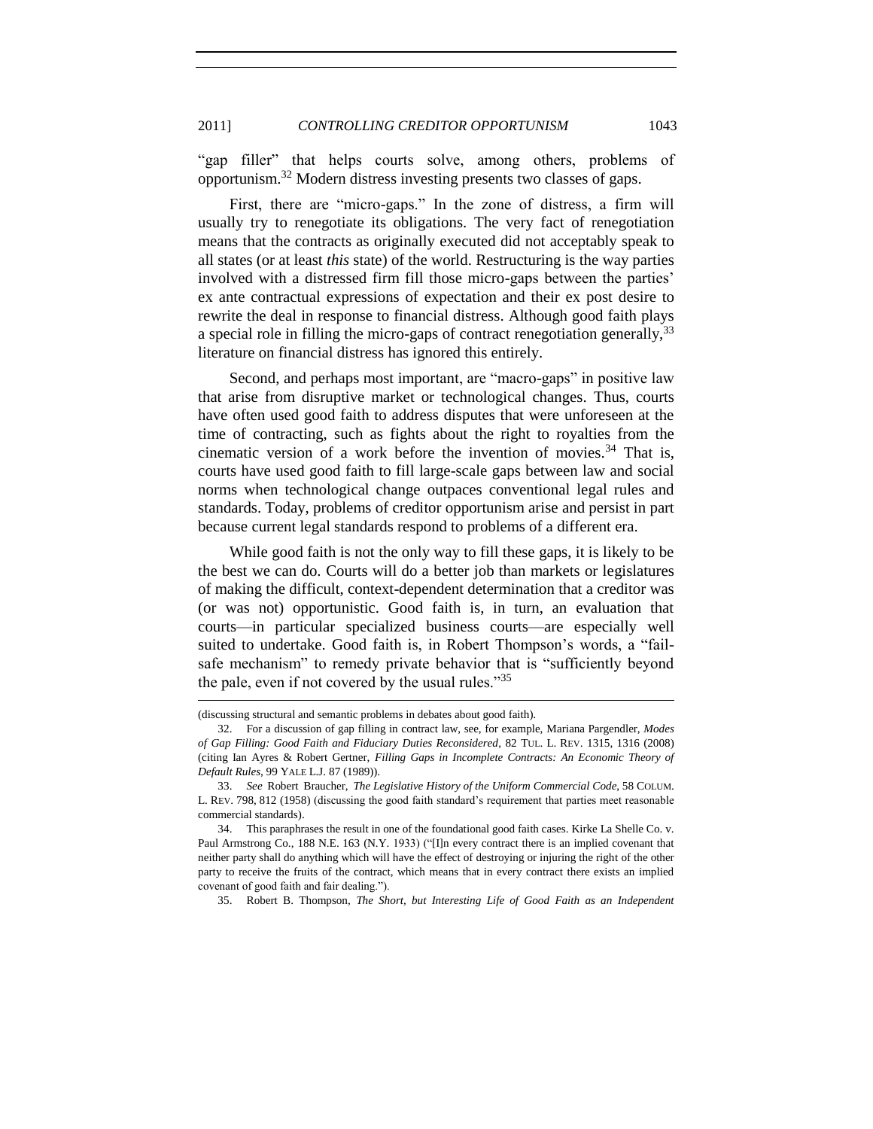<span id="page-8-1"></span>"gap filler" that helps courts solve, among others, problems of opportunism.<sup>32</sup> Modern distress investing presents two classes of gaps.

First, there are "micro-gaps." In the zone of distress, a firm will usually try to renegotiate its obligations. The very fact of renegotiation means that the contracts as originally executed did not acceptably speak to all states (or at least *this* state) of the world. Restructuring is the way parties involved with a distressed firm fill those micro-gaps between the parties' ex ante contractual expressions of expectation and their ex post desire to rewrite the deal in response to financial distress. Although good faith plays a special role in filling the micro-gaps of contract renegotiation generally,<sup>33</sup> literature on financial distress has ignored this entirely.

<span id="page-8-2"></span>Second, and perhaps most important, are "macro-gaps" in positive law that arise from disruptive market or technological changes. Thus, courts have often used good faith to address disputes that were unforeseen at the time of contracting, such as fights about the right to royalties from the cinematic version of a work before the invention of movies.<sup>34</sup> That is, courts have used good faith to fill large-scale gaps between law and social norms when technological change outpaces conventional legal rules and standards. Today, problems of creditor opportunism arise and persist in part because current legal standards respond to problems of a different era.

While good faith is not the only way to fill these gaps, it is likely to be the best we can do. Courts will do a better job than markets or legislatures of making the difficult, context-dependent determination that a creditor was (or was not) opportunistic. Good faith is, in turn, an evaluation that courts—in particular specialized business courts—are especially well suited to undertake. Good faith is, in Robert Thompson's words, a "failsafe mechanism" to remedy private behavior that is "sufficiently beyond the pale, even if not covered by the usual rules. $135$ 

<span id="page-8-0"></span>l

35. Robert B. Thompson, *The Short, but Interesting Life of Good Faith as an Independent* 

<sup>(</sup>discussing structural and semantic problems in debates about good faith).

<sup>32.</sup> For a discussion of gap filling in contract law, see, for example, Mariana Pargendler, *Modes of Gap Filling: Good Faith and Fiduciary Duties Reconsidered*, 82 TUL. L. REV. 1315, 1316 (2008) (citing Ian Ayres & Robert Gertner, *Filling Gaps in Incomplete Contracts: An Economic Theory of Default Rules*, 99 YALE L.J. 87 (1989)).

<sup>33.</sup> *See* Robert Braucher, *The Legislative History of the Uniform Commercial Code*, 58 COLUM. L. REV. 798, 812 (1958) (discussing the good faith standard's requirement that parties meet reasonable commercial standards).

<sup>34.</sup> This paraphrases the result in one of the foundational good faith cases. Kirke La Shelle Co. v. Paul Armstrong Co., 188 N.E. 163 (N.Y. 1933) ("[I]n every contract there is an implied covenant that neither party shall do anything which will have the effect of destroying or injuring the right of the other party to receive the fruits of the contract, which means that in every contract there exists an implied covenant of good faith and fair dealing.").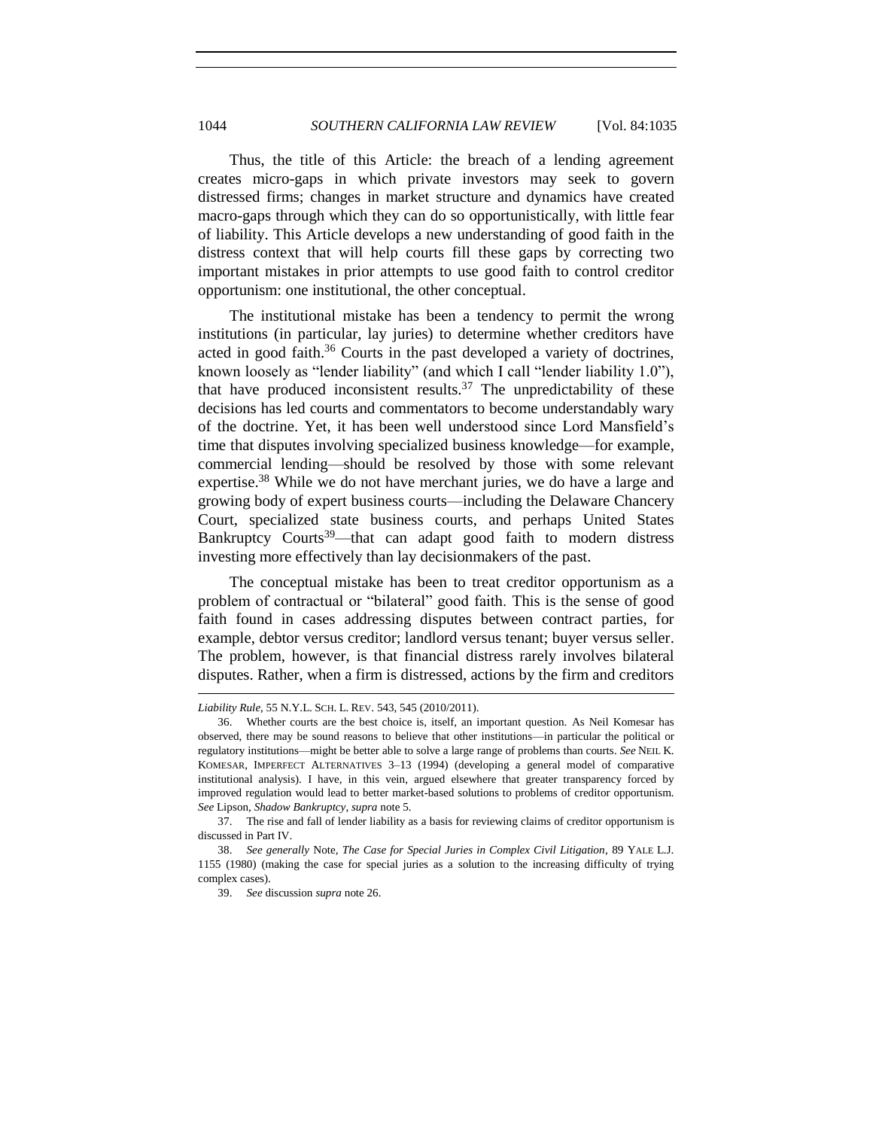Thus, the title of this Article: the breach of a lending agreement creates micro-gaps in which private investors may seek to govern distressed firms; changes in market structure and dynamics have created macro-gaps through which they can do so opportunistically, with little fear of liability. This Article develops a new understanding of good faith in the distress context that will help courts fill these gaps by correcting two important mistakes in prior attempts to use good faith to control creditor opportunism: one institutional, the other conceptual.

The institutional mistake has been a tendency to permit the wrong institutions (in particular, lay juries) to determine whether creditors have acted in good faith.<sup>36</sup> Courts in the past developed a variety of doctrines, known loosely as "lender liability" (and which I call "lender liability  $1.0$ "), that have produced inconsistent results.<sup>37</sup> The unpredictability of these decisions has led courts and commentators to become understandably wary of the doctrine. Yet, it has been well understood since Lord Mansfield's time that disputes involving specialized business knowledge—for example, commercial lending—should be resolved by those with some relevant expertise.<sup>38</sup> While we do not have merchant juries, we do have a large and growing body of expert business courts—including the Delaware Chancery Court, specialized state business courts, and perhaps United States Bankruptcy Courts<sup>39</sup>—that can adapt good faith to modern distress investing more effectively than lay decisionmakers of the past.

The conceptual mistake has been to treat creditor opportunism as a problem of contractual or "bilateral" good faith. This is the sense of good faith found in cases addressing disputes between contract parties, for example, debtor versus creditor; landlord versus tenant; buyer versus seller. The problem, however, is that financial distress rarely involves bilateral disputes. Rather, when a firm is distressed, actions by the firm and creditors

*Liability Rule*, 55 N.Y.L. SCH. L. REV. 543, 545 (2010/2011).

<sup>36.</sup> Whether courts are the best choice is, itself, an important question. As Neil Komesar has observed, there may be sound reasons to believe that other institutions—in particular the political or regulatory institutions—might be better able to solve a large range of problems than courts. *See* NEIL K. KOMESAR, IMPERFECT ALTERNATIVES 3–13 (1994) (developing a general model of comparative institutional analysis). I have, in this vein, argued elsewhere that greater transparency forced by improved regulation would lead to better market-based solutions to problems of creditor opportunism. *See* Lipson, *Shadow Bankruptcy*, *supra* not[e 5.](#page-2-1) 

<sup>37.</sup> The rise and fall of lender liability as a basis for reviewing claims of creditor opportunism is discussed in Part IV.

<sup>38.</sup> *See generally* Note, *The Case for Special Juries in Complex Civil Litigation*, 89 YALE L.J. 1155 (1980) (making the case for special juries as a solution to the increasing difficulty of trying complex cases).

<sup>39.</sup> *See* discussion *supra* not[e 26.](#page-6-0)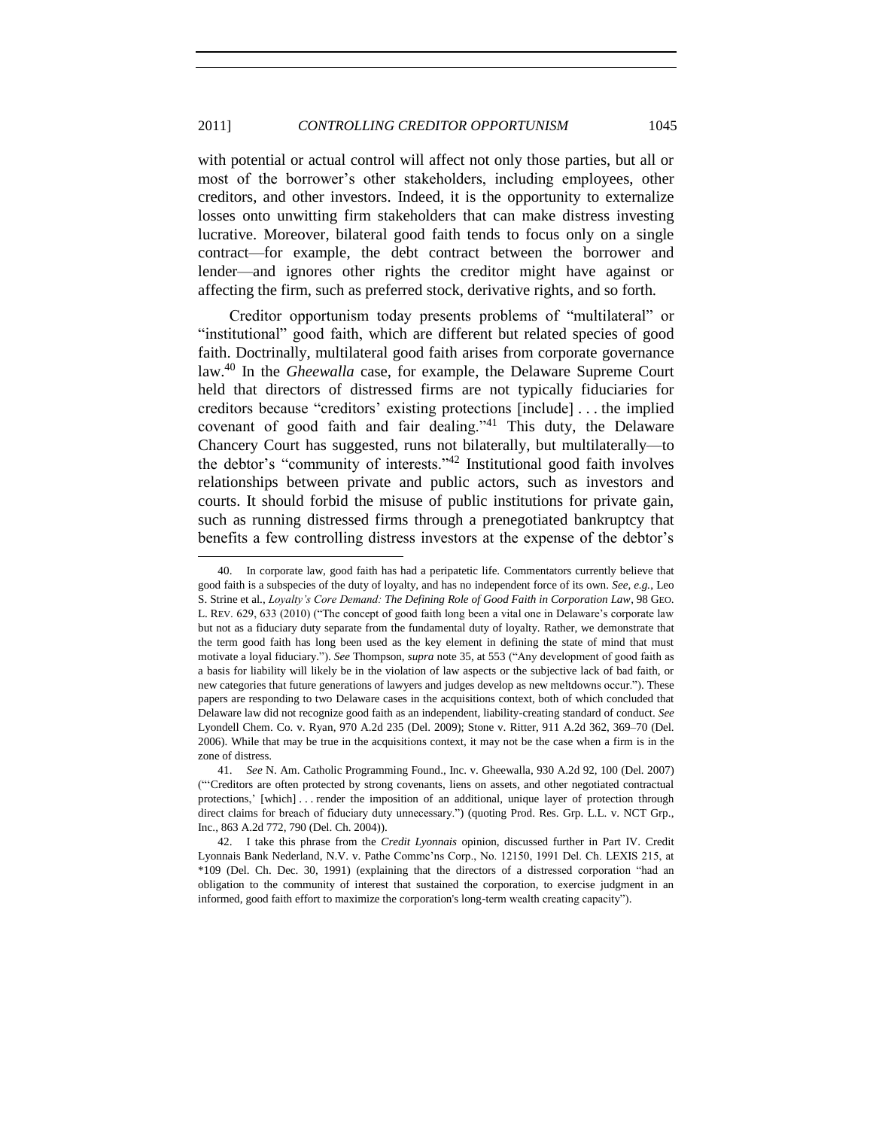with potential or actual control will affect not only those parties, but all or most of the borrower's other stakeholders, including employees, other creditors, and other investors. Indeed, it is the opportunity to externalize losses onto unwitting firm stakeholders that can make distress investing lucrative. Moreover, bilateral good faith tends to focus only on a single contract—for example, the debt contract between the borrower and lender—and ignores other rights the creditor might have against or affecting the firm, such as preferred stock, derivative rights, and so forth.

<span id="page-10-0"></span>Creditor opportunism today presents problems of "multilateral" or "institutional" good faith, which are different but related species of good faith. Doctrinally, multilateral good faith arises from corporate governance law.<sup>40</sup> In the *Gheewalla* case, for example, the Delaware Supreme Court held that directors of distressed firms are not typically fiduciaries for creditors because "creditors' existing protections [include] . . . the implied covenant of good faith and fair dealing." $41$  This duty, the Delaware Chancery Court has suggested, runs not bilaterally, but multilaterally—to the debtor's "community of interests." $42$  Institutional good faith involves relationships between private and public actors, such as investors and courts. It should forbid the misuse of public institutions for private gain, such as running distressed firms through a prenegotiated bankruptcy that benefits a few controlling distress investors at the expense of the debtor's

In corporate law, good faith has had a peripatetic life. Commentators currently believe that good faith is a subspecies of the duty of loyalty, and has no independent force of its own. *See, e.g.*, Leo S. Strine et al., *Loyalty's Core Demand: The Defining Role of Good Faith in Corporation Law*, 98 GEO. L. REV. 629, 633 (2010) ("The concept of good faith long been a vital one in Delaware's corporate law but not as a fiduciary duty separate from the fundamental duty of loyalty. Rather, we demonstrate that the term good faith has long been used as the key element in defining the state of mind that must motivate a loyal fiduciary."). See Thompson, *supra* not[e 35,](#page-8-0) at 553 ("Any development of good faith as a basis for liability will likely be in the violation of law aspects or the subjective lack of bad faith, or new categories that future generations of lawyers and judges develop as new meltdowns occur."). These papers are responding to two Delaware cases in the acquisitions context, both of which concluded that Delaware law did not recognize good faith as an independent, liability-creating standard of conduct. *See*  Lyondell Chem. Co. v. Ryan, 970 A.2d 235 (Del. 2009); Stone v. Ritter, 911 A.2d 362, 369–70 (Del. 2006). While that may be true in the acquisitions context, it may not be the case when a firm is in the zone of distress.

<sup>41.</sup> *See* N. Am. Catholic Programming Found., Inc. v. Gheewalla, 930 A.2d 92, 100 (Del. 2007) (―‗Creditors are often protected by strong covenants, liens on assets, and other negotiated contractual protections,' [which] . . . render the imposition of an additional, unique layer of protection through direct claims for breach of fiduciary duty unnecessary.") (quoting Prod. Res. Grp. L.L. v. NCT Grp., Inc., 863 A.2d 772, 790 (Del. Ch. 2004)).

<sup>42.</sup> I take this phrase from the *Credit Lyonnais* opinion, discussed further in Part IV. Credit Lyonnais Bank Nederland, N.V. v. Pathe Commc'ns Corp., No. 12150, 1991 Del. Ch. LEXIS 215, at \*109 (Del. Ch. Dec. 30, 1991) (explaining that the directors of a distressed corporation ―had an obligation to the community of interest that sustained the corporation, to exercise judgment in an informed, good faith effort to maximize the corporation's long-term wealth creating capacity").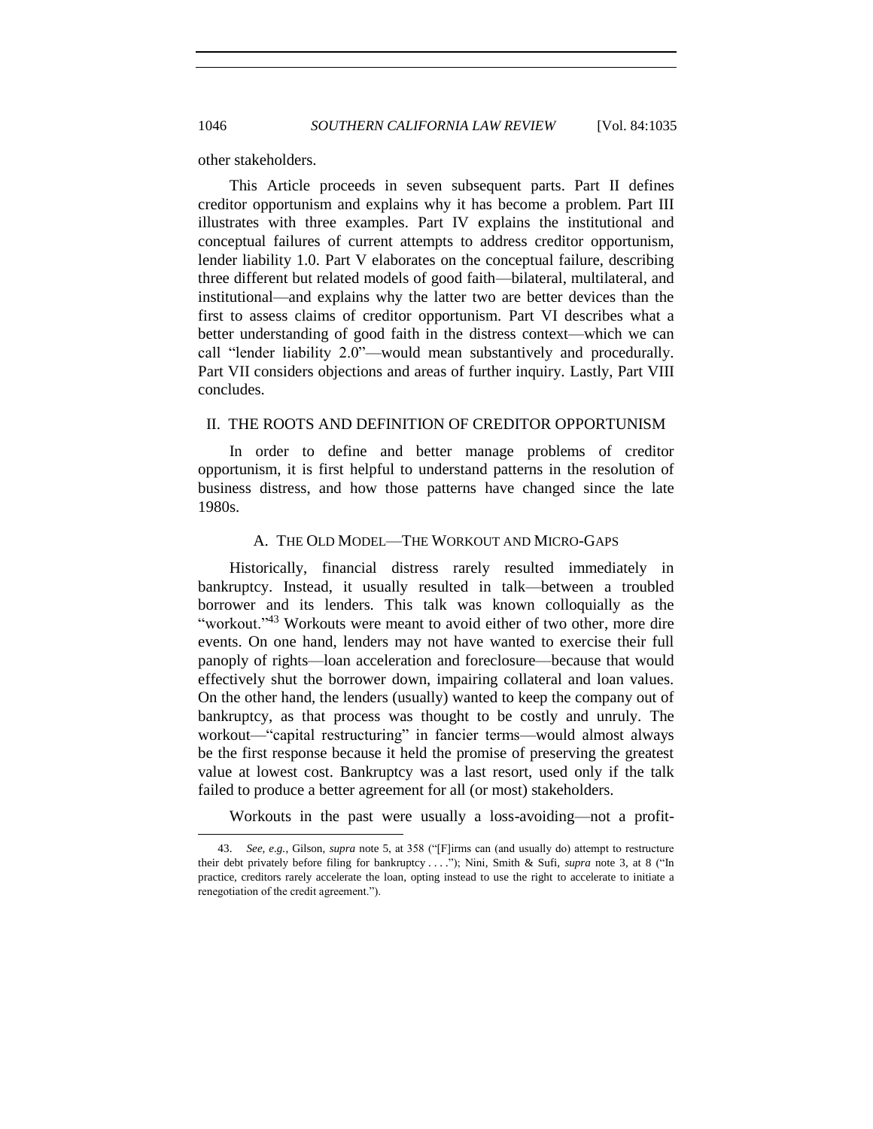other stakeholders.

This Article proceeds in seven subsequent parts. Part II defines creditor opportunism and explains why it has become a problem. Part III illustrates with three examples. Part IV explains the institutional and conceptual failures of current attempts to address creditor opportunism, lender liability 1.0. Part V elaborates on the conceptual failure, describing three different but related models of good faith—bilateral, multilateral, and institutional—and explains why the latter two are better devices than the first to assess claims of creditor opportunism. Part VI describes what a better understanding of good faith in the distress context—which we can call "lender liability 2.0"—would mean substantively and procedurally. Part VII considers objections and areas of further inquiry. Lastly, Part VIII concludes.

## <span id="page-11-0"></span>II. THE ROOTS AND DEFINITION OF CREDITOR OPPORTUNISM

In order to define and better manage problems of creditor opportunism, it is first helpful to understand patterns in the resolution of business distress, and how those patterns have changed since the late 1980s.

#### A. THE OLD MODEL—THE WORKOUT AND MICRO-GAPS

<span id="page-11-1"></span>Historically, financial distress rarely resulted immediately in bankruptcy. Instead, it usually resulted in talk—between a troubled borrower and its lenders. This talk was known colloquially as the "workout."<sup>43</sup> Workouts were meant to avoid either of two other, more dire events. On one hand, lenders may not have wanted to exercise their full panoply of rights—loan acceleration and foreclosure—because that would effectively shut the borrower down, impairing collateral and loan values. On the other hand, the lenders (usually) wanted to keep the company out of bankruptcy, as that process was thought to be costly and unruly. The workout—"capital restructuring" in fancier terms—would almost always be the first response because it held the promise of preserving the greatest value at lowest cost. Bankruptcy was a last resort, used only if the talk failed to produce a better agreement for all (or most) stakeholders.

Workouts in the past were usually a loss-avoiding—not a profit-

<sup>43.</sup> *See, e.g.*, Gilson, *supra* note [5,](#page-2-1) at 358 ("[F]irms can (and usually do) attempt to restructure their debt privately before filing for bankruptcy . . . ."); Nini, Smith & Sufi, *supra* note [3,](#page-2-0) at 8 ("In practice, creditors rarely accelerate the loan, opting instead to use the right to accelerate to initiate a renegotiation of the credit agreement.").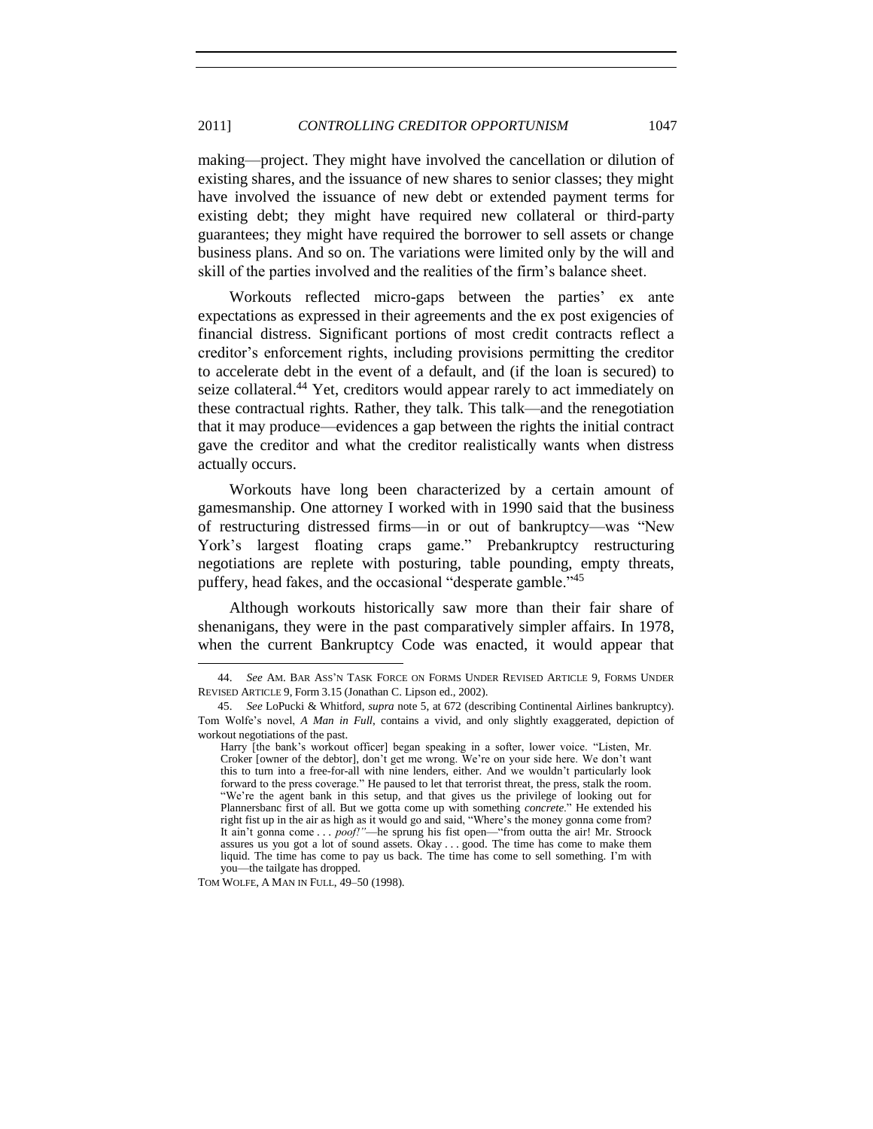#### 2011] *CONTROLLING CREDITOR OPPORTUNISM* 1047

making—project. They might have involved the cancellation or dilution of existing shares, and the issuance of new shares to senior classes; they might have involved the issuance of new debt or extended payment terms for existing debt; they might have required new collateral or third-party guarantees; they might have required the borrower to sell assets or change business plans. And so on. The variations were limited only by the will and skill of the parties involved and the realities of the firm's balance sheet.

Workouts reflected micro-gaps between the parties' ex ante expectations as expressed in their agreements and the ex post exigencies of financial distress. Significant portions of most credit contracts reflect a creditor's enforcement rights, including provisions permitting the creditor to accelerate debt in the event of a default, and (if the loan is secured) to seize collateral.<sup>44</sup> Yet, creditors would appear rarely to act immediately on these contractual rights. Rather, they talk. This talk—and the renegotiation that it may produce—evidences a gap between the rights the initial contract gave the creditor and what the creditor realistically wants when distress actually occurs.

Workouts have long been characterized by a certain amount of gamesmanship. One attorney I worked with in 1990 said that the business of restructuring distressed firms—in or out of bankruptcy—was "New York's largest floating craps game." Prebankruptcy restructuring negotiations are replete with posturing, table pounding, empty threats, puffery, head fakes, and the occasional "desperate gamble."<sup>45</sup>

Although workouts historically saw more than their fair share of shenanigans, they were in the past comparatively simpler affairs. In 1978, when the current Bankruptcy Code was enacted, it would appear that

TOM WOLFE, A MAN IN FULL, 49–50 (1998).

<sup>44.</sup> *See* AM. BAR ASS'N TASK FORCE ON FORMS UNDER REVISED ARTICLE 9, FORMS UNDER REVISED ARTICLE 9, Form 3.15 (Jonathan C. Lipson ed., 2002).

<sup>45.</sup> *See* LoPucki & Whitford, *supra* note [5,](#page-2-1) at 672 (describing Continental Airlines bankruptcy). Tom Wolfe's novel, *A Man in Full*, contains a vivid, and only slightly exaggerated, depiction of workout negotiations of the past.

Harry [the bank's workout officer] began speaking in a softer, lower voice. "Listen, Mr. Croker [owner of the debtor], don't get me wrong. We're on your side here. We don't want this to turn into a free-for-all with nine lenders, either. And we wouldn't particularly look forward to the press coverage." He paused to let that terrorist threat, the press, stalk the room. ―We're the agent bank in this setup, and that gives us the privilege of looking out for Plannersbanc first of all. But we gotta come up with something *concrete*." He extended his right fist up in the air as high as it would go and said, "Where's the money gonna come from? It ain't gonna come . . . *poof!*"—he sprung his fist open—"from outta the air! Mr. Stroock assures us you got a lot of sound assets. Okay . . . good. The time has come to make them liquid. The time has come to pay us back. The time has come to sell something. I'm with you—the tailgate has dropped.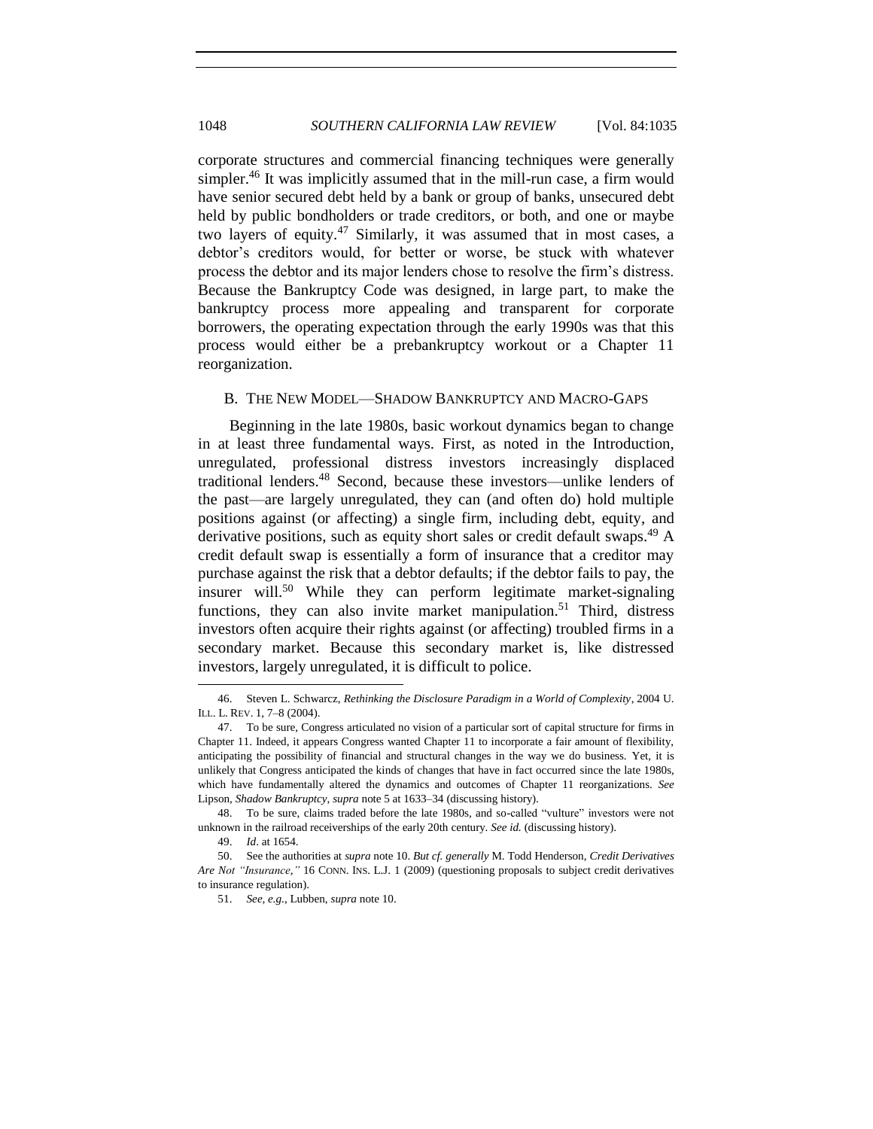corporate structures and commercial financing techniques were generally simpler.<sup>46</sup> It was implicitly assumed that in the mill-run case, a firm would have senior secured debt held by a bank or group of banks, unsecured debt held by public bondholders or trade creditors, or both, and one or maybe two layers of equity.<sup>47</sup> Similarly, it was assumed that in most cases, a debtor's creditors would, for better or worse, be stuck with whatever process the debtor and its major lenders chose to resolve the firm's distress. Because the Bankruptcy Code was designed, in large part, to make the bankruptcy process more appealing and transparent for corporate borrowers, the operating expectation through the early 1990s was that this process would either be a prebankruptcy workout or a Chapter 11 reorganization.

#### <span id="page-13-0"></span>B. THE NEW MODEL—SHADOW BANKRUPTCY AND MACRO-GAPS

Beginning in the late 1980s, basic workout dynamics began to change in at least three fundamental ways. First, as noted in the Introduction, unregulated, professional distress investors increasingly displaced traditional lenders.<sup>48</sup> Second, because these investors—unlike lenders of the past—are largely unregulated, they can (and often do) hold multiple positions against (or affecting) a single firm, including debt, equity, and derivative positions, such as equity short sales or credit default swaps.<sup>49</sup> A credit default swap is essentially a form of insurance that a creditor may purchase against the risk that a debtor defaults; if the debtor fails to pay, the insurer will.<sup>50</sup> While they can perform legitimate market-signaling functions, they can also invite market manipulation.<sup>51</sup> Third, distress investors often acquire their rights against (or affecting) troubled firms in a secondary market. Because this secondary market is, like distressed investors, largely unregulated, it is difficult to police.

<sup>46.</sup> Steven L. Schwarcz, *Rethinking the Disclosure Paradigm in a World of Complexity*, 2004 U. ILL. L. REV. 1, 7–8 (2004).

<sup>47.</sup> To be sure, Congress articulated no vision of a particular sort of capital structure for firms in Chapter 11. Indeed, it appears Congress wanted Chapter 11 to incorporate a fair amount of flexibility, anticipating the possibility of financial and structural changes in the way we do business. Yet, it is unlikely that Congress anticipated the kinds of changes that have in fact occurred since the late 1980s, which have fundamentally altered the dynamics and outcomes of Chapter 11 reorganizations. *See*  Lipson, *Shadow Bankruptcy*, *supra* not[e 5](#page-2-1) at 1633–34 (discussing history).

<sup>48.</sup> To be sure, claims traded before the late 1980s, and so-called "vulture" investors were not unknown in the railroad receiverships of the early 20th century. *See id.* (discussing history).

<sup>49.</sup> *Id*. at 1654.

<sup>50.</sup> See the authorities at *supra* not[e 10.](#page-3-1) *But cf. generally* M. Todd Henderson, *Credit Derivatives Are Not ―Insurance*,*‖* 16 CONN. INS. L.J. 1 (2009) (questioning proposals to subject credit derivatives to insurance regulation).

<sup>51.</sup> *See, e.g.*, Lubben, *supra* not[e 10.](#page-3-1)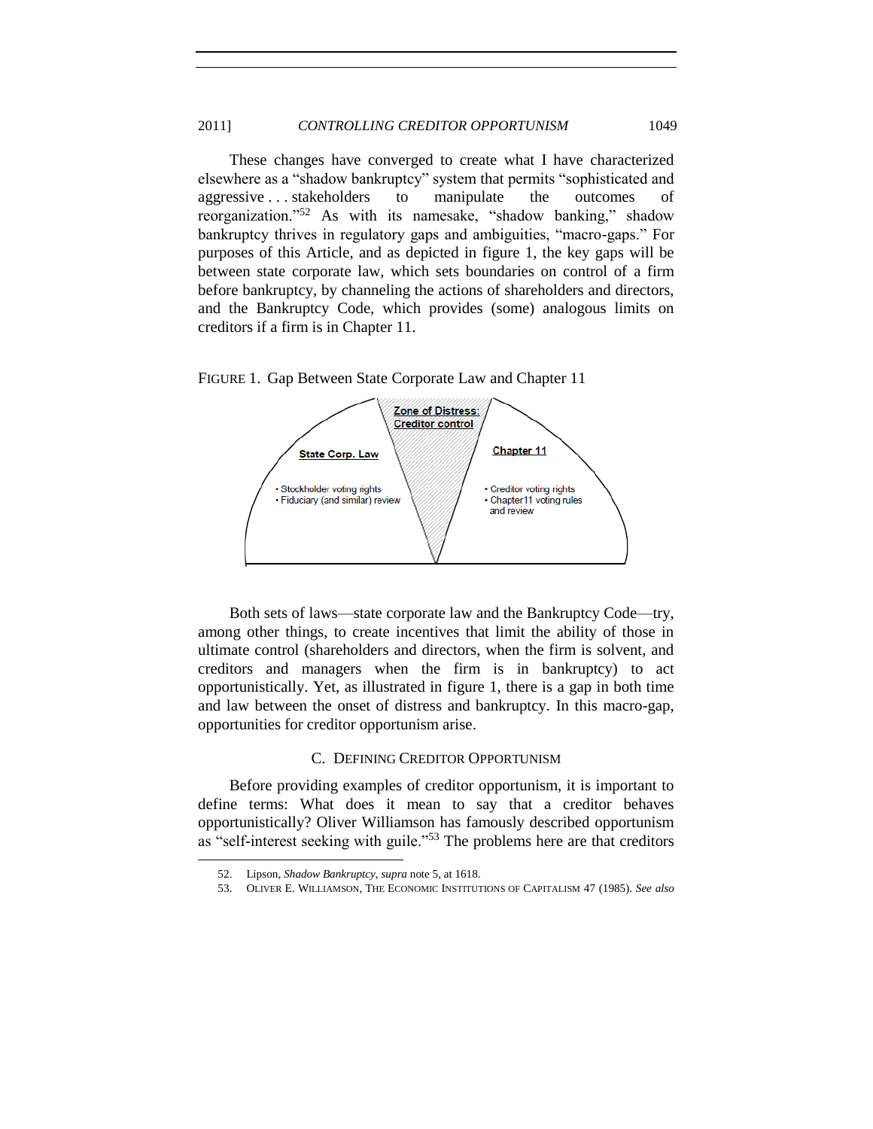#### 2011] *CONTROLLING CREDITOR OPPORTUNISM* 1049

These changes have converged to create what I have characterized elsewhere as a "shadow bankruptcy" system that permits "sophisticated and aggressive . . . stakeholders to manipulate the outcomes of reorganization."<sup>52</sup> As with its namesake, "shadow banking," shadow bankruptcy thrives in regulatory gaps and ambiguities, "macro-gaps." For purposes of this Article, and as depicted in figure 1, the key gaps will be between state corporate law, which sets boundaries on control of a firm before bankruptcy, by channeling the actions of shareholders and directors, and the Bankruptcy Code, which provides (some) analogous limits on creditors if a firm is in Chapter 11.





Both sets of laws—state corporate law and the Bankruptcy Code—try, among other things, to create incentives that limit the ability of those in ultimate control (shareholders and directors, when the firm is solvent, and creditors and managers when the firm is in bankruptcy) to act opportunistically. Yet, as illustrated in figure 1, there is a gap in both time and law between the onset of distress and bankruptcy. In this macro-gap, opportunities for creditor opportunism arise.

#### C. DEFINING CREDITOR OPPORTUNISM

<span id="page-14-0"></span>Before providing examples of creditor opportunism, it is important to define terms: What does it mean to say that a creditor behaves opportunistically? Oliver Williamson has famously described opportunism as "self-interest seeking with guile." $53$  The problems here are that creditors

<sup>52.</sup> Lipson, *Shadow Bankruptcy*, *supra* not[e 5,](#page-2-1) at 1618.

<sup>53.</sup> OLIVER E. WILLIAMSON, THE ECONOMIC INSTITUTIONS OF CAPITALISM 47 (1985). *See also*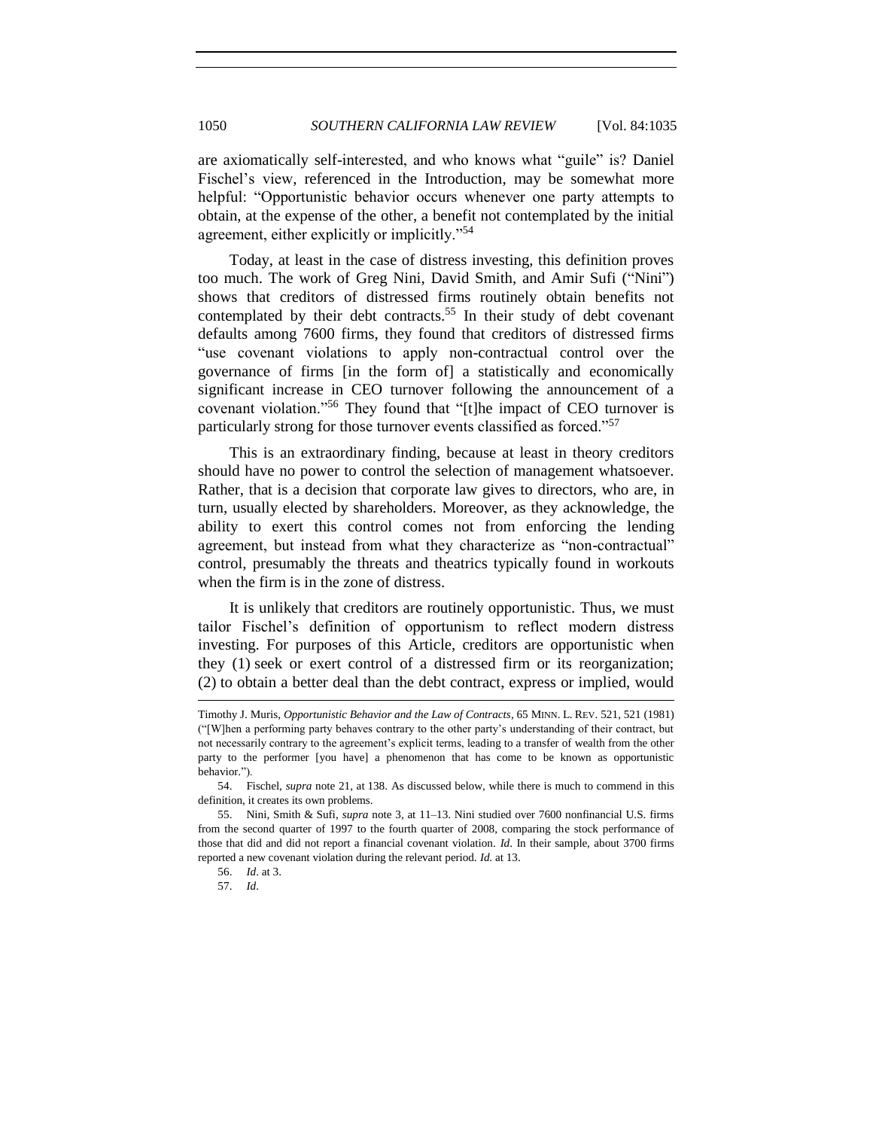are axiomatically self-interested, and who knows what "guile" is? Daniel Fischel's view, referenced in the Introduction, may be somewhat more helpful: "Opportunistic behavior occurs whenever one party attempts to obtain, at the expense of the other, a benefit not contemplated by the initial agreement, either explicitly or implicitly."<sup>54</sup>

Today, at least in the case of distress investing, this definition proves too much. The work of Greg Nini, David Smith, and Amir Sufi ("Nini") shows that creditors of distressed firms routinely obtain benefits not contemplated by their debt contracts.<sup>55</sup> In their study of debt covenant defaults among 7600 firms, they found that creditors of distressed firms "use covenant violations to apply non-contractual control over the governance of firms [in the form of] a statistically and economically significant increase in CEO turnover following the announcement of a covenant violation."<sup>56</sup> They found that "[t]he impact of CEO turnover is particularly strong for those turnover events classified as forced."<sup>57</sup>

This is an extraordinary finding, because at least in theory creditors should have no power to control the selection of management whatsoever. Rather, that is a decision that corporate law gives to directors, who are, in turn, usually elected by shareholders. Moreover, as they acknowledge, the ability to exert this control comes not from enforcing the lending agreement, but instead from what they characterize as "non-contractual" control, presumably the threats and theatrics typically found in workouts when the firm is in the zone of distress.

It is unlikely that creditors are routinely opportunistic. Thus, we must tailor Fischel's definition of opportunism to reflect modern distress investing. For purposes of this Article, creditors are opportunistic when they (1) seek or exert control of a distressed firm or its reorganization; (2) to obtain a better deal than the debt contract, express or implied, would l

Timothy J. Muris, *Opportunistic Behavior and the Law of Contracts*, 65 MINN. L. REV. 521, 521 (1981) (―[W]hen a performing party behaves contrary to the other party's understanding of their contract, but not necessarily contrary to the agreement's explicit terms, leading to a transfer of wealth from the other party to the performer [you have] a phenomenon that has come to be known as opportunistic behavior.").

<sup>54.</sup> Fischel, *supra* not[e 21,](#page-5-0) at 138. As discussed below, while there is much to commend in this definition, it creates its own problems.

<sup>55.</sup> Nini, Smith & Sufi, *supra* note [3,](#page-2-0) at 11–13. Nini studied over 7600 nonfinancial U.S. firms from the second quarter of 1997 to the fourth quarter of 2008, comparing the stock performance of those that did and did not report a financial covenant violation. *Id*. In their sample, about 3700 firms reported a new covenant violation during the relevant period. *Id.* at 13.

<sup>56.</sup> *Id*. at 3.

<sup>57.</sup> *Id*.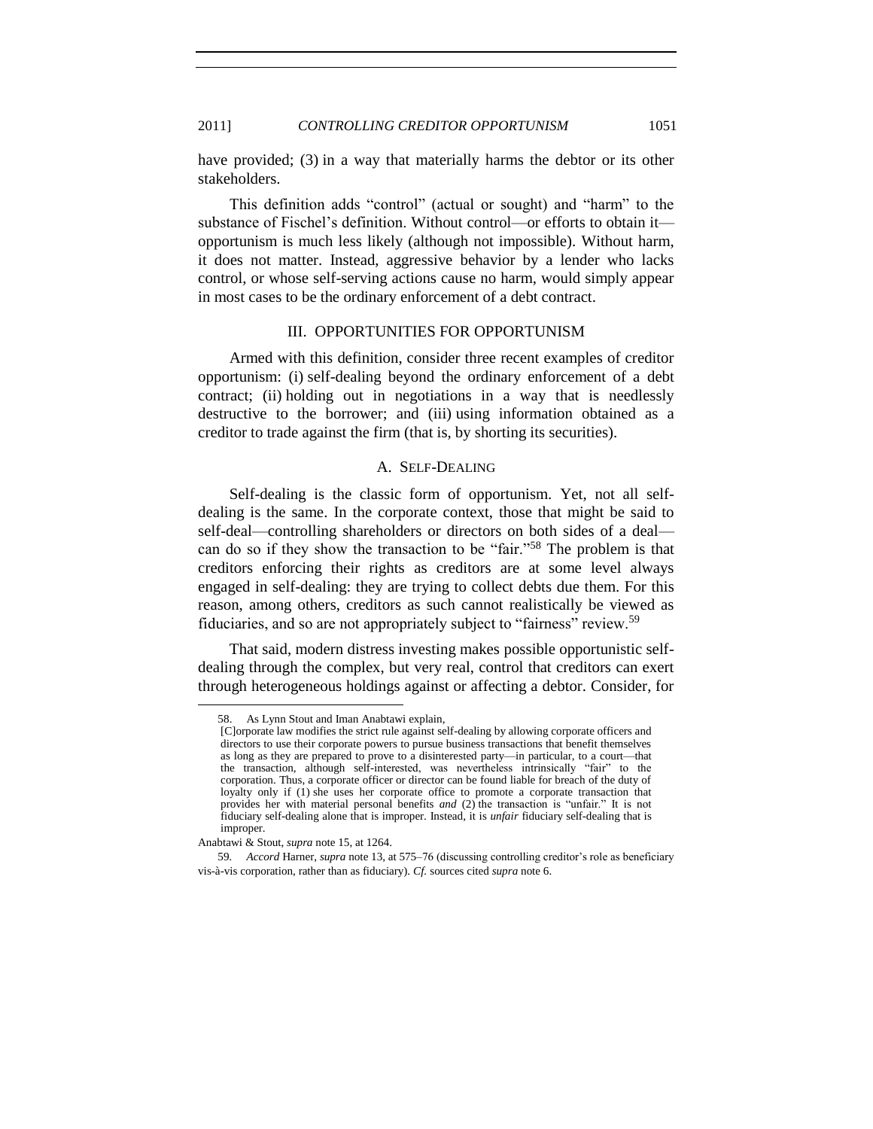#### 2011] *CONTROLLING CREDITOR OPPORTUNISM* 1051

have provided; (3) in a way that materially harms the debtor or its other stakeholders.

This definition adds "control" (actual or sought) and "harm" to the substance of Fischel's definition. Without control—or efforts to obtain it opportunism is much less likely (although not impossible). Without harm, it does not matter. Instead, aggressive behavior by a lender who lacks control, or whose self-serving actions cause no harm, would simply appear in most cases to be the ordinary enforcement of a debt contract.

#### III. OPPORTUNITIES FOR OPPORTUNISM

<span id="page-16-0"></span>Armed with this definition, consider three recent examples of creditor opportunism: (i) self-dealing beyond the ordinary enforcement of a debt contract; (ii) holding out in negotiations in a way that is needlessly destructive to the borrower; and (iii) using information obtained as a creditor to trade against the firm (that is, by shorting its securities).

#### A. SELF-DEALING

<span id="page-16-1"></span>Self-dealing is the classic form of opportunism. Yet, not all selfdealing is the same. In the corporate context, those that might be said to self-deal—controlling shareholders or directors on both sides of a deal can do so if they show the transaction to be "fair."<sup>58</sup> The problem is that creditors enforcing their rights as creditors are at some level always engaged in self-dealing: they are trying to collect debts due them. For this reason, among others, creditors as such cannot realistically be viewed as fiduciaries, and so are not appropriately subject to "fairness" review.<sup>59</sup>

That said, modern distress investing makes possible opportunistic selfdealing through the complex, but very real, control that creditors can exert through heterogeneous holdings against or affecting a debtor. Consider, for

<sup>58.</sup> As Lynn Stout and Iman Anabtawi explain,

<sup>[</sup>C]orporate law modifies the strict rule against self-dealing by allowing corporate officers and directors to use their corporate powers to pursue business transactions that benefit themselves as long as they are prepared to prove to a disinterested party—in particular, to a court—that the transaction, although self-interested, was nevertheless intrinsically "fair" to the corporation. Thus, a corporate officer or director can be found liable for breach of the duty of loyalty only if (1) she uses her corporate office to promote a corporate transaction that provides her with material personal benefits *and* (2) the transaction is "unfair." It is not fiduciary self-dealing alone that is improper. Instead, it is *unfair* fiduciary self-dealing that is improper.

Anabtawi & Stout, *supra* not[e 15,](#page-4-0) at 1264.

<sup>59</sup>*. Accord* Harner, *supra* not[e 13,](#page-4-1) at 575–76 (discussing controlling creditor's role as beneficiary vis-à-vis corporation, rather than as fiduciary). *Cf.* sources cited *supra* not[e 6.](#page-2-2)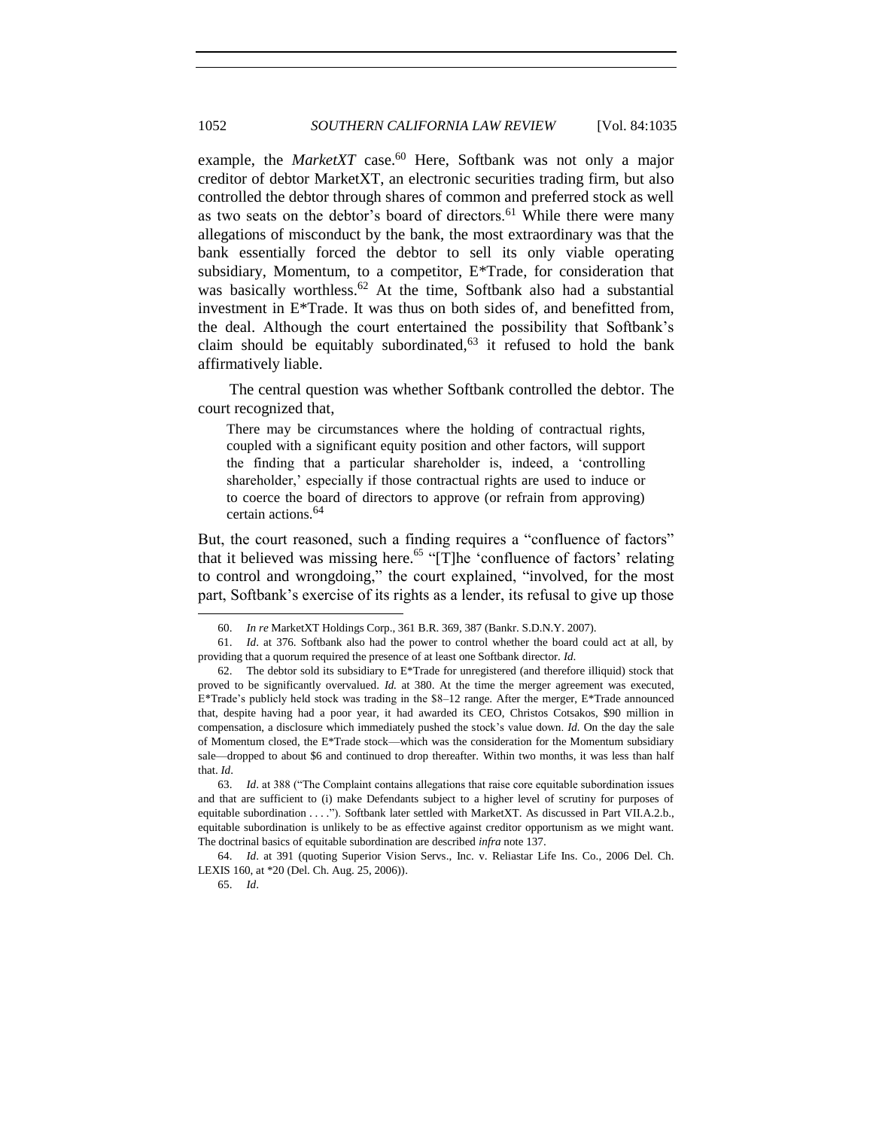example, the *MarketXT* case.<sup>60</sup> Here, Softbank was not only a major creditor of debtor MarketXT, an electronic securities trading firm, but also controlled the debtor through shares of common and preferred stock as well as two seats on the debtor's board of directors.<sup>61</sup> While there were many allegations of misconduct by the bank, the most extraordinary was that the bank essentially forced the debtor to sell its only viable operating subsidiary, Momentum, to a competitor, E\*Trade, for consideration that was basically worthless.<sup>62</sup> At the time, Softbank also had a substantial investment in E\*Trade. It was thus on both sides of, and benefitted from, the deal. Although the court entertained the possibility that Softbank's claim should be equitably subordinated,  $63$  it refused to hold the bank affirmatively liable.

The central question was whether Softbank controlled the debtor. The court recognized that,

There may be circumstances where the holding of contractual rights, coupled with a significant equity position and other factors, will support the finding that a particular shareholder is, indeed, a ‗controlling shareholder,' especially if those contractual rights are used to induce or to coerce the board of directors to approve (or refrain from approving) certain actions.<sup>64</sup>

But, the court reasoned, such a finding requires a "confluence of factors" that it believed was missing here.<sup>65</sup> "[T]he 'confluence of factors' relating to control and wrongdoing," the court explained, "involved, for the most part, Softbank's exercise of its rights as a lender, its refusal to give up those

64. *Id*. at 391 (quoting Superior Vision Servs., Inc. v. Reliastar Life Ins. Co., 2006 Del. Ch. LEXIS 160, at \*20 (Del. Ch. Aug. 25, 2006)).

<sup>60.</sup> *In re* MarketXT Holdings Corp., 361 B.R. 369, 387 (Bankr. S.D.N.Y. 2007).

<sup>61.</sup> *Id*. at 376. Softbank also had the power to control whether the board could act at all, by providing that a quorum required the presence of at least one Softbank director. *Id*.

<sup>62.</sup> The debtor sold its subsidiary to  $E^*$ Trade for unregistered (and therefore illiquid) stock that proved to be significantly overvalued. *Id.* at 380. At the time the merger agreement was executed, E\*Trade's publicly held stock was trading in the \$8–12 range. After the merger, E\*Trade announced that, despite having had a poor year, it had awarded its CEO, Christos Cotsakos, \$90 million in compensation, a disclosure which immediately pushed the stock's value down. *Id.* On the day the sale of Momentum closed, the E\*Trade stock—which was the consideration for the Momentum subsidiary sale—dropped to about \$6 and continued to drop thereafter. Within two months, it was less than half that. *Id*.

<sup>63.</sup> *Id.* at 388 ("The Complaint contains allegations that raise core equitable subordination issues and that are sufficient to (i) make Defendants subject to a higher level of scrutiny for purposes of equitable subordination . . . ."). Softbank later settled with MarketXT. As discussed in Part VII.A.2.b., equitable subordination is unlikely to be as effective against creditor opportunism as we might want. The doctrinal basics of equitable subordination are described *infra* not[e 137.](#page-32-1)

<sup>65.</sup> *Id*.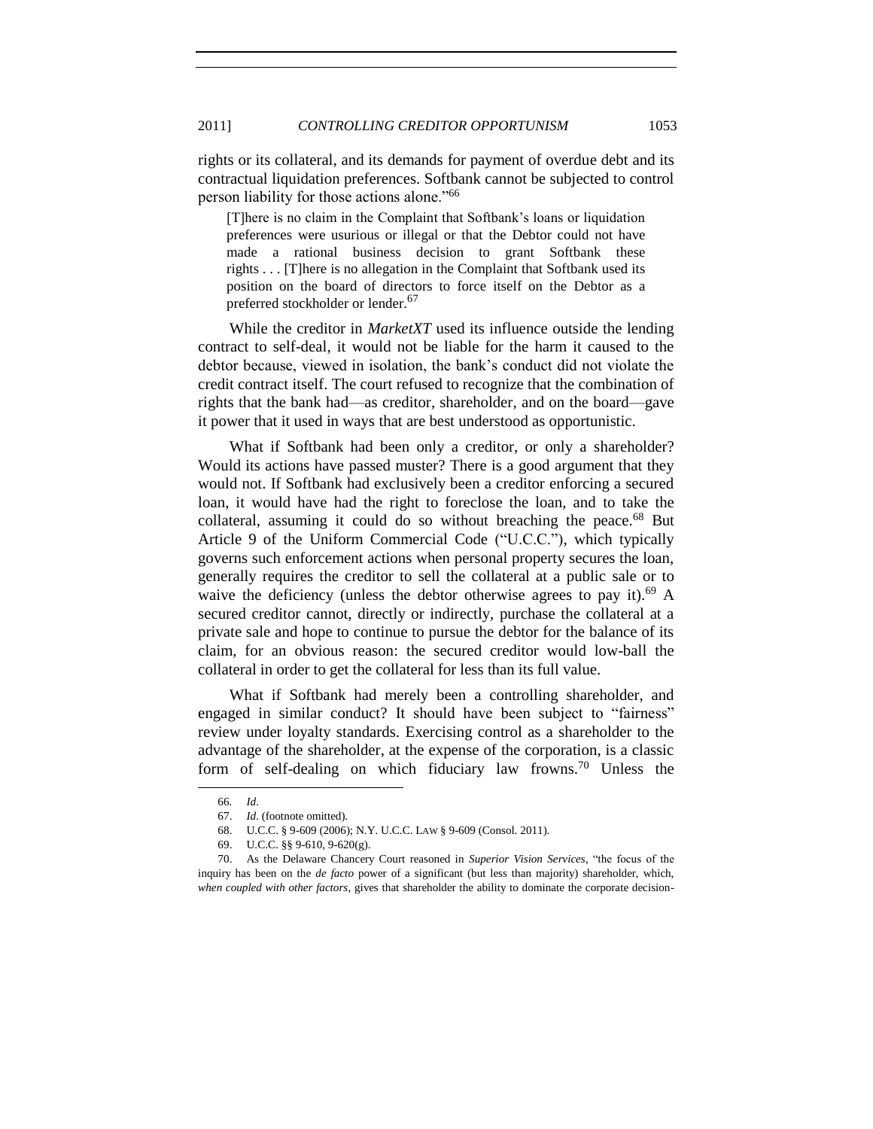rights or its collateral, and its demands for payment of overdue debt and its contractual liquidation preferences. Softbank cannot be subjected to control person liability for those actions alone."<sup>66</sup>

[T]here is no claim in the Complaint that Softbank's loans or liquidation preferences were usurious or illegal or that the Debtor could not have made a rational business decision to grant Softbank these rights . . . [T]here is no allegation in the Complaint that Softbank used its position on the board of directors to force itself on the Debtor as a preferred stockholder or lender.<sup>67</sup>

While the creditor in *MarketXT* used its influence outside the lending contract to self-deal, it would not be liable for the harm it caused to the debtor because, viewed in isolation, the bank's conduct did not violate the credit contract itself. The court refused to recognize that the combination of rights that the bank had—as creditor, shareholder, and on the board—gave it power that it used in ways that are best understood as opportunistic.

What if Softbank had been only a creditor, or only a shareholder? Would its actions have passed muster? There is a good argument that they would not. If Softbank had exclusively been a creditor enforcing a secured loan, it would have had the right to foreclose the loan, and to take the collateral, assuming it could do so without breaching the peace.<sup>68</sup> But Article 9 of the Uniform Commercial Code ("U.C.C."), which typically governs such enforcement actions when personal property secures the loan, generally requires the creditor to sell the collateral at a public sale or to waive the deficiency (unless the debtor otherwise agrees to pay it).<sup>69</sup> A secured creditor cannot, directly or indirectly, purchase the collateral at a private sale and hope to continue to pursue the debtor for the balance of its claim, for an obvious reason: the secured creditor would low-ball the collateral in order to get the collateral for less than its full value.

What if Softbank had merely been a controlling shareholder, and engaged in similar conduct? It should have been subject to "fairness" review under loyalty standards. Exercising control as a shareholder to the advantage of the shareholder, at the expense of the corporation, is a classic form of self-dealing on which fiduciary law frowns.<sup>70</sup> Unless the

<sup>66</sup>*. Id*.

<sup>67.</sup> *Id*. (footnote omitted).

<sup>68.</sup> U.C.C. § 9-609 (2006); N.Y. U.C.C. LAW § 9-609 (Consol. 2011).

<sup>69.</sup> U.C.C. §§ 9-610, 9-620(g).

<sup>70.</sup> As the Delaware Chancery Court reasoned in *Superior Vision Services*, "the focus of the inquiry has been on the *de facto* power of a significant (but less than majority) shareholder, which, *when coupled with other factors*, gives that shareholder the ability to dominate the corporate decision-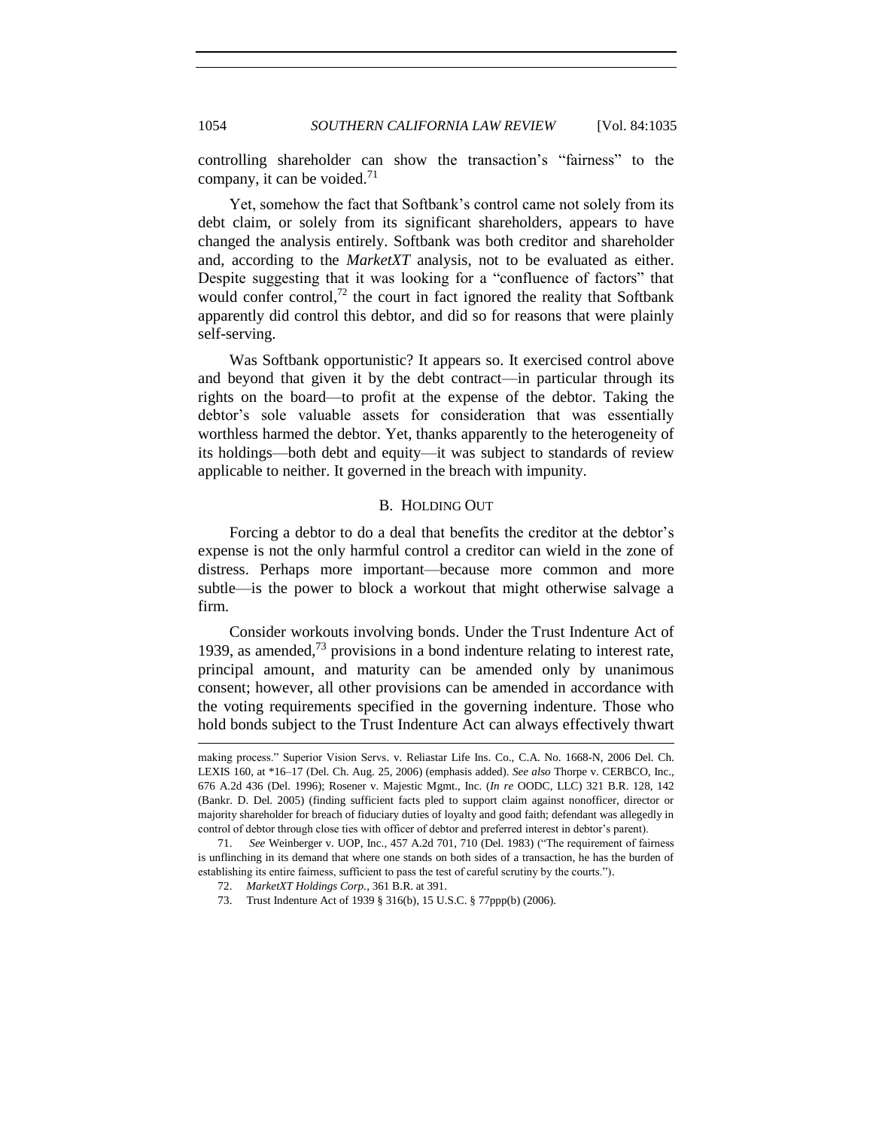controlling shareholder can show the transaction's "fairness" to the company, it can be voided.<sup>71</sup>

Yet, somehow the fact that Softbank's control came not solely from its debt claim, or solely from its significant shareholders, appears to have changed the analysis entirely. Softbank was both creditor and shareholder and, according to the *MarketXT* analysis, not to be evaluated as either. Despite suggesting that it was looking for a "confluence of factors" that would confer control,<sup>72</sup> the court in fact ignored the reality that Softbank apparently did control this debtor, and did so for reasons that were plainly self-serving.

Was Softbank opportunistic? It appears so. It exercised control above and beyond that given it by the debt contract—in particular through its rights on the board—to profit at the expense of the debtor. Taking the debtor's sole valuable assets for consideration that was essentially worthless harmed the debtor. Yet, thanks apparently to the heterogeneity of its holdings—both debt and equity—it was subject to standards of review applicable to neither. It governed in the breach with impunity.

## B. HOLDING OUT

<span id="page-19-0"></span>Forcing a debtor to do a deal that benefits the creditor at the debtor's expense is not the only harmful control a creditor can wield in the zone of distress. Perhaps more important—because more common and more subtle—is the power to block a workout that might otherwise salvage a firm.

Consider workouts involving bonds. Under the Trust Indenture Act of 1939, as amended, $^{73}$  provisions in a bond indenture relating to interest rate, principal amount, and maturity can be amended only by unanimous consent; however, all other provisions can be amended in accordance with the voting requirements specified in the governing indenture. Those who hold bonds subject to the Trust Indenture Act can always effectively thwart

making process.‖ Superior Vision Servs. v. Reliastar Life Ins. Co., C.A. No. 1668-N, 2006 Del. Ch. LEXIS 160, at \*16–17 (Del. Ch. Aug. 25, 2006) (emphasis added). *See also* Thorpe v. CERBCO, Inc., 676 A.2d 436 (Del. 1996); Rosener v. Majestic Mgmt., Inc. (*In re* OODC, LLC) 321 B.R. 128, 142 (Bankr. D. Del. 2005) (finding sufficient facts pled to support claim against nonofficer, director or majority shareholder for breach of fiduciary duties of loyalty and good faith; defendant was allegedly in control of debtor through close ties with officer of debtor and preferred interest in debtor's parent).

<sup>71.</sup> *See* Weinberger v. UOP, Inc., 457 A.2d 701, 710 (Del. 1983) ("The requirement of fairness is unflinching in its demand that where one stands on both sides of a transaction, he has the burden of establishing its entire fairness, sufficient to pass the test of careful scrutiny by the courts.").

<sup>72.</sup> *MarketXT Holdings Corp.*, 361 B.R. at 391.

<sup>73.</sup> Trust Indenture Act of 1939 § 316(b), 15 U.S.C. § 77ppp(b) (2006).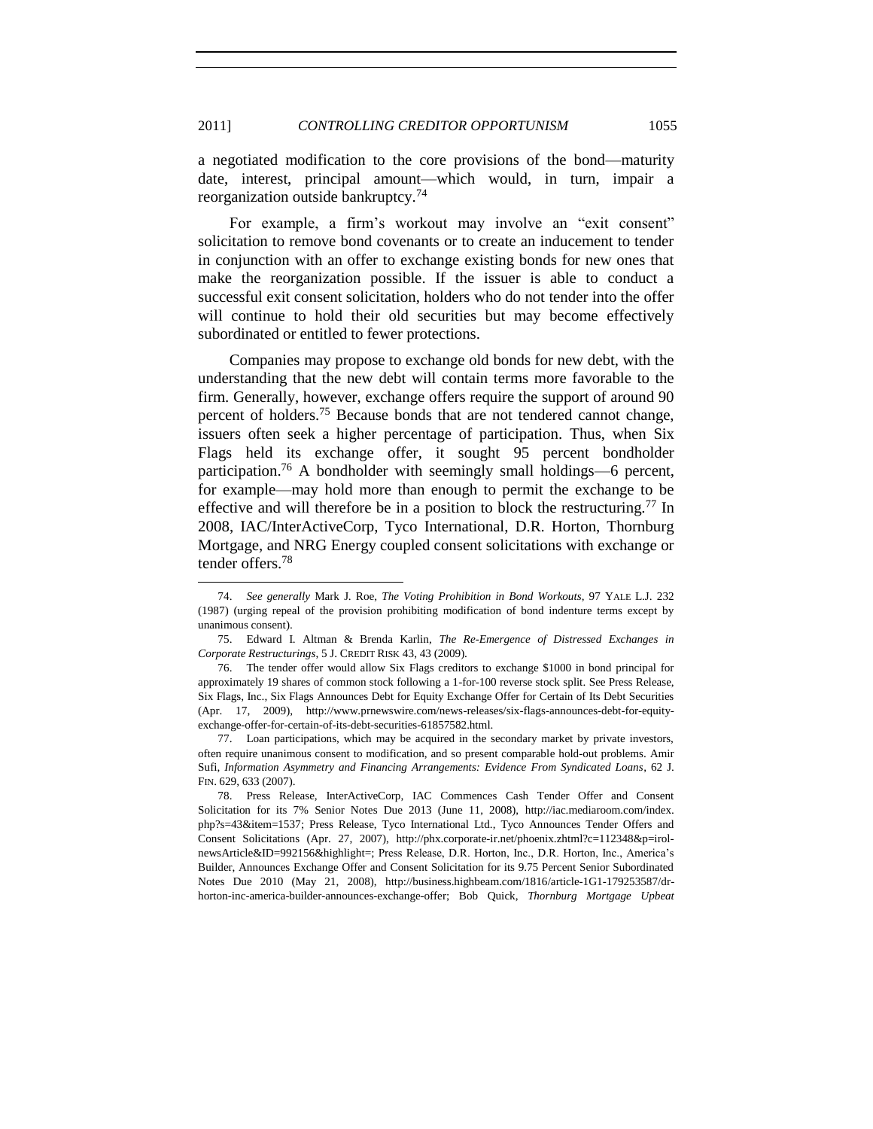a negotiated modification to the core provisions of the bond—maturity date, interest, principal amount—which would, in turn, impair a reorganization outside bankruptcy.<sup>74</sup>

For example, a firm's workout may involve an "exit consent" solicitation to remove bond covenants or to create an inducement to tender in conjunction with an offer to exchange existing bonds for new ones that make the reorganization possible. If the issuer is able to conduct a successful exit consent solicitation, holders who do not tender into the offer will continue to hold their old securities but may become effectively subordinated or entitled to fewer protections.

Companies may propose to exchange old bonds for new debt, with the understanding that the new debt will contain terms more favorable to the firm. Generally, however, exchange offers require the support of around 90 percent of holders.<sup>75</sup> Because bonds that are not tendered cannot change, issuers often seek a higher percentage of participation. Thus, when Six Flags held its exchange offer, it sought 95 percent bondholder participation.<sup>76</sup> A bondholder with seemingly small holdings—6 percent, for example—may hold more than enough to permit the exchange to be effective and will therefore be in a position to block the restructuring.<sup>77</sup> In 2008, IAC/InterActiveCorp, Tyco International, D.R. Horton, Thornburg Mortgage, and NRG Energy coupled consent solicitations with exchange or tender offers.<sup>78</sup>

<sup>74.</sup> *See generally* Mark J. Roe, *The Voting Prohibition in Bond Workouts*, 97 YALE L.J. 232 (1987) (urging repeal of the provision prohibiting modification of bond indenture terms except by unanimous consent).

<sup>75.</sup> Edward I. Altman & Brenda Karlin, *The Re-Emergence of Distressed Exchanges in Corporate Restructurings*, 5 J. CREDIT RISK 43, 43 (2009).

<sup>76.</sup> The tender offer would allow Six Flags creditors to exchange \$1000 in bond principal for approximately 19 shares of common stock following a 1-for-100 reverse stock split. See Press Release, Six Flags, Inc., Six Flags Announces Debt for Equity Exchange Offer for Certain of Its Debt Securities (Apr. 17, 2009), http://www.prnewswire.com/news-releases/six-flags-announces-debt-for-equityexchange-offer-for-certain-of-its-debt-securities-61857582.html.

<sup>77.</sup> Loan participations, which may be acquired in the secondary market by private investors, often require unanimous consent to modification, and so present comparable hold-out problems. Amir Sufi, *Information Asymmetry and Financing Arrangements: Evidence From Syndicated Loans*, 62 J. FIN. 629, 633 (2007).

<sup>78.</sup> Press Release, InterActiveCorp, IAC Commences Cash Tender Offer and Consent Solicitation for its 7% Senior Notes Due 2013 (June 11, 2008), http://iac.mediaroom.com/index. php?s=43&item=1537; Press Release, Tyco International Ltd., Tyco Announces Tender Offers and Consent Solicitations (Apr. 27, 2007), http://phx.corporate-ir.net/phoenix.zhtml?c=112348&p=irolnewsArticle&ID=992156&highlight=; Press Release, D.R. Horton, Inc., D.R. Horton, Inc., America's Builder, Announces Exchange Offer and Consent Solicitation for its 9.75 Percent Senior Subordinated Notes Due 2010 (May 21, 2008), http://business.highbeam.com/1816/article-1G1-179253587/drhorton-inc-america-builder-announces-exchange-offer; Bob Quick, *Thornburg Mortgage Upbeat*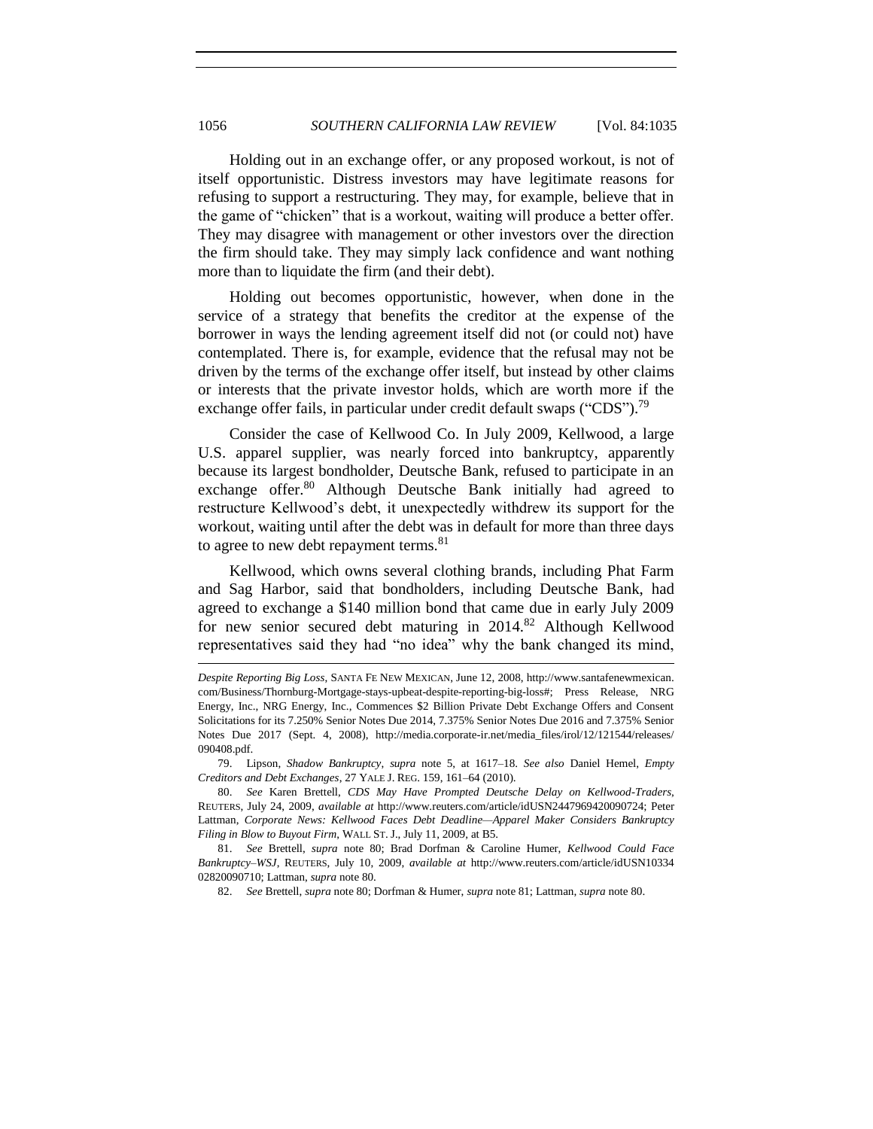Holding out in an exchange offer, or any proposed workout, is not of itself opportunistic. Distress investors may have legitimate reasons for refusing to support a restructuring. They may, for example, believe that in the game of "chicken" that is a workout, waiting will produce a better offer. They may disagree with management or other investors over the direction the firm should take. They may simply lack confidence and want nothing more than to liquidate the firm (and their debt).

Holding out becomes opportunistic, however, when done in the service of a strategy that benefits the creditor at the expense of the borrower in ways the lending agreement itself did not (or could not) have contemplated. There is, for example, evidence that the refusal may not be driven by the terms of the exchange offer itself, but instead by other claims or interests that the private investor holds, which are worth more if the exchange offer fails, in particular under credit default swaps ("CDS").<sup>79</sup>

<span id="page-21-0"></span>Consider the case of Kellwood Co. In July 2009, Kellwood, a large U.S. apparel supplier, was nearly forced into bankruptcy, apparently because its largest bondholder, Deutsche Bank, refused to participate in an exchange offer.<sup>80</sup> Although Deutsche Bank initially had agreed to restructure Kellwood's debt, it unexpectedly withdrew its support for the workout, waiting until after the debt was in default for more than three days to agree to new debt repayment terms.<sup>81</sup>

<span id="page-21-1"></span>Kellwood, which owns several clothing brands, including Phat Farm and Sag Harbor, said that bondholders, including Deutsche Bank, had agreed to exchange a \$140 million bond that came due in early July 2009 for new senior secured debt maturing in  $2014$ .<sup>82</sup> Although Kellwood representatives said they had "no idea" why the bank changed its mind,

82. *See* Brettell, *supra* not[e 80;](#page-21-0) Dorfman & Humer, *supra* not[e 81;](#page-21-1) Lattman, *supra* not[e 80.](#page-21-0)

*Despite Reporting Big Loss*, SANTA FE NEW MEXICAN, June 12, 2008, http://www.santafenewmexican. com/Business/Thornburg-Mortgage-stays-upbeat-despite-reporting-big-loss#; Press Release, NRG Energy, Inc., NRG Energy, Inc., Commences \$2 Billion Private Debt Exchange Offers and Consent Solicitations for its 7.250% Senior Notes Due 2014, 7.375% Senior Notes Due 2016 and 7.375% Senior Notes Due 2017 (Sept. 4, 2008), http://media.corporate-ir.net/media\_files/irol/12/121544/releases/ 090408.pdf.

<sup>79.</sup> Lipson, *Shadow Bankruptcy*, *supra* note [5,](#page-2-1) at 1617–18. *See also* Daniel Hemel, *Empty Creditors and Debt Exchanges*, 27 YALE J. REG. 159, 161–64 (2010).

<sup>80.</sup> *See* Karen Brettell, *CDS May Have Prompted Deutsche Delay on Kellwood-Traders*, REUTERS, July 24, 2009, *available at* http://www.reuters.com/article/idUSN2447969420090724; Peter Lattman, *Corporate News: Kellwood Faces Debt Deadline—Apparel Maker Considers Bankruptcy Filing in Blow to Buyout Firm*, WALL ST. J., July 11, 2009, at B5.

<sup>81.</sup> *See* Brettell, *supra* note [80;](#page-21-0) Brad Dorfman & Caroline Humer, *Kellwood Could Face Bankruptcy–WSJ*, REUTERS, July 10, 2009, *available at* http://www.reuters.com/article/idUSN10334 02820090710; Lattman, *supra* not[e 80.](#page-21-0)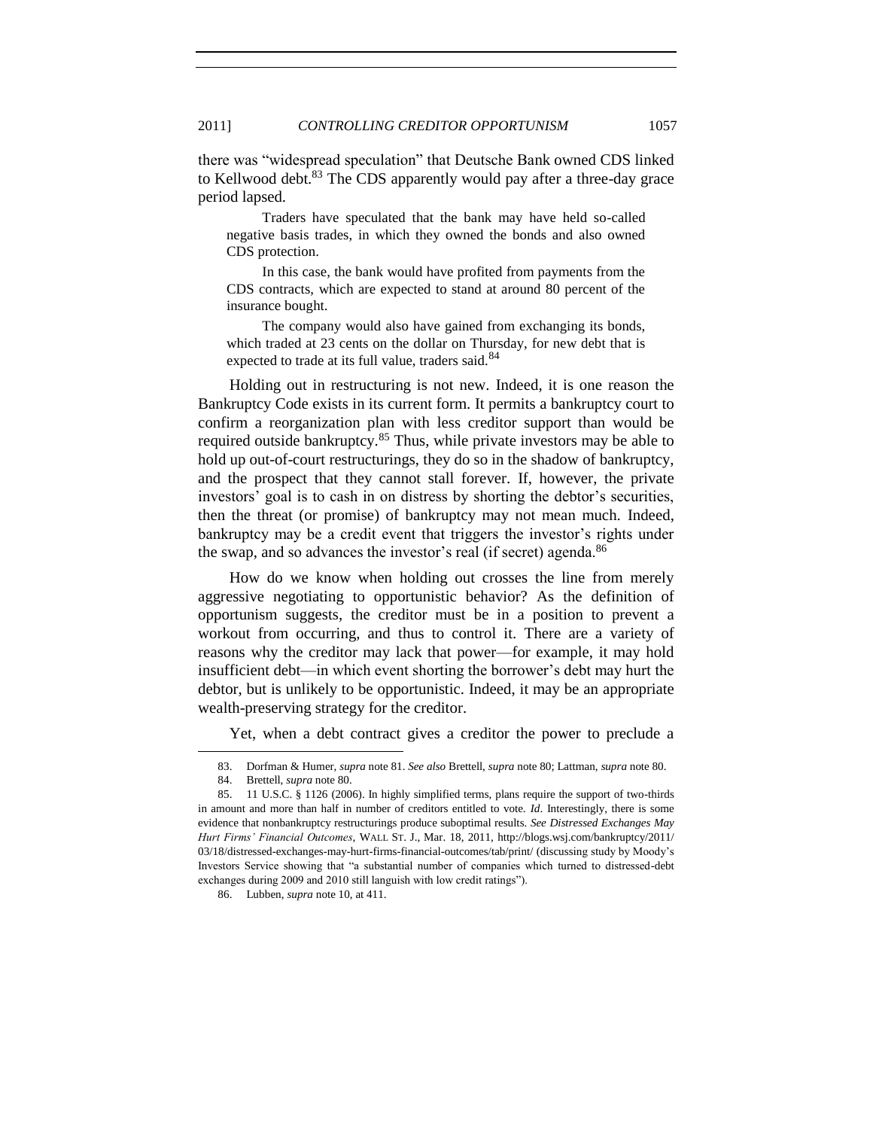there was "widespread speculation" that Deutsche Bank owned CDS linked to Kellwood debt.<sup>83</sup> The CDS apparently would pay after a three-day grace period lapsed.

Traders have speculated that the bank may have held so-called negative basis trades, in which they owned the bonds and also owned CDS protection.

In this case, the bank would have profited from payments from the CDS contracts, which are expected to stand at around 80 percent of the insurance bought.

The company would also have gained from exchanging its bonds, which traded at 23 cents on the dollar on Thursday, for new debt that is expected to trade at its full value, traders said.<sup>84</sup>

Holding out in restructuring is not new. Indeed, it is one reason the Bankruptcy Code exists in its current form. It permits a bankruptcy court to confirm a reorganization plan with less creditor support than would be required outside bankruptcy.<sup>85</sup> Thus, while private investors may be able to hold up out-of-court restructurings, they do so in the shadow of bankruptcy, and the prospect that they cannot stall forever. If, however, the private investors' goal is to cash in on distress by shorting the debtor's securities, then the threat (or promise) of bankruptcy may not mean much. Indeed, bankruptcy may be a credit event that triggers the investor's rights under the swap, and so advances the investor's real (if secret) agenda.<sup>86</sup>

How do we know when holding out crosses the line from merely aggressive negotiating to opportunistic behavior? As the definition of opportunism suggests, the creditor must be in a position to prevent a workout from occurring, and thus to control it. There are a variety of reasons why the creditor may lack that power—for example, it may hold insufficient debt—in which event shorting the borrower's debt may hurt the debtor, but is unlikely to be opportunistic. Indeed, it may be an appropriate wealth-preserving strategy for the creditor.

Yet, when a debt contract gives a creditor the power to preclude a

<sup>83.</sup> Dorfman & Humer, *supra* not[e 81.](#page-21-1) *See also* Brettell, *supra* not[e 80;](#page-21-0) Lattman, *supra* not[e 80.](#page-21-0)

<sup>84.</sup> Brettell, *supra* not[e 80.](#page-21-0)

<sup>85.</sup> 11 U.S.C. § 1126 (2006). In highly simplified terms, plans require the support of two-thirds in amount and more than half in number of creditors entitled to vote. *Id*. Interestingly, there is some evidence that nonbankruptcy restructurings produce suboptimal results. *See Distressed Exchanges May Hurt Firms' Financial Outcomes*, WALL ST. J., Mar. 18, 2011, http://blogs.wsj.com/bankruptcy/2011/ 03/18/distressed-exchanges-may-hurt-firms-financial-outcomes/tab/print/ (discussing study by Moody's Investors Service showing that "a substantial number of companies which turned to distressed-debt exchanges during 2009 and 2010 still languish with low credit ratings").

<sup>86.</sup> Lubben, *supra* not[e 10,](#page-3-1) at 411.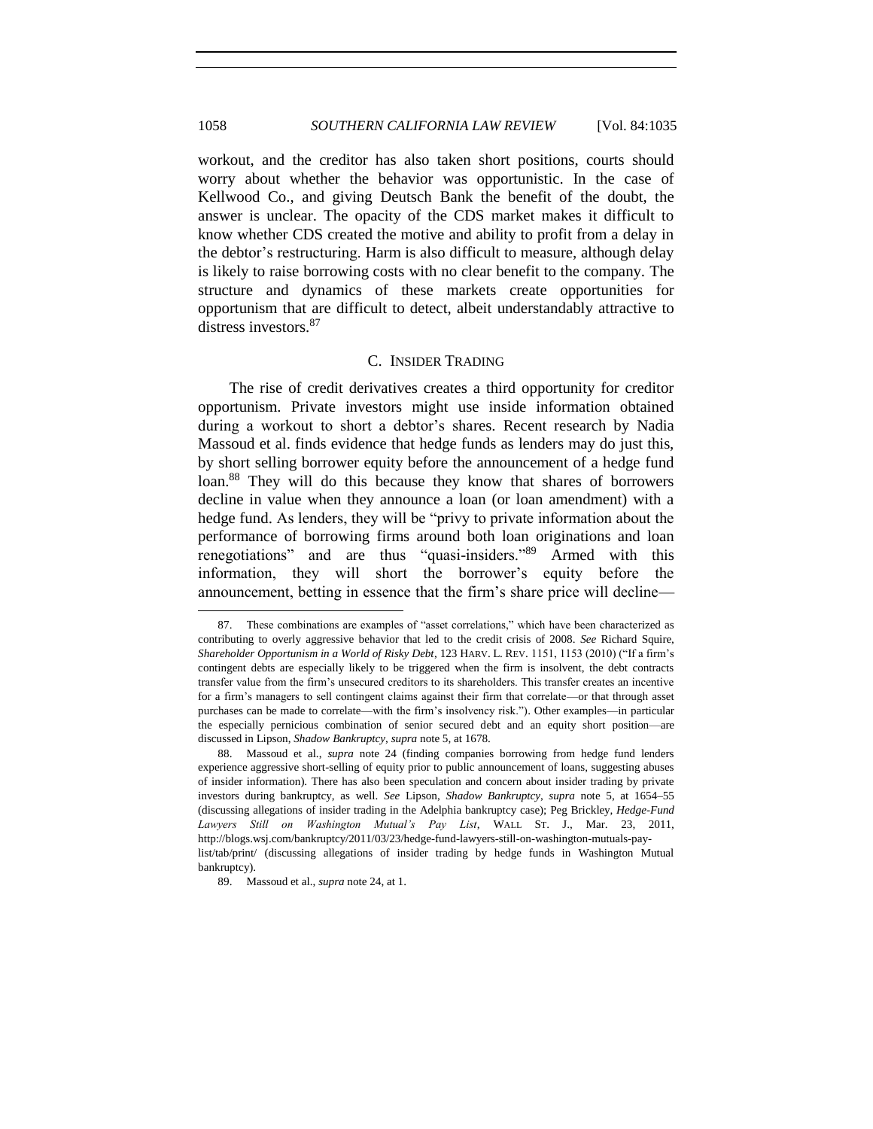workout, and the creditor has also taken short positions, courts should worry about whether the behavior was opportunistic. In the case of Kellwood Co., and giving Deutsch Bank the benefit of the doubt, the answer is unclear. The opacity of the CDS market makes it difficult to know whether CDS created the motive and ability to profit from a delay in the debtor's restructuring. Harm is also difficult to measure, although delay is likely to raise borrowing costs with no clear benefit to the company. The structure and dynamics of these markets create opportunities for opportunism that are difficult to detect, albeit understandably attractive to distress investors.<sup>87</sup>

#### C. INSIDER TRADING

<span id="page-23-0"></span>The rise of credit derivatives creates a third opportunity for creditor opportunism. Private investors might use inside information obtained during a workout to short a debtor's shares. Recent research by Nadia Massoud et al. finds evidence that hedge funds as lenders may do just this, by short selling borrower equity before the announcement of a hedge fund loan.<sup>88</sup> They will do this because they know that shares of borrowers decline in value when they announce a loan (or loan amendment) with a hedge fund. As lenders, they will be "privy to private information about the performance of borrowing firms around both loan originations and loan renegotiations" and are thus "quasi-insiders."<sup>89</sup> Armed with this information, they will short the borrower's equity before the announcement, betting in essence that the firm's share price will decline—

<sup>87.</sup> These combinations are examples of "asset correlations," which have been characterized as contributing to overly aggressive behavior that led to the credit crisis of 2008. *See* Richard Squire, *Shareholder Opportunism in a World of Risky Debt*, 123 HARV. L. REV. 1151, 1153 (2010) ("If a firm's contingent debts are especially likely to be triggered when the firm is insolvent, the debt contracts transfer value from the firm's unsecured creditors to its shareholders. This transfer creates an incentive for a firm's managers to sell contingent claims against their firm that correlate—or that through asset purchases can be made to correlate—with the firm's insolvency risk."). Other examples—in particular the especially pernicious combination of senior secured debt and an equity short position—are discussed in Lipson, *Shadow Bankruptcy*, *supra* not[e 5,](#page-2-1) at 1678.

<sup>88.</sup> Massoud et al., *supra* note 24 (finding companies borrowing from hedge fund lenders experience aggressive short-selling of equity prior to public announcement of loans, suggesting abuses of insider information). There has also been speculation and concern about insider trading by private investors during bankruptcy, as well. *See* Lipson, *Shadow Bankruptcy*, *supra* note [5,](#page-2-1) at 1654–55 (discussing allegations of insider trading in the Adelphia bankruptcy case); Peg Brickley, *Hedge-Fund Lawyers Still on Washington Mutual's Pay List*, WALL ST. J., Mar. 23, 2011, http://blogs.wsj.com/bankruptcy/2011/03/23/hedge-fund-lawyers-still-on-washington-mutuals-paylist/tab/print/ (discussing allegations of insider trading by hedge funds in Washington Mutual bankruptcy).

<sup>89.</sup> Massoud et al., *supra* not[e 24,](#page-6-1) at 1.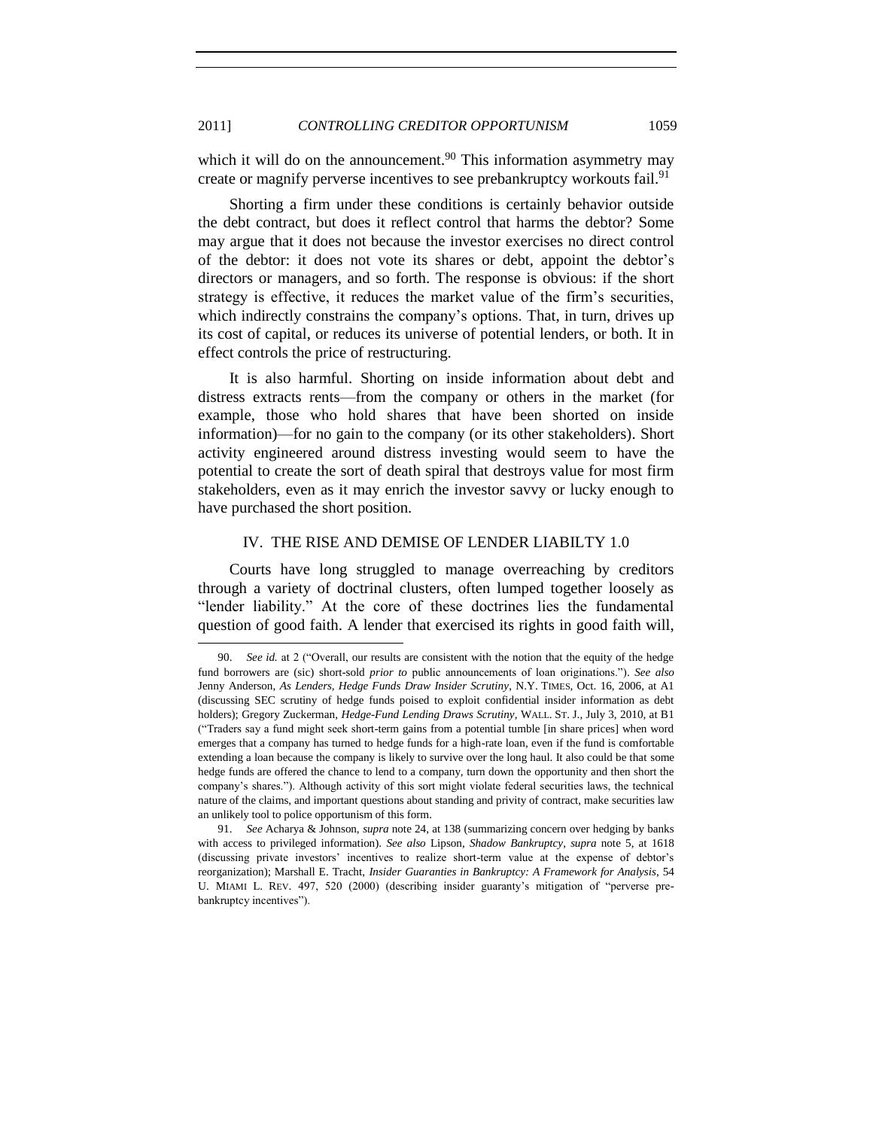which it will do on the announcement.<sup>90</sup> This information asymmetry may create or magnify perverse incentives to see prebankruptcy workouts fail.<sup>91</sup>

Shorting a firm under these conditions is certainly behavior outside the debt contract, but does it reflect control that harms the debtor? Some may argue that it does not because the investor exercises no direct control of the debtor: it does not vote its shares or debt, appoint the debtor's directors or managers, and so forth. The response is obvious: if the short strategy is effective, it reduces the market value of the firm's securities, which indirectly constrains the company's options. That, in turn, drives up its cost of capital, or reduces its universe of potential lenders, or both. It in effect controls the price of restructuring.

It is also harmful. Shorting on inside information about debt and distress extracts rents—from the company or others in the market (for example, those who hold shares that have been shorted on inside information)—for no gain to the company (or its other stakeholders). Short activity engineered around distress investing would seem to have the potential to create the sort of death spiral that destroys value for most firm stakeholders, even as it may enrich the investor savvy or lucky enough to have purchased the short position.

#### IV. THE RISE AND DEMISE OF LENDER LIABILTY 1.0

<span id="page-24-0"></span>Courts have long struggled to manage overreaching by creditors through a variety of doctrinal clusters, often lumped together loosely as "lender liability." At the core of these doctrines lies the fundamental question of good faith. A lender that exercised its rights in good faith will,

<sup>90.</sup> *See id.* at 2 ("Overall, our results are consistent with the notion that the equity of the hedge fund borrowers are (sic) short-sold *prior to* public announcements of loan originations."). See also Jenny Anderson, *As Lenders, Hedge Funds Draw Insider Scrutiny*, N.Y. TIMES, Oct. 16, 2006, at A1 (discussing SEC scrutiny of hedge funds poised to exploit confidential insider information as debt holders); Gregory Zuckerman, *Hedge-Fund Lending Draws Scrutiny*, WALL. ST. J., July 3, 2010, at B1 (―Traders say a fund might seek short-term gains from a potential tumble [in share prices] when word emerges that a company has turned to hedge funds for a high-rate loan, even if the fund is comfortable extending a loan because the company is likely to survive over the long haul. It also could be that some hedge funds are offered the chance to lend to a company, turn down the opportunity and then short the company's shares.‖). Although activity of this sort might violate federal securities laws, the technical nature of the claims, and important questions about standing and privity of contract, make securities law an unlikely tool to police opportunism of this form.

<sup>91.</sup> *See* Acharya & Johnson, *supra* note [24,](#page-6-1) at 138 (summarizing concern over hedging by banks with access to privileged information). *See also* Lipson, *Shadow Bankruptcy*, *supra* note [5,](#page-2-1) at 1618 (discussing private investors' incentives to realize short-term value at the expense of debtor's reorganization); Marshall E. Tracht, *Insider Guaranties in Bankruptcy: A Framework for Analysis*, 54 U. MIAMI L. REV. 497, 520 (2000) (describing insider guaranty's mitigation of "perverse prebankruptcy incentives").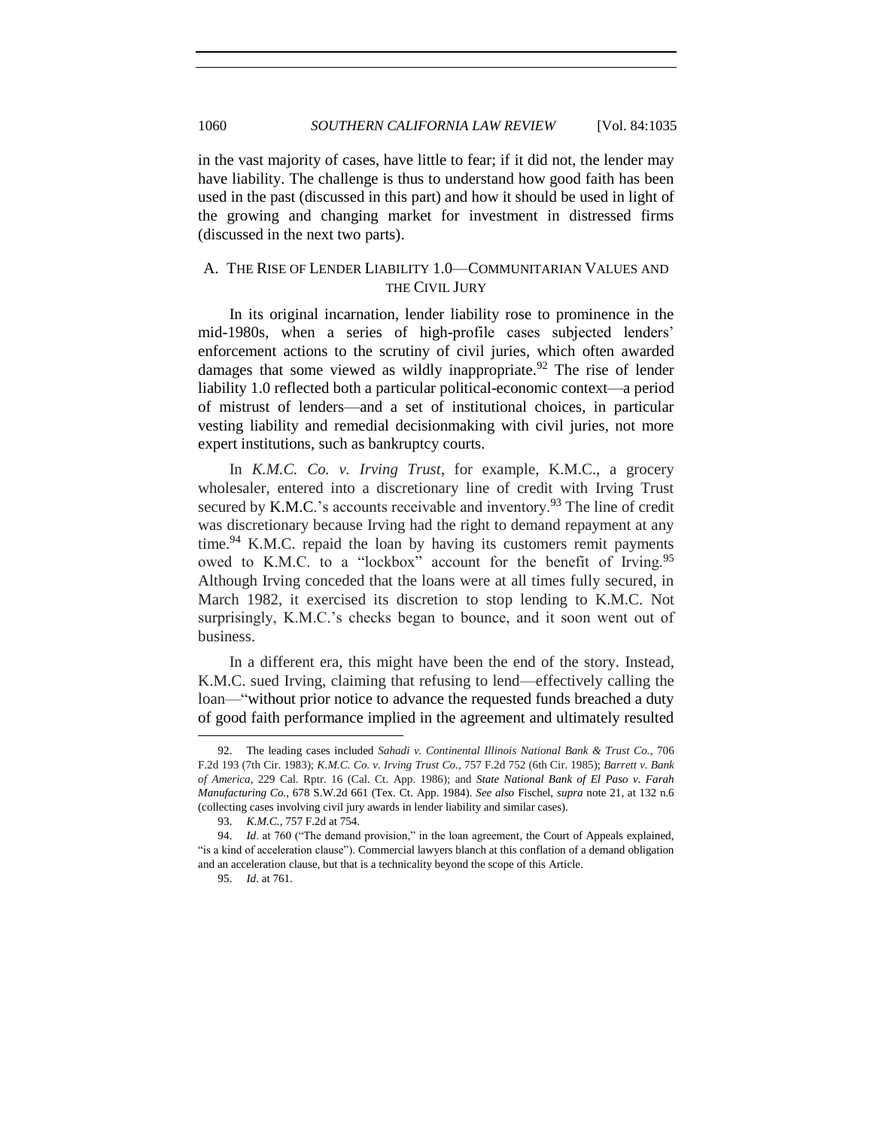in the vast majority of cases, have little to fear; if it did not, the lender may have liability. The challenge is thus to understand how good faith has been used in the past (discussed in this part) and how it should be used in light of the growing and changing market for investment in distressed firms (discussed in the next two parts).

## <span id="page-25-0"></span>A. THE RISE OF LENDER LIABILITY 1.0—COMMUNITARIAN VALUES AND THE CIVIL JURY

In its original incarnation, lender liability rose to prominence in the mid-1980s, when a series of high-profile cases subjected lenders' enforcement actions to the scrutiny of civil juries, which often awarded damages that some viewed as wildly inappropriate.<sup>92</sup> The rise of lender liability 1.0 reflected both a particular political-economic context—a period of mistrust of lenders—and a set of institutional choices, in particular vesting liability and remedial decisionmaking with civil juries, not more expert institutions, such as bankruptcy courts.

In *K.M.C. Co. v. Irving Trust*, for example, K.M.C., a grocery wholesaler, entered into a discretionary line of credit with Irving Trust secured by K.M.C.'s accounts receivable and inventory.<sup>93</sup> The line of credit was discretionary because Irving had the right to demand repayment at any time.<sup>94</sup> K.M.C. repaid the loan by having its customers remit payments owed to K.M.C. to a "lockbox" account for the benefit of Irving.<sup>95</sup> Although Irving conceded that the loans were at all times fully secured, in March 1982, it exercised its discretion to stop lending to K.M.C. Not surprisingly, K.M.C.'s checks began to bounce, and it soon went out of business.

In a different era, this might have been the end of the story. Instead, K.M.C. sued Irving, claiming that refusing to lend—effectively calling the loan—"without prior notice to advance the requested funds breached a duty of good faith performance implied in the agreement and ultimately resulted

<sup>92.</sup> The leading cases included *Sahadi v. Continental Illinois National Bank & Trust Co.*, 706 F.2d 193 (7th Cir. 1983); *K.M.C. Co. v. Irving Trust Co.*, 757 F.2d 752 (6th Cir. 1985); *Barrett v. Bank of America*, 229 Cal. Rptr. 16 (Cal. Ct. App. 1986); and *State National Bank of El Paso v. Farah Manufacturing Co.*, 678 S.W.2d 661 (Tex. Ct. App. 1984). *See also* Fischel, *supra* note [21,](#page-5-0) at 132 n.6 (collecting cases involving civil jury awards in lender liability and similar cases).

<sup>93.</sup> *K.M.C.*, 757 F.2d at 754.

<sup>94.</sup> *Id.* at 760 ("The demand provision," in the loan agreement, the Court of Appeals explained, ―is a kind of acceleration clause‖). Commercial lawyers blanch at this conflation of a demand obligation and an acceleration clause, but that is a technicality beyond the scope of this Article.

<sup>95.</sup> *Id*. at 761.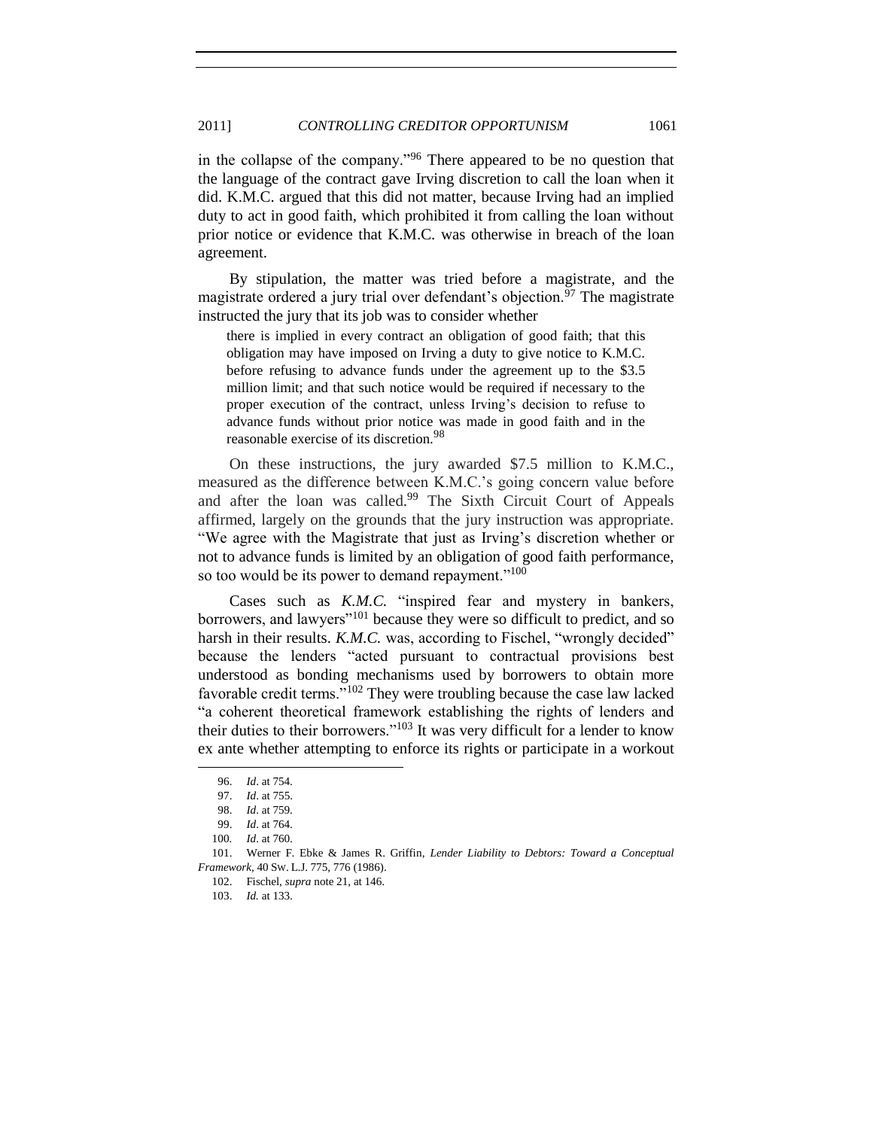in the collapse of the company.<sup> $996$ </sup> There appeared to be no question that the language of the contract gave Irving discretion to call the loan when it did. K.M.C. argued that this did not matter, because Irving had an implied duty to act in good faith, which prohibited it from calling the loan without prior notice or evidence that K.M.C. was otherwise in breach of the loan agreement.

By stipulation, the matter was tried before a magistrate, and the magistrate ordered a jury trial over defendant's objection.<sup>97</sup> The magistrate instructed the jury that its job was to consider whether

there is implied in every contract an obligation of good faith; that this obligation may have imposed on Irving a duty to give notice to K.M.C. before refusing to advance funds under the agreement up to the \$3.5 million limit; and that such notice would be required if necessary to the proper execution of the contract, unless Irving's decision to refuse to advance funds without prior notice was made in good faith and in the reasonable exercise of its discretion.<sup>98</sup>

On these instructions, the jury awarded \$7.5 million to K.M.C., measured as the difference between K.M.C.'s going concern value before and after the loan was called.<sup>99</sup> The Sixth Circuit Court of Appeals affirmed, largely on the grounds that the jury instruction was appropriate. ―We agree with the Magistrate that just as Irving's discretion whether or not to advance funds is limited by an obligation of good faith performance, so too would be its power to demand repayment." $100$ 

Cases such as *K.M.C.* "inspired fear and mystery in bankers, borrowers, and lawyers"<sup>101</sup> because they were so difficult to predict, and so harsh in their results. *K.M.C.* was, according to Fischel, "wrongly decided" because the lenders "acted pursuant to contractual provisions best understood as bonding mechanisms used by borrowers to obtain more favorable credit terms."<sup>102</sup> They were troubling because the case law lacked ―a coherent theoretical framework establishing the rights of lenders and their duties to their borrowers." $103$  It was very difficult for a lender to know ex ante whether attempting to enforce its rights or participate in a workout

<sup>96.</sup> *Id*. at 754.

<sup>97.</sup> *Id*. at 755.

<sup>98.</sup> *Id*. at 759.

<sup>99.</sup> *Id*. at 764.

<sup>100</sup>*. Id*. at 760.

<sup>101.</sup> Werner F. Ebke & James R. Griffin, *Lender Liability to Debtors: Toward a Conceptual Framework*, 40 SW. L.J. 775, 776 (1986).

<sup>102.</sup> Fischel, *supra* note [21,](#page-5-0) at 146.

<sup>103.</sup> *Id.* at 133.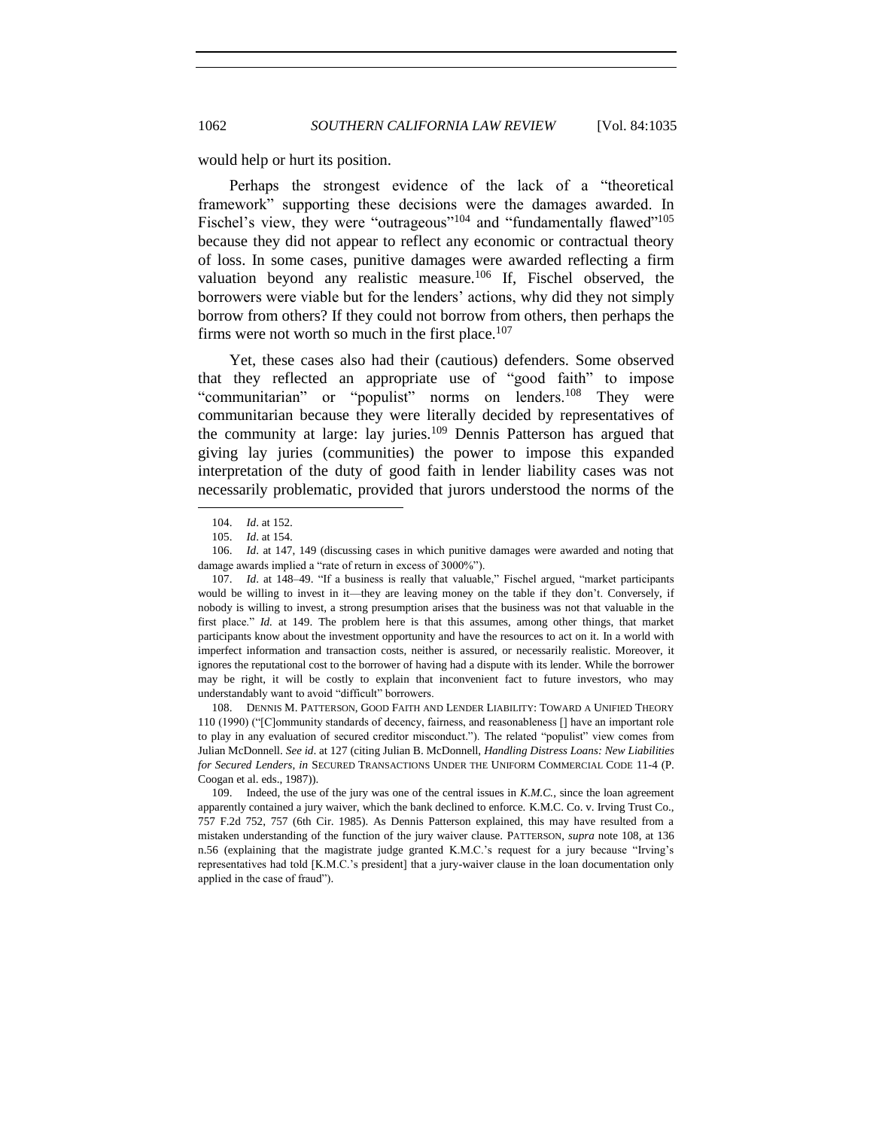<span id="page-27-0"></span>

would help or hurt its position.

Perhaps the strongest evidence of the lack of a "theoretical framework" supporting these decisions were the damages awarded. In Fischel's view, they were "outrageous"<sup>104</sup> and "fundamentally flawed"<sup>105</sup> because they did not appear to reflect any economic or contractual theory of loss. In some cases, punitive damages were awarded reflecting a firm valuation beyond any realistic measure.<sup>106</sup> If, Fischel observed, the borrowers were viable but for the lenders' actions, why did they not simply borrow from others? If they could not borrow from others, then perhaps the firms were not worth so much in the first place.<sup>107</sup>

Yet, these cases also had their (cautious) defenders. Some observed that they reflected an appropriate use of "good faith" to impose "communitarian" or "populist" norms on lenders.<sup>108</sup> They were communitarian because they were literally decided by representatives of the community at large: lay juries.<sup>109</sup> Dennis Patterson has argued that giving lay juries (communities) the power to impose this expanded interpretation of the duty of good faith in lender liability cases was not necessarily problematic, provided that jurors understood the norms of the

l

108. DENNIS M. PATTERSON, GOOD FAITH AND LENDER LIABILITY: TOWARD A UNIFIED THEORY 110 (1990) ("[C]ommunity standards of decency, fairness, and reasonableness [] have an important role to play in any evaluation of secured creditor misconduct."). The related "populist" view comes from Julian McDonnell. *See id*. at 127 (citing Julian B. McDonnell, *Handling Distress Loans: New Liabilities for Secured Lenders*, *in* SECURED TRANSACTIONS UNDER THE UNIFORM COMMERCIAL CODE 11-4 (P. Coogan et al. eds., 1987)).

109. Indeed, the use of the jury was one of the central issues in *K.M.C.*, since the loan agreement apparently contained a jury waiver, which the bank declined to enforce. K.M.C. Co. v. Irving Trust Co., 757 F.2d 752, 757 (6th Cir. 1985). As Dennis Patterson explained, this may have resulted from a mistaken understanding of the function of the jury waiver clause. PATTERSON, *supra* note [108,](#page-27-0) at 136 n.56 (explaining that the magistrate judge granted K.M.C.'s request for a jury because "Irving's representatives had told [K.M.C.'s president] that a jury-waiver clause in the loan documentation only applied in the case of fraud").

<sup>104.</sup> *Id*. at 152.

<sup>105.</sup> *Id*. at 154.

<sup>106.</sup> *Id*. at 147, 149 (discussing cases in which punitive damages were awarded and noting that damage awards implied a "rate of return in excess of 3000%").

<sup>107.</sup> *Id.* at 148–49. "If a business is really that valuable," Fischel argued, "market participants would be willing to invest in it—they are leaving money on the table if they don't. Conversely, if nobody is willing to invest, a strong presumption arises that the business was not that valuable in the first place." *Id.* at 149. The problem here is that this assumes, among other things, that market participants know about the investment opportunity and have the resources to act on it. In a world with imperfect information and transaction costs, neither is assured, or necessarily realistic. Moreover, it ignores the reputational cost to the borrower of having had a dispute with its lender. While the borrower may be right, it will be costly to explain that inconvenient fact to future investors, who may understandably want to avoid "difficult" borrowers.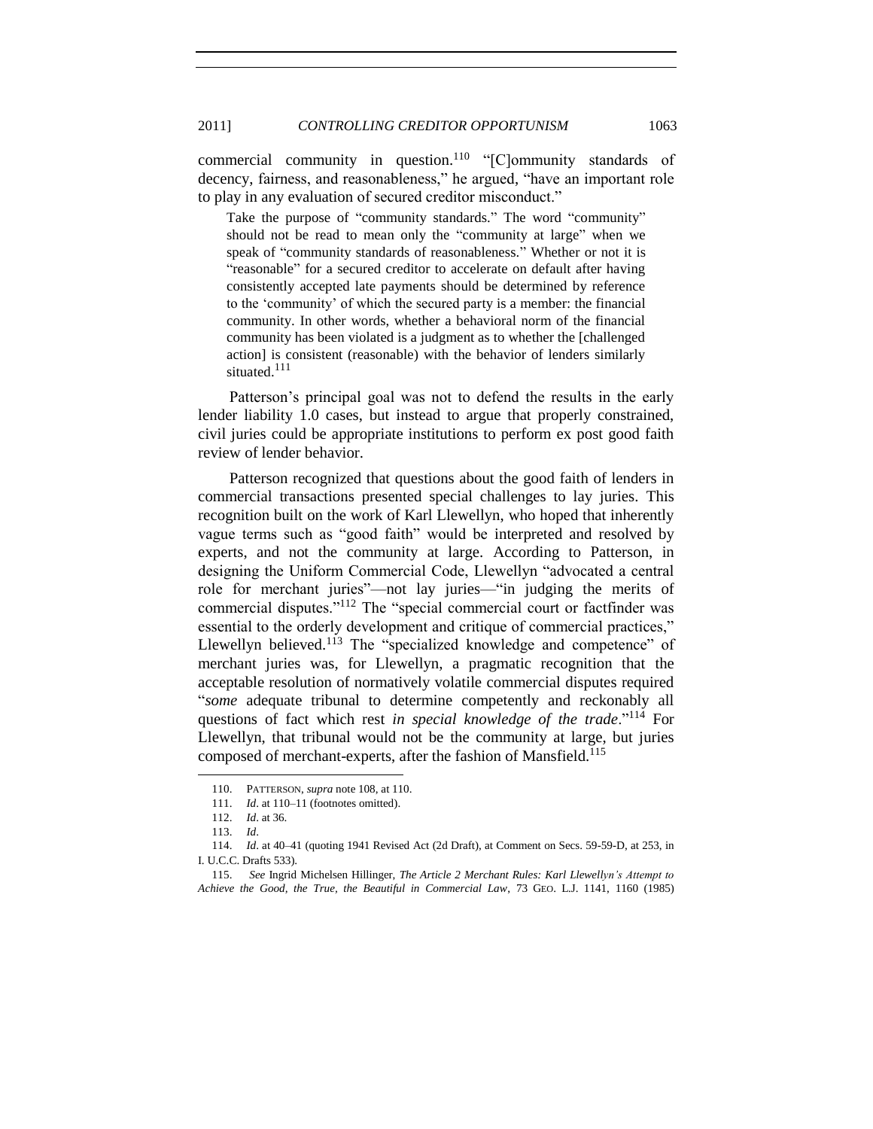commercial community in question.<sup>110</sup> "[C]ommunity standards of decency, fairness, and reasonableness," he argued, "have an important role to play in any evaluation of secured creditor misconduct."

Take the purpose of "community standards." The word "community" should not be read to mean only the "community at large" when we speak of "community standards of reasonableness." Whether or not it is "reasonable" for a secured creditor to accelerate on default after having consistently accepted late payments should be determined by reference to the 'community' of which the secured party is a member: the financial community. In other words, whether a behavioral norm of the financial community has been violated is a judgment as to whether the [challenged action] is consistent (reasonable) with the behavior of lenders similarly situated.<sup>111</sup>

Patterson's principal goal was not to defend the results in the early lender liability 1.0 cases, but instead to argue that properly constrained, civil juries could be appropriate institutions to perform ex post good faith review of lender behavior.

Patterson recognized that questions about the good faith of lenders in commercial transactions presented special challenges to lay juries. This recognition built on the work of Karl Llewellyn, who hoped that inherently vague terms such as "good faith" would be interpreted and resolved by experts, and not the community at large. According to Patterson, in designing the Uniform Commercial Code, Llewellyn "advocated a central role for merchant juries—not lay juries—"in judging the merits of commercial disputes." $112$  The "special commercial court or factfinder was essential to the orderly development and critique of commercial practices," Llewellyn believed.<sup>113</sup> The "specialized knowledge and competence" of merchant juries was, for Llewellyn, a pragmatic recognition that the acceptable resolution of normatively volatile commercial disputes required ―*some* adequate tribunal to determine competently and reckonably all questions of fact which rest *in special knowledge of the trade*."<sup>114</sup> For Llewellyn, that tribunal would not be the community at large, but juries composed of merchant-experts, after the fashion of Mansfield.<sup>115</sup>

<sup>110.</sup> PATTERSON, *supra* note [108,](#page-27-0) at 110.

<sup>111.</sup> *Id*. at 110–11 (footnotes omitted).

<sup>112.</sup> *Id*. at 36.

<sup>113.</sup> *Id*.

<sup>114.</sup> *Id*. at 40–41 (quoting 1941 Revised Act (2d Draft), at Comment on Secs. 59-59-D, at 253, in I. U.C.C. Drafts 533).

<sup>115.</sup> *See* Ingrid Michelsen Hillinger, *The Article 2 Merchant Rules: Karl Llewellyn's Attempt to Achieve the Good, the True, the Beautiful in Commercial Law*, 73 GEO. L.J. 1141, 1160 (1985)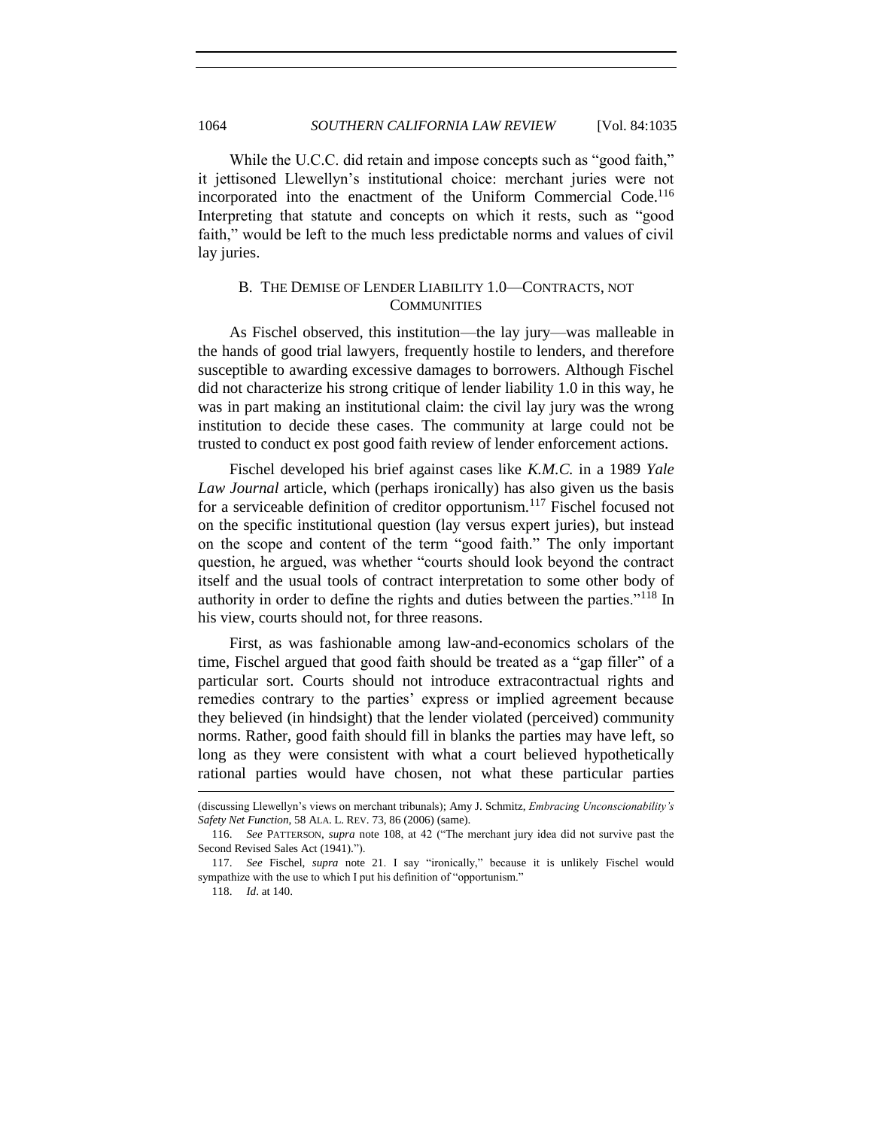While the U.C.C. did retain and impose concepts such as "good faith," it jettisoned Llewellyn's institutional choice: merchant juries were not incorporated into the enactment of the Uniform Commercial Code.<sup>116</sup> Interpreting that statute and concepts on which it rests, such as "good faith," would be left to the much less predictable norms and values of civil lay juries.

## <span id="page-29-0"></span>B. THE DEMISE OF LENDER LIABILITY 1.0—CONTRACTS, NOT **COMMUNITIES**

As Fischel observed, this institution—the lay jury—was malleable in the hands of good trial lawyers, frequently hostile to lenders, and therefore susceptible to awarding excessive damages to borrowers. Although Fischel did not characterize his strong critique of lender liability 1.0 in this way, he was in part making an institutional claim: the civil lay jury was the wrong institution to decide these cases. The community at large could not be trusted to conduct ex post good faith review of lender enforcement actions.

Fischel developed his brief against cases like *K.M.C.* in a 1989 *Yale Law Journal* article, which (perhaps ironically) has also given us the basis for a serviceable definition of creditor opportunism.<sup>117</sup> Fischel focused not on the specific institutional question (lay versus expert juries), but instead on the scope and content of the term "good faith." The only important question, he argued, was whether "courts should look beyond the contract itself and the usual tools of contract interpretation to some other body of authority in order to define the rights and duties between the parties."<sup>118</sup> In his view, courts should not, for three reasons.

First, as was fashionable among law-and-economics scholars of the time, Fischel argued that good faith should be treated as a "gap filler" of a particular sort. Courts should not introduce extracontractual rights and remedies contrary to the parties' express or implied agreement because they believed (in hindsight) that the lender violated (perceived) community norms. Rather, good faith should fill in blanks the parties may have left, so long as they were consistent with what a court believed hypothetically rational parties would have chosen, not what these particular parties

<sup>(</sup>discussing Llewellyn's views on merchant tribunals); Amy J. Schmitz, *Embracing Unconscionability's Safety Net Function*, 58 ALA. L. REV. 73, 86 (2006) (same).

<sup>116.</sup> *See PATTERSON, supra note [108,](#page-27-0) at 42* ("The merchant jury idea did not survive past the Second Revised Sales Act (1941).").

<sup>117.</sup> See Fischel, *supra* note [21.](#page-5-0) I say "ironically," because it is unlikely Fischel would sympathize with the use to which I put his definition of "opportunism."

<sup>118.</sup> *Id*. at 140.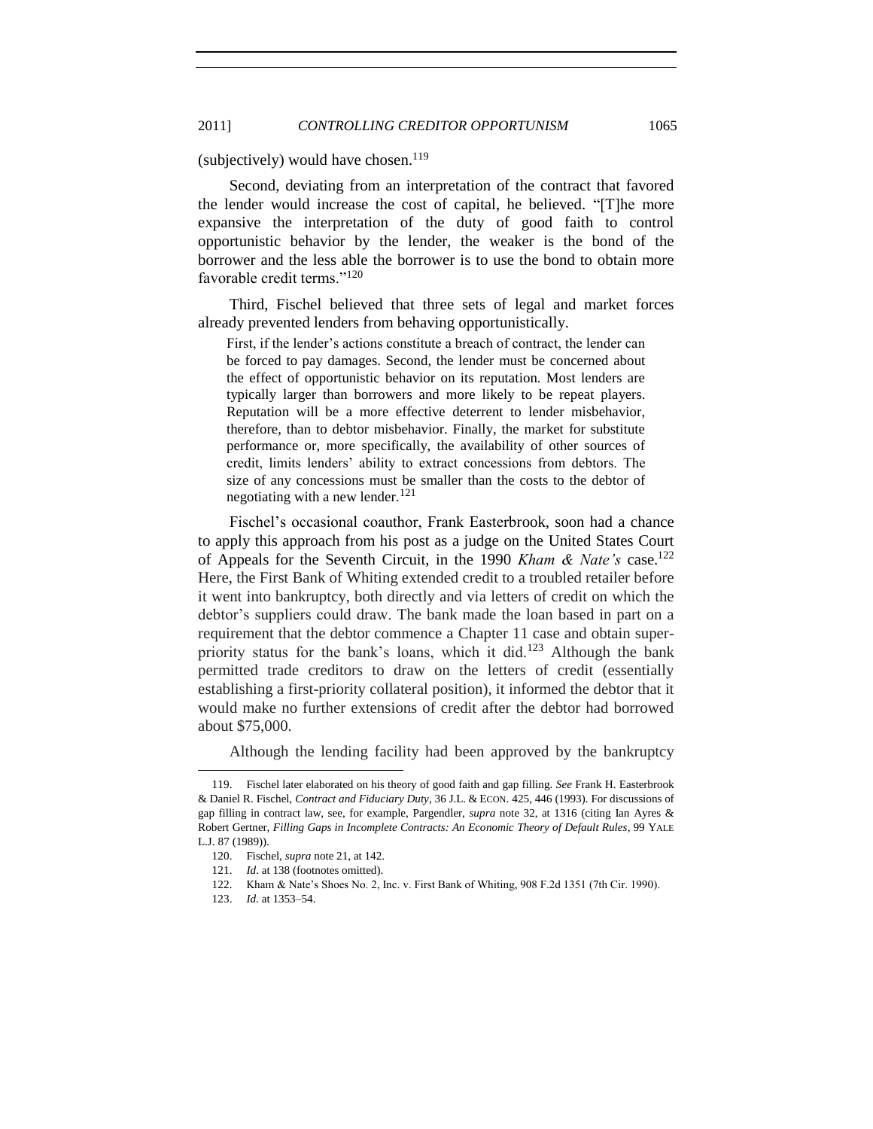<span id="page-30-0"></span>(subjectively) would have chosen.<sup>119</sup>

Second, deviating from an interpretation of the contract that favored the lender would increase the cost of capital, he believed. "[T]he more expansive the interpretation of the duty of good faith to control opportunistic behavior by the lender, the weaker is the bond of the borrower and the less able the borrower is to use the bond to obtain more favorable credit terms."<sup>120</sup>

Third, Fischel believed that three sets of legal and market forces already prevented lenders from behaving opportunistically.

First, if the lender's actions constitute a breach of contract, the lender can be forced to pay damages. Second, the lender must be concerned about the effect of opportunistic behavior on its reputation. Most lenders are typically larger than borrowers and more likely to be repeat players. Reputation will be a more effective deterrent to lender misbehavior, therefore, than to debtor misbehavior. Finally, the market for substitute performance or, more specifically, the availability of other sources of credit, limits lenders' ability to extract concessions from debtors. The size of any concessions must be smaller than the costs to the debtor of negotiating with a new lender.<sup>121</sup>

Fischel's occasional coauthor, Frank Easterbrook, soon had a chance to apply this approach from his post as a judge on the United States Court of Appeals for the Seventh Circuit, in the 1990 *Kham & Nate's* case.<sup>122</sup> Here, the First Bank of Whiting extended credit to a troubled retailer before it went into bankruptcy, both directly and via letters of credit on which the debtor's suppliers could draw. The bank made the loan based in part on a requirement that the debtor commence a Chapter 11 case and obtain superpriority status for the bank's loans, which it did.<sup>123</sup> Although the bank permitted trade creditors to draw on the letters of credit (essentially establishing a first-priority collateral position), it informed the debtor that it would make no further extensions of credit after the debtor had borrowed about \$75,000.

Although the lending facility had been approved by the bankruptcy

<sup>119.</sup> Fischel later elaborated on his theory of good faith and gap filling. *See* Frank H. Easterbrook & Daniel R. Fischel, *Contract and Fiduciary Duty*, 36 J.L. & ECON. 425, 446 (1993). For discussions of gap filling in contract law, see, for example, Pargendler, *supra* note [32,](#page-8-1) at 1316 (citing Ian Ayres & Robert Gertner, *Filling Gaps in Incomplete Contracts: An Economic Theory of Default Rules*, 99 YALE L.J. 87 (1989)).

<sup>120.</sup> Fischel, *supra* not[e 21,](#page-5-0) at 142.

<sup>121.</sup> *Id*. at 138 (footnotes omitted).

<sup>122.</sup> Kham & Nate's Shoes No. 2, Inc. v. First Bank of Whiting, 908 F.2d 1351 (7th Cir. 1990).

<sup>123.</sup> *Id.* at 1353–54.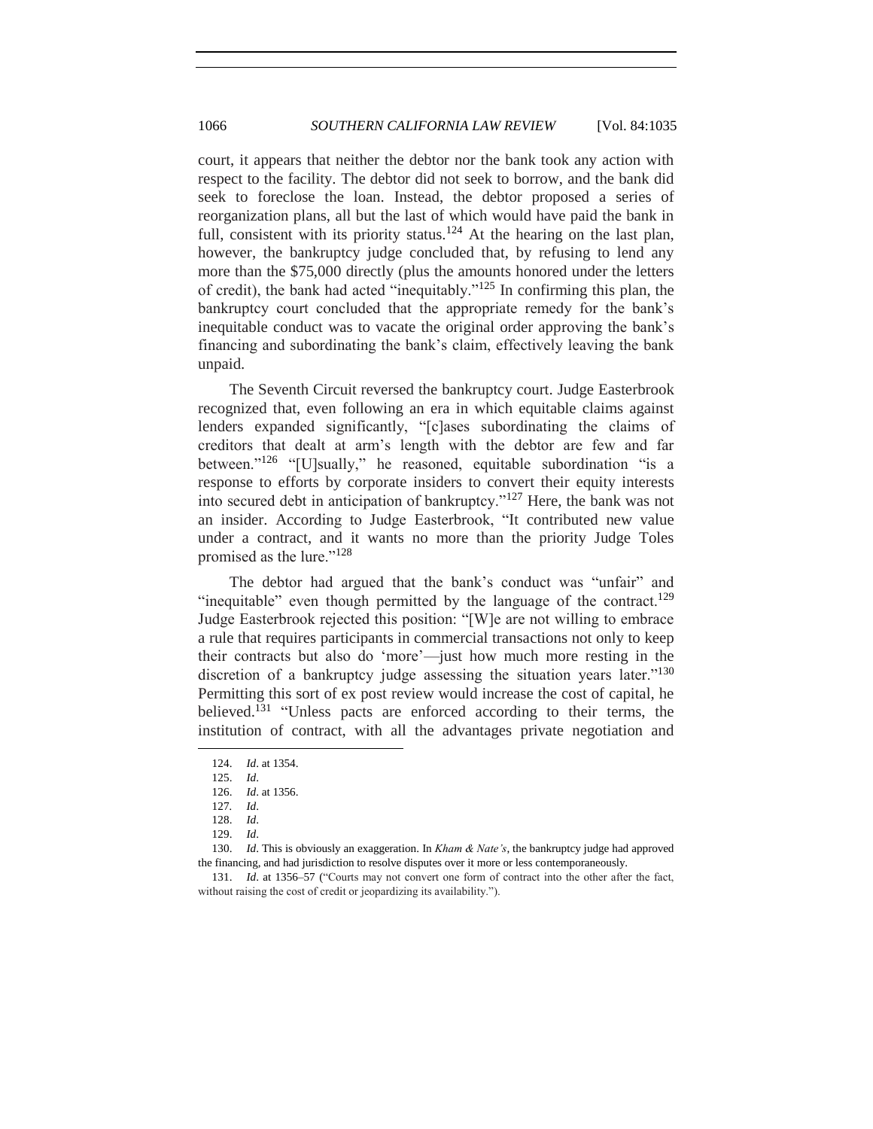court, it appears that neither the debtor nor the bank took any action with respect to the facility. The debtor did not seek to borrow, and the bank did seek to foreclose the loan. Instead, the debtor proposed a series of reorganization plans, all but the last of which would have paid the bank in full, consistent with its priority status.<sup>124</sup> At the hearing on the last plan, however, the bankruptcy judge concluded that, by refusing to lend any more than the \$75,000 directly (plus the amounts honored under the letters of credit), the bank had acted "inequitably."<sup>125</sup> In confirming this plan, the bankruptcy court concluded that the appropriate remedy for the bank's inequitable conduct was to vacate the original order approving the bank's financing and subordinating the bank's claim, effectively leaving the bank unpaid.

The Seventh Circuit reversed the bankruptcy court. Judge Easterbrook recognized that, even following an era in which equitable claims against lenders expanded significantly, "[c]ases subordinating the claims of creditors that dealt at arm's length with the debtor are few and far between."<sup>126</sup> "[U]sually," he reasoned, equitable subordination "is a response to efforts by corporate insiders to convert their equity interests into secured debt in anticipation of bankruptcy." $127$  Here, the bank was not an insider. According to Judge Easterbrook, "It contributed new value under a contract, and it wants no more than the priority Judge Toles promised as the lure."<sup>128</sup>

The debtor had argued that the bank's conduct was "unfair" and "inequitable" even though permitted by the language of the contract.<sup>129</sup> Judge Easterbrook rejected this position: "[W]e are not willing to embrace a rule that requires participants in commercial transactions not only to keep their contracts but also do 'more'—just how much more resting in the discretion of a bankruptcy judge assessing the situation years later."<sup>130</sup> Permitting this sort of ex post review would increase the cost of capital, he believed.<sup>131</sup> "Unless pacts are enforced according to their terms, the institution of contract, with all the advantages private negotiation and

<sup>124.</sup> *Id*. at 1354.

<sup>125.</sup> *Id*.

<sup>126.</sup> *Id*. at 1356.

<sup>127</sup>*. Id*.

<sup>128.</sup> *Id*.

<sup>129.</sup> *Id*.

<sup>130.</sup> *Id*. This is obviously an exaggeration. In *Kham & Nate's*, the bankruptcy judge had approved the financing, and had jurisdiction to resolve disputes over it more or less contemporaneously.

<sup>131.</sup> *Id.* at 1356–57 ("Courts may not convert one form of contract into the other after the fact, without raising the cost of credit or jeopardizing its availability.").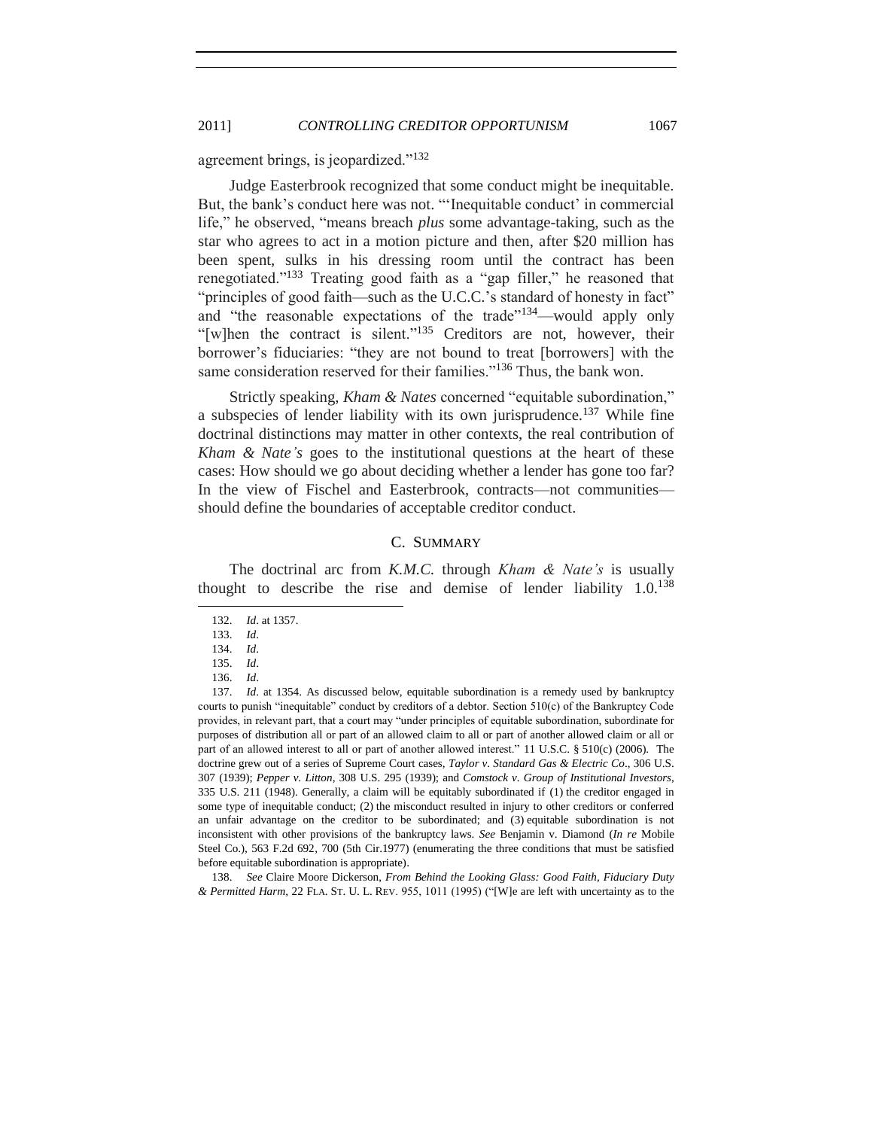agreement brings, is jeopardized."<sup>132</sup>

Judge Easterbrook recognized that some conduct might be inequitable. But, the bank's conduct here was not. "'Inequitable conduct' in commercial life," he observed, "means breach *plus* some advantage-taking, such as the star who agrees to act in a motion picture and then, after \$20 million has been spent, sulks in his dressing room until the contract has been renegotiated."<sup>133</sup> Treating good faith as a "gap filler," he reasoned that "principles of good faith—such as the U.C.C.'s standard of honesty in fact" and "the reasonable expectations of the trade" $134$ —would apply only "[w]hen the contract is silent."<sup>135</sup> Creditors are not, however, their borrower's fiduciaries: "they are not bound to treat [borrowers] with the same consideration reserved for their families."<sup>136</sup> Thus, the bank won.

Strictly speaking, *Kham & Nates* concerned "equitable subordination," a subspecies of lender liability with its own jurisprudence.<sup>137</sup> While fine doctrinal distinctions may matter in other contexts, the real contribution of *Kham & Nate's* goes to the institutional questions at the heart of these cases: How should we go about deciding whether a lender has gone too far? In the view of Fischel and Easterbrook, contracts—not communities should define the boundaries of acceptable creditor conduct.

## <span id="page-32-2"></span><span id="page-32-1"></span>C. SUMMARY

<span id="page-32-0"></span>The doctrinal arc from *K.M.C.* through *Kham & Nate's* is usually thought to describe the rise and demise of lender liability  $1.0^{138}$ 

l

138. *See* Claire Moore Dickerson, *From Behind the Looking Glass: Good Faith, Fiduciary Duty*  & Permitted Harm, 22 FLA. ST. U. L. REV. 955, 1011 (1995) ("[W]e are left with uncertainty as to the

<sup>132.</sup> *Id*. at 1357.

<sup>133.</sup> *Id*.

<sup>134.</sup> *Id*. 135. *Id*.

<sup>136.</sup> *Id*.

<sup>137.</sup> *Id*. at 1354. As discussed below, equitable subordination is a remedy used by bankruptcy courts to punish "inequitable" conduct by creditors of a debtor. Section 510(c) of the Bankruptcy Code provides, in relevant part, that a court may "under principles of equitable subordination, subordinate for purposes of distribution all or part of an allowed claim to all or part of another allowed claim or all or part of an allowed interest to all or part of another allowed interest." 11 U.S.C. § 510(c) (2006). The doctrine grew out of a series of Supreme Court cases, *Taylor v. Standard Gas & Electric Co*., 306 U.S. 307 (1939); *Pepper v. Litton*, 308 U.S. 295 (1939); and *Comstock v. Group of Institutional Investors*, 335 U.S. 211 (1948). Generally, a claim will be equitably subordinated if (1) the creditor engaged in some type of inequitable conduct; (2) the misconduct resulted in injury to other creditors or conferred an unfair advantage on the creditor to be subordinated; and (3) equitable subordination is not inconsistent with other provisions of the bankruptcy laws. *See* Benjamin v. Diamond (*In re* Mobile Steel Co.), 563 F.2d 692, 700 (5th Cir.1977) (enumerating the three conditions that must be satisfied before equitable subordination is appropriate).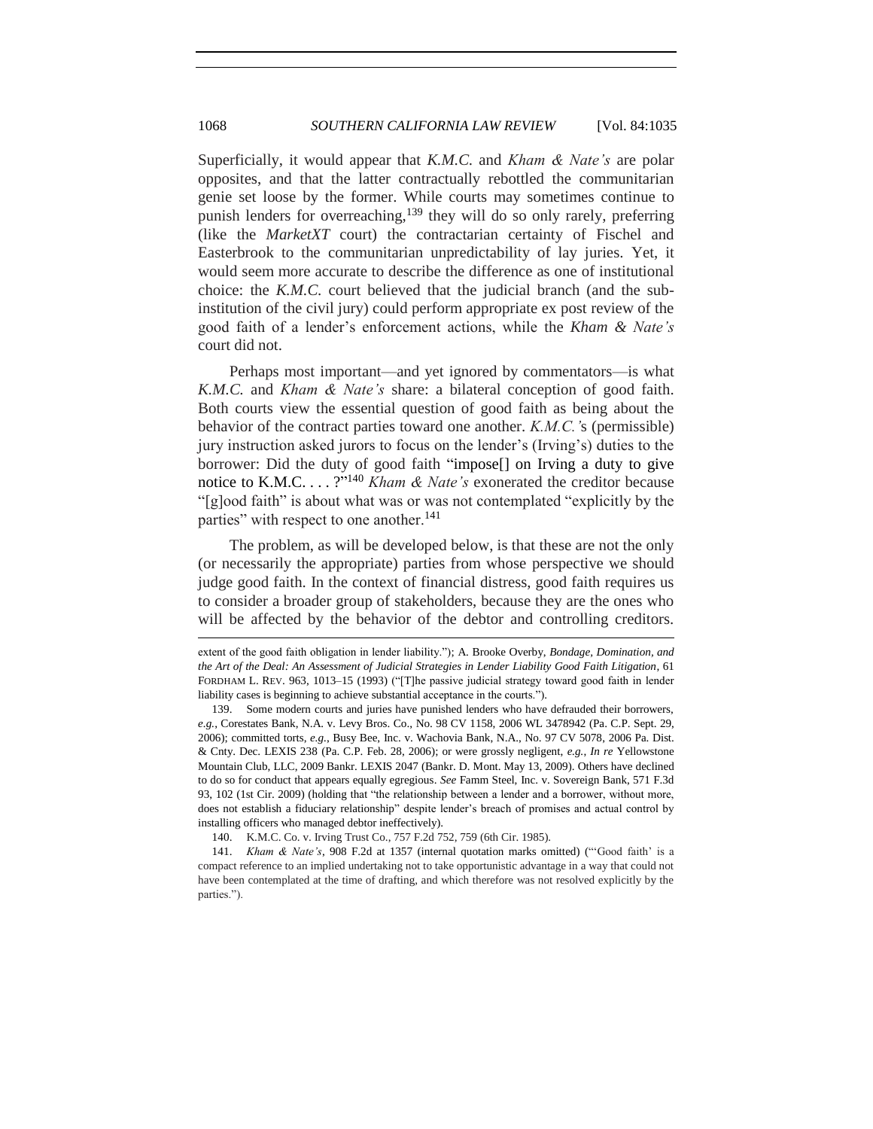Superficially, it would appear that *K.M.C.* and *Kham & Nate's* are polar opposites, and that the latter contractually rebottled the communitarian genie set loose by the former. While courts may sometimes continue to punish lenders for overreaching,<sup>139</sup> they will do so only rarely, preferring (like the *MarketXT* court) the contractarian certainty of Fischel and Easterbrook to the communitarian unpredictability of lay juries. Yet, it would seem more accurate to describe the difference as one of institutional choice: the *K.M.C.* court believed that the judicial branch (and the subinstitution of the civil jury) could perform appropriate ex post review of the good faith of a lender's enforcement actions, while the *Kham & Nate's*  court did not.

Perhaps most important—and yet ignored by commentators—is what *K.M.C.* and *Kham & Nate's* share: a bilateral conception of good faith. Both courts view the essential question of good faith as being about the behavior of the contract parties toward one another. *K.M.C.'*s (permissible) jury instruction asked jurors to focus on the lender's (Irving's) duties to the borrower: Did the duty of good faith "impose<sup>[]</sup> on Irving a duty to give notice to K.M.C. . . . ?"<sup>140</sup> *Kham & Nate's* exonerated the creditor because "[g]ood faith" is about what was or was not contemplated "explicitly by the parties" with respect to one another.<sup>141</sup>

The problem, as will be developed below, is that these are not the only (or necessarily the appropriate) parties from whose perspective we should judge good faith. In the context of financial distress, good faith requires us to consider a broader group of stakeholders, because they are the ones who will be affected by the behavior of the debtor and controlling creditors.

140. K.M.C. Co. v. Irving Trust Co., 757 F.2d 752, 759 (6th Cir. 1985).

extent of the good faith obligation in lender liability."); A. Brooke Overby, *Bondage, Domination, and the Art of the Deal: An Assessment of Judicial Strategies in Lender Liability Good Faith Litigation*, 61 FORDHAM L. REV. 963, 1013-15 (1993) ("[T]he passive judicial strategy toward good faith in lender liability cases is beginning to achieve substantial acceptance in the courts.").

<sup>139.</sup> Some modern courts and juries have punished lenders who have defrauded their borrowers, *e.g.*, Corestates Bank, N.A. v. Levy Bros. Co., No. 98 CV 1158, 2006 WL 3478942 (Pa. C.P. Sept. 29, 2006); committed torts, *e.g.*, Busy Bee, Inc. v. Wachovia Bank, N.A., No. 97 CV 5078, 2006 Pa. Dist. & Cnty. Dec. LEXIS 238 (Pa. C.P. Feb. 28, 2006); or were grossly negligent, *e.g.*, *In re* Yellowstone Mountain Club, LLC, 2009 Bankr. LEXIS 2047 (Bankr. D. Mont. May 13, 2009). Others have declined to do so for conduct that appears equally egregious. *See* Famm Steel, Inc. v. Sovereign Bank, 571 F.3d 93, 102 (1st Cir. 2009) (holding that "the relationship between a lender and a borrower, without more, does not establish a fiduciary relationship" despite lender's breach of promises and actual control by installing officers who managed debtor ineffectively).

<sup>141.</sup> *Kham & Nate's*, 908 F.2d at 1357 (internal quotation marks omitted) ("Good faith' is a compact reference to an implied undertaking not to take opportunistic advantage in a way that could not have been contemplated at the time of drafting, and which therefore was not resolved explicitly by the parties.").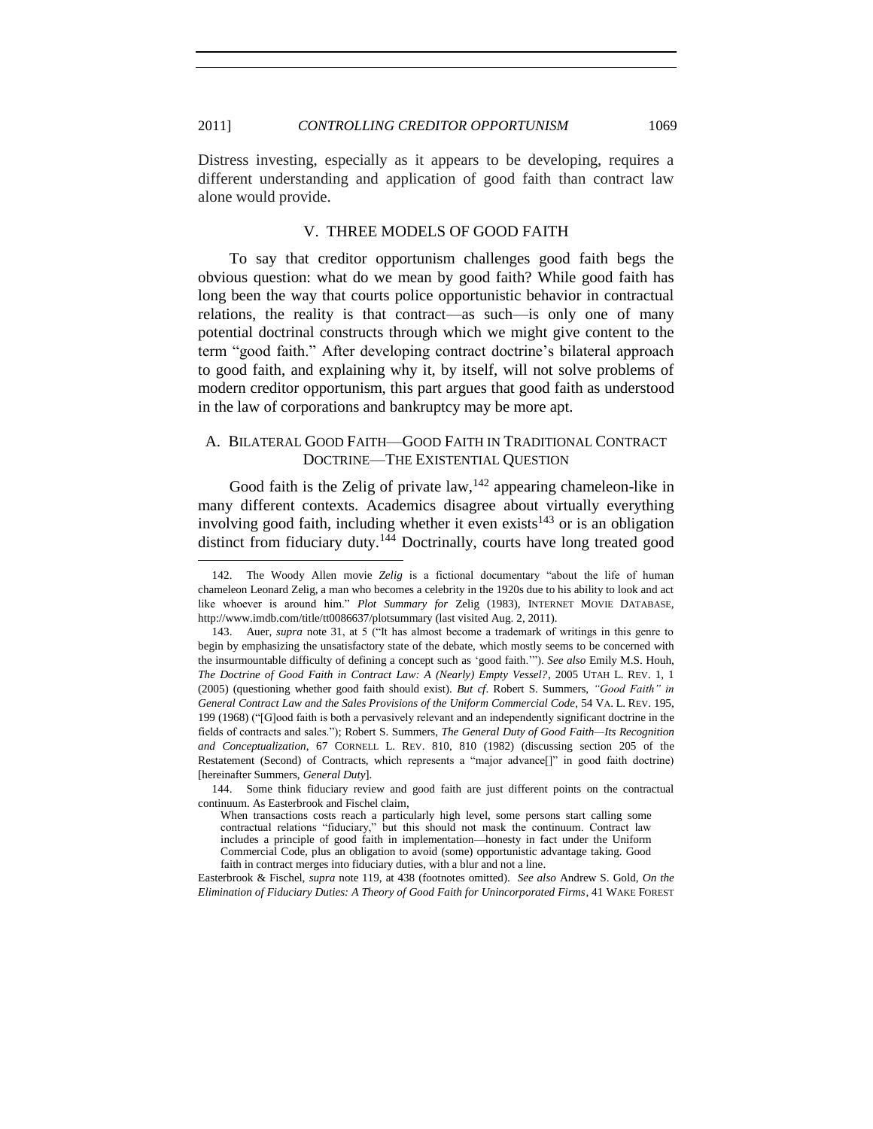Distress investing, especially as it appears to be developing, requires a different understanding and application of good faith than contract law alone would provide.

#### V. THREE MODELS OF GOOD FAITH

<span id="page-34-0"></span>To say that creditor opportunism challenges good faith begs the obvious question: what do we mean by good faith? While good faith has long been the way that courts police opportunistic behavior in contractual relations, the reality is that contract—as such—is only one of many potential doctrinal constructs through which we might give content to the term "good faith." After developing contract doctrine's bilateral approach to good faith, and explaining why it, by itself, will not solve problems of modern creditor opportunism, this part argues that good faith as understood in the law of corporations and bankruptcy may be more apt.

## <span id="page-34-1"></span>A. BILATERAL GOOD FAITH—GOOD FAITH IN TRADITIONAL CONTRACT DOCTRINE—THE EXISTENTIAL QUESTION

Good faith is the Zelig of private law,  $142$  appearing chameleon-like in many different contexts. Academics disagree about virtually everything involving good faith, including whether it even exists<sup>143</sup> or is an obligation distinct from fiduciary duty.<sup>144</sup> Doctrinally, courts have long treated good

<span id="page-34-2"></span>l

Easterbrook & Fischel, *supra* note [119,](#page-30-0) at 438 (footnotes omitted). *See also* Andrew S. Gold, *On the Elimination of Fiduciary Duties: A Theory of Good Faith for Unincorporated Firms*, 41 WAKE FOREST

<sup>142.</sup> The Woody Allen movie Zelig is a fictional documentary "about the life of human chameleon Leonard Zelig, a man who becomes a celebrity in the 1920s due to his ability to look and act like whoever is around him." Plot Summary for Zelig (1983), INTERNET MOVIE DATABASE, http://www.imdb.com/title/tt0086637/plotsummary (last visited Aug. 2, 2011).

<sup>143.</sup> Auer, *supra* note [31,](#page-7-0) at 5 ("It has almost become a trademark of writings in this genre to begin by emphasizing the unsatisfactory state of the debate, which mostly seems to be concerned with the insurmountable difficulty of defining a concept such as 'good faith.'"). *See also* Emily M.S. Houh, *The Doctrine of Good Faith in Contract Law: A (Nearly) Empty Vessel?*, 2005 UTAH L. REV. 1, 1 (2005) (questioning whether good faith should exist). *But cf.* Robert S. Summers, "Good Faith" in *General Contract Law and the Sales Provisions of the Uniform Commercial Code*, 54 VA. L. REV. 195, 199 (1968) ("[G]ood faith is both a pervasively relevant and an independently significant doctrine in the fields of contracts and sales."); Robert S. Summers, *The General Duty of Good Faith—Its Recognition and Conceptualization*, 67 CORNELL L. REV. 810, 810 (1982) (discussing section 205 of the Restatement (Second) of Contracts, which represents a "major advance[]" in good faith doctrine) [hereinafter Summers, *General Duty*].

<sup>144.</sup> Some think fiduciary review and good faith are just different points on the contractual continuum. As Easterbrook and Fischel claim,

When transactions costs reach a particularly high level, some persons start calling some contractual relations "fiduciary," but this should not mask the continuum. Contract law includes a principle of good faith in implementation—honesty in fact under the Uniform Commercial Code, plus an obligation to avoid (some) opportunistic advantage taking. Good faith in contract merges into fiduciary duties, with a blur and not a line.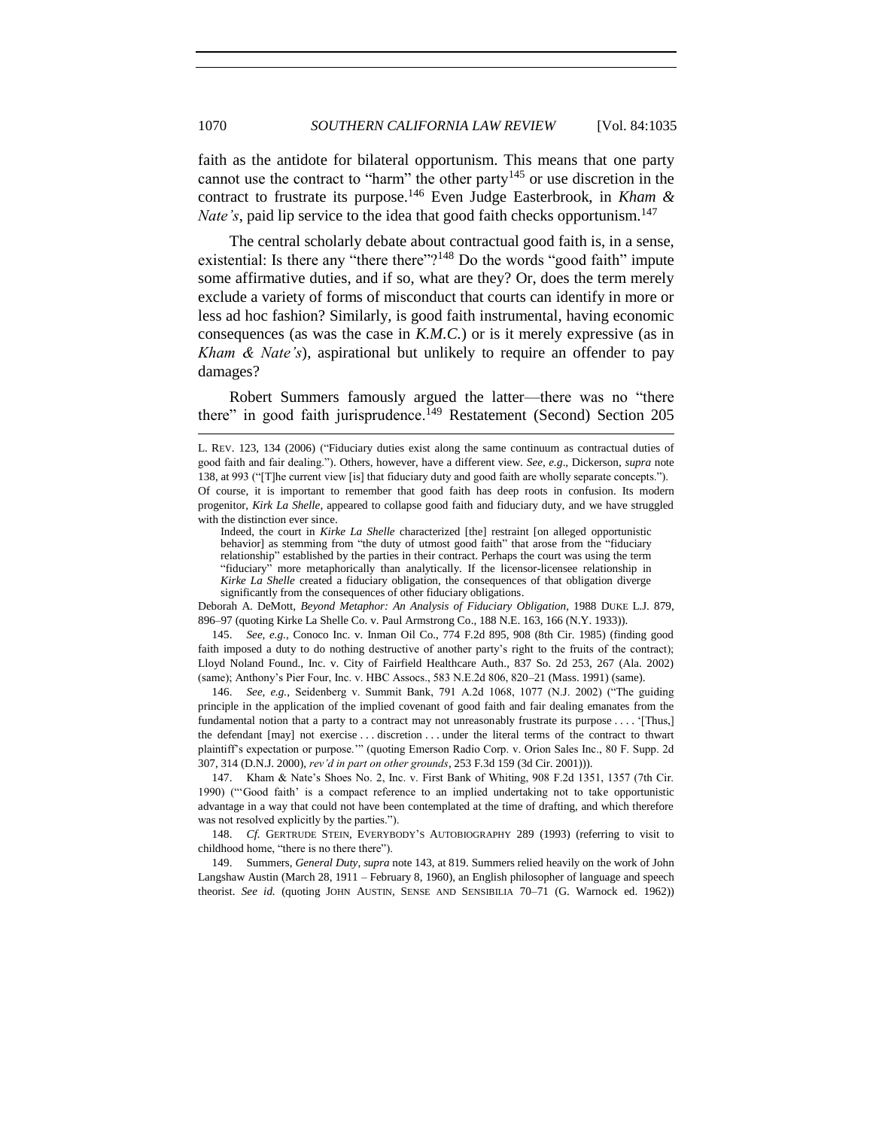faith as the antidote for bilateral opportunism. This means that one party cannot use the contract to "harm" the other party<sup>145</sup> or use discretion in the contract to frustrate its purpose.<sup>146</sup> Even Judge Easterbrook, in *Kham & Nate's*, paid lip service to the idea that good faith checks opportunism.<sup>147</sup>

The central scholarly debate about contractual good faith is, in a sense, existential: Is there any "there there"?<sup>148</sup> Do the words "good faith" impute some affirmative duties, and if so, what are they? Or, does the term merely exclude a variety of forms of misconduct that courts can identify in more or less ad hoc fashion? Similarly, is good faith instrumental, having economic consequences (as was the case in *K.M.C.*) or is it merely expressive (as in *Kham & Nate's*), aspirational but unlikely to require an offender to pay damages?

Robert Summers famously argued the latter—there was no "there there" in good faith jurisprudence.<sup>149</sup> Restatement (Second) Section 205

l

Deborah A. DeMott, *Beyond Metaphor: An Analysis of Fiduciary Obligation*, 1988 DUKE L.J. 879, 896–97 (quoting Kirke La Shelle Co. v. Paul Armstrong Co., 188 N.E. 163, 166 (N.Y. 1933)).

145. *See, e.g.*, Conoco Inc. v. Inman Oil Co., 774 F.2d 895, 908 (8th Cir. 1985) (finding good faith imposed a duty to do nothing destructive of another party's right to the fruits of the contract); Lloyd Noland Found., Inc. v. City of Fairfield Healthcare Auth., 837 So. 2d 253, 267 (Ala. 2002) (same); Anthony's Pier Four, Inc. v. HBC Assocs., 583 N.E.2d 806, 820–21 (Mass. 1991) (same).

146. *See, e.g.*, Seidenberg v. Summit Bank, 791 A.2d 1068, 1077 (N.J. 2002) ("The guiding principle in the application of the implied covenant of good faith and fair dealing emanates from the fundamental notion that a party to a contract may not unreasonably frustrate its purpose . . . . '[Thus,] the defendant [may] not exercise . . . discretion . . . under the literal terms of the contract to thwart plaintiff's expectation or purpose.'" (quoting Emerson Radio Corp. v. Orion Sales Inc., 80 F. Supp. 2d 307, 314 (D.N.J. 2000), *rev'd in part on other grounds*, 253 F.3d 159 (3d Cir. 2001))).

147. Kham & Nate's Shoes No. 2, Inc. v. First Bank of Whiting, 908 F.2d 1351, 1357 (7th Cir. 1990) ("Good faith' is a compact reference to an implied undertaking not to take opportunistic advantage in a way that could not have been contemplated at the time of drafting, and which therefore was not resolved explicitly by the parties.").

148. *Cf.* GERTRUDE STEIN, EVERYBODY'S AUTOBIOGRAPHY 289 (1993) (referring to visit to childhood home, "there is no there there").

149. Summers, *General Duty*, *supra* not[e 143,](#page-34-2) at 819. Summers relied heavily on the work of John Langshaw Austin (March 28, 1911 – February 8, 1960), an English philosopher of language and speech theorist. *See id.* (quoting JOHN AUSTIN, SENSE AND SENSIBILIA 70–71 (G. Warnock ed. 1962))

L. REV. 123, 134 (2006) ("Fiduciary duties exist along the same continuum as contractual duties of good faith and fair dealing."). Others, however, have a different view. *See, e.g.*, Dickerson, *supra* note [138,](#page-32-2) at 993 ("[T]he current view [is] that fiduciary duty and good faith are wholly separate concepts."). Of course, it is important to remember that good faith has deep roots in confusion. Its modern progenitor, *Kirk La Shelle*, appeared to collapse good faith and fiduciary duty, and we have struggled with the distinction ever since.

Indeed, the court in *Kirke La Shelle* characterized [the] restraint [on alleged opportunistic behavior] as stemming from "the duty of utmost good faith" that arose from the "fiduciary relationship" established by the parties in their contract. Perhaps the court was using the term ―fiduciary‖ more metaphorically than analytically. If the licensor-licensee relationship in *Kirke La Shelle* created a fiduciary obligation, the consequences of that obligation diverge significantly from the consequences of other fiduciary obligations.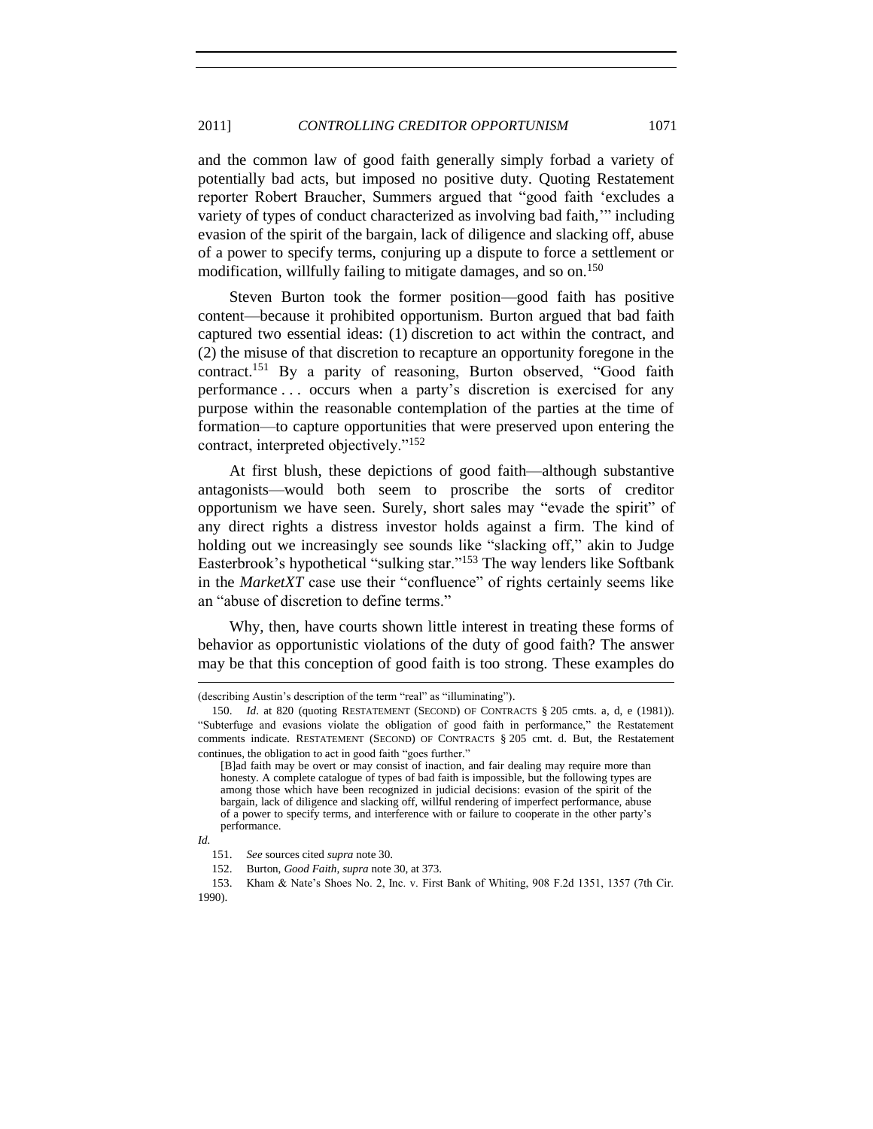#### 2011] *CONTROLLING CREDITOR OPPORTUNISM* 1071

and the common law of good faith generally simply forbad a variety of potentially bad acts, but imposed no positive duty. Quoting Restatement reporter Robert Braucher, Summers argued that "good faith 'excludes a variety of types of conduct characterized as involving bad faith," including evasion of the spirit of the bargain, lack of diligence and slacking off, abuse of a power to specify terms, conjuring up a dispute to force a settlement or modification, willfully failing to mitigate damages, and so on.<sup>150</sup>

Steven Burton took the former position—good faith has positive content—because it prohibited opportunism. Burton argued that bad faith captured two essential ideas: (1) discretion to act within the contract, and (2) the misuse of that discretion to recapture an opportunity foregone in the contract.<sup>151</sup> By a parity of reasoning, Burton observed, "Good faith performance . . . occurs when a party's discretion is exercised for any purpose within the reasonable contemplation of the parties at the time of formation—to capture opportunities that were preserved upon entering the contract, interpreted objectively."<sup>152</sup>

At first blush, these depictions of good faith—although substantive antagonists—would both seem to proscribe the sorts of creditor opportunism we have seen. Surely, short sales may "evade the spirit" of any direct rights a distress investor holds against a firm. The kind of holding out we increasingly see sounds like "slacking off," akin to Judge Easterbrook's hypothetical "sulking star."<sup>153</sup> The way lenders like Softbank in the *MarketXT* case use their "confluence" of rights certainly seems like an "abuse of discretion to define terms."

Why, then, have courts shown little interest in treating these forms of behavior as opportunistic violations of the duty of good faith? The answer may be that this conception of good faith is too strong. These examples do

<sup>(</sup>describing Austin's description of the term "real" as "illuminating").

<sup>150.</sup> *Id*. at 820 (quoting RESTATEMENT (SECOND) OF CONTRACTS § 205 cmts. a, d, e (1981)). ―Subterfuge and evasions violate the obligation of good faith in performance,‖ the Restatement comments indicate. RESTATEMENT (SECOND) OF CONTRACTS § 205 cmt. d. But, the Restatement continues, the obligation to act in good faith "goes further."

<sup>[</sup>B]ad faith may be overt or may consist of inaction, and fair dealing may require more than honesty. A complete catalogue of types of bad faith is impossible, but the following types are among those which have been recognized in judicial decisions: evasion of the spirit of the bargain, lack of diligence and slacking off, willful rendering of imperfect performance, abuse of a power to specify terms, and interference with or failure to cooperate in the other party's performance.

*Id.*

<sup>151.</sup> *See* sources cited *supra* note [30.](#page-7-1)

<sup>152.</sup> Burton, *Good Faith*, *supra* not[e 30,](#page-7-1) at 373.

<sup>153.</sup> Kham & Nate's Shoes No. 2, Inc. v. First Bank of Whiting, 908 F.2d 1351, 1357 (7th Cir. 1990).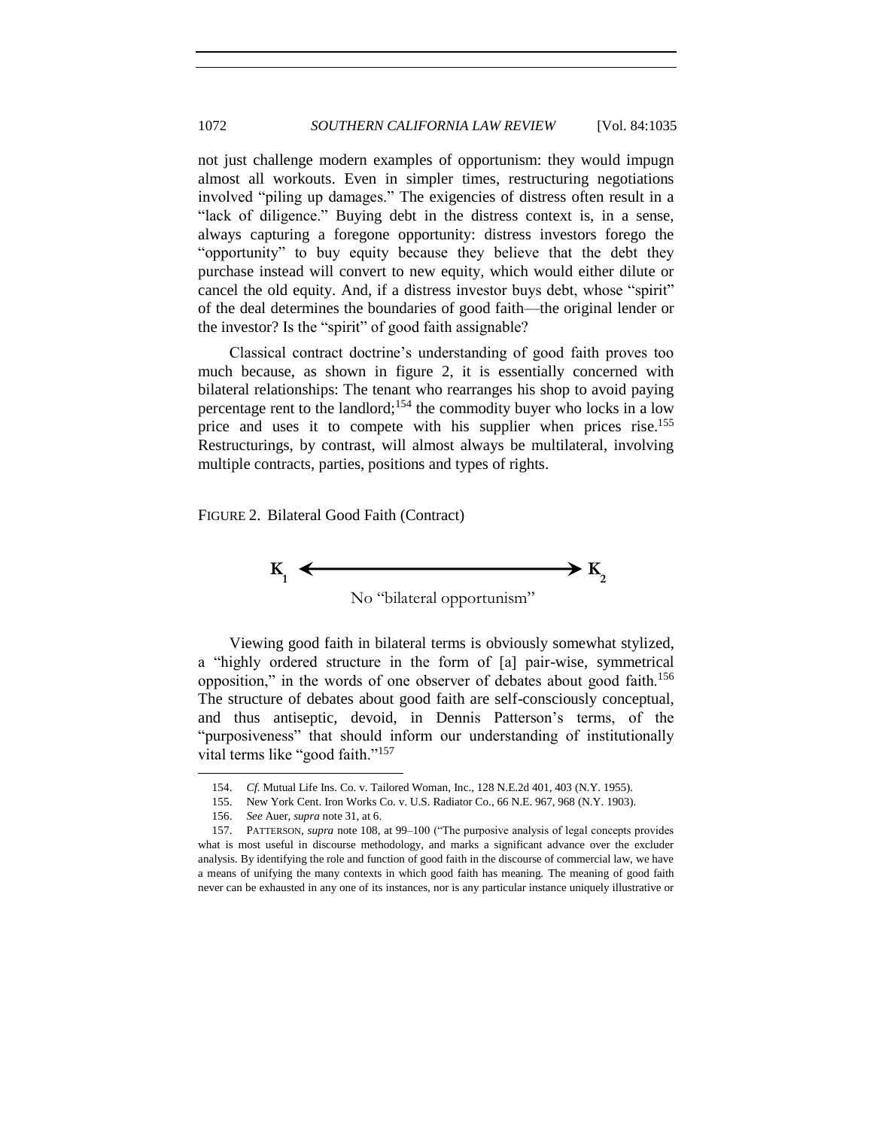not just challenge modern examples of opportunism: they would impugn almost all workouts. Even in simpler times, restructuring negotiations involved "piling up damages." The exigencies of distress often result in a ―lack of diligence.‖ Buying debt in the distress context is, in a sense, always capturing a foregone opportunity: distress investors forego the "opportunity" to buy equity because they believe that the debt they purchase instead will convert to new equity, which would either dilute or cancel the old equity. And, if a distress investor buys debt, whose "spirit" of the deal determines the boundaries of good faith—the original lender or the investor? Is the "spirit" of good faith assignable?

Classical contract doctrine's understanding of good faith proves too much because, as shown in figure 2, it is essentially concerned with bilateral relationships: The tenant who rearranges his shop to avoid paying percentage rent to the landlord;<sup>154</sup> the commodity buyer who locks in a low price and uses it to compete with his supplier when prices rise.<sup>155</sup> Restructurings, by contrast, will almost always be multilateral, involving multiple contracts, parties, positions and types of rights.

FIGURE 2. Bilateral Good Faith (Contract)



Viewing good faith in bilateral terms is obviously somewhat stylized, a "highly ordered structure in the form of [a] pair-wise, symmetrical opposition," in the words of one observer of debates about good faith.<sup>156</sup> The structure of debates about good faith are self-consciously conceptual, and thus antiseptic, devoid, in Dennis Patterson's terms, of the "purposiveness" that should inform our understanding of institutionally vital terms like "good faith."<sup>157</sup>

<sup>154.</sup> *Cf.* Mutual Life Ins. Co. v. Tailored Woman, Inc., 128 N.E.2d 401, 403 (N.Y. 1955).

<sup>155.</sup> New York Cent. Iron Works Co. v. U.S. Radiator Co., 66 N.E. 967, 968 (N.Y. 1903).

<sup>156.</sup> *See* Auer, *supra* not[e 31,](#page-7-0) at 6.

<sup>157.</sup> PATTERSON, *supra* note [108,](#page-27-0) at 99–100 ("The purposive analysis of legal concepts provides what is most useful in discourse methodology, and marks a significant advance over the excluder analysis. By identifying the role and function of good faith in the discourse of commercial law, we have a means of unifying the many contexts in which good faith has meaning. The meaning of good faith never can be exhausted in any one of its instances, nor is any particular instance uniquely illustrative or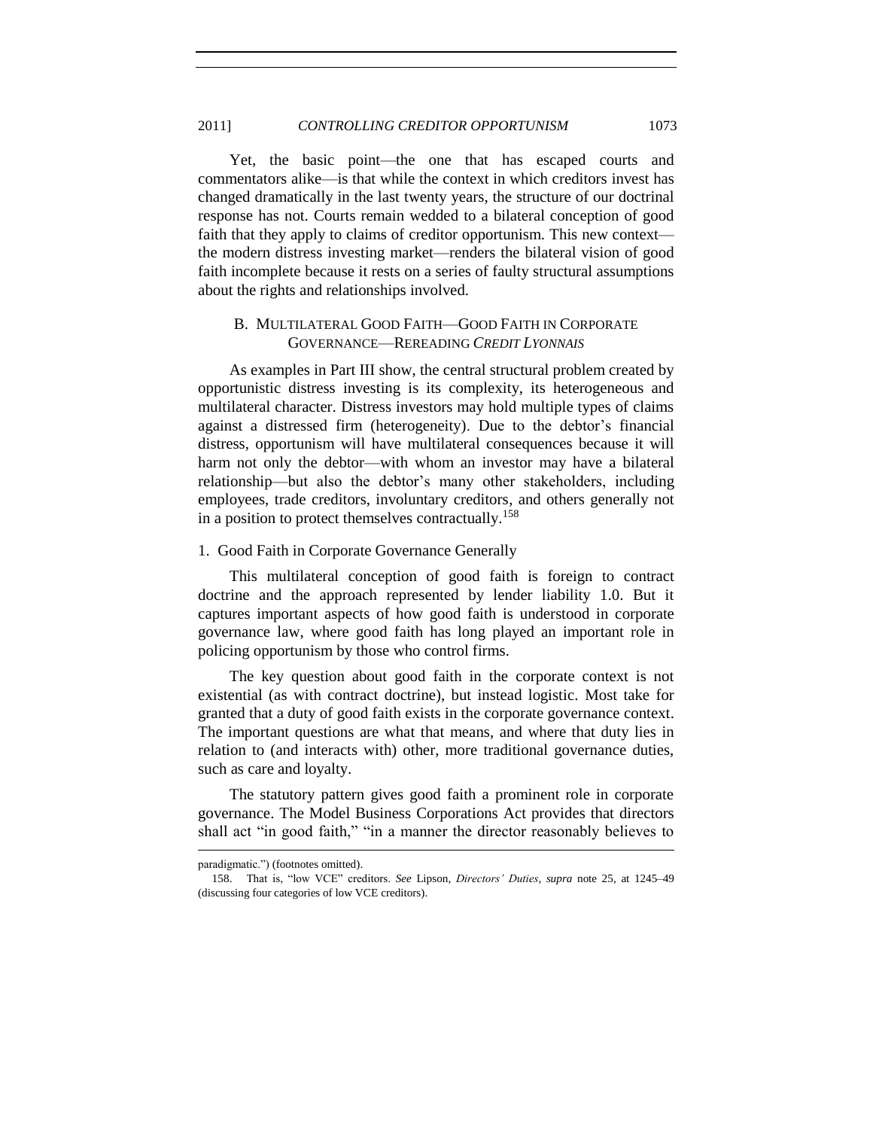Yet, the basic point—the one that has escaped courts and commentators alike—is that while the context in which creditors invest has changed dramatically in the last twenty years, the structure of our doctrinal response has not. Courts remain wedded to a bilateral conception of good faith that they apply to claims of creditor opportunism. This new context the modern distress investing market—renders the bilateral vision of good faith incomplete because it rests on a series of faulty structural assumptions about the rights and relationships involved.

## <span id="page-38-0"></span>B. MULTILATERAL GOOD FAITH—GOOD FAITH IN CORPORATE GOVERNANCE—REREADING *CREDIT LYONNAIS*

As examples in Part III show, the central structural problem created by opportunistic distress investing is its complexity, its heterogeneous and multilateral character. Distress investors may hold multiple types of claims against a distressed firm (heterogeneity). Due to the debtor's financial distress, opportunism will have multilateral consequences because it will harm not only the debtor—with whom an investor may have a bilateral relationship—but also the debtor's many other stakeholders, including employees, trade creditors, involuntary creditors, and others generally not in a position to protect themselves contractually.<sup>158</sup>

## <span id="page-38-1"></span>1. Good Faith in Corporate Governance Generally

This multilateral conception of good faith is foreign to contract doctrine and the approach represented by lender liability 1.0. But it captures important aspects of how good faith is understood in corporate governance law, where good faith has long played an important role in policing opportunism by those who control firms.

The key question about good faith in the corporate context is not existential (as with contract doctrine), but instead logistic. Most take for granted that a duty of good faith exists in the corporate governance context. The important questions are what that means, and where that duty lies in relation to (and interacts with) other, more traditional governance duties, such as care and loyalty.

The statutory pattern gives good faith a prominent role in corporate governance. The Model Business Corporations Act provides that directors shall act "in good faith," "in a manner the director reasonably believes to

paradigmatic.") (footnotes omitted).

<sup>158.</sup> That is, "low VCE" creditors. See Lipson, Directors' Duties, supra note [25,](#page-6-2) at 1245–49 (discussing four categories of low VCE creditors).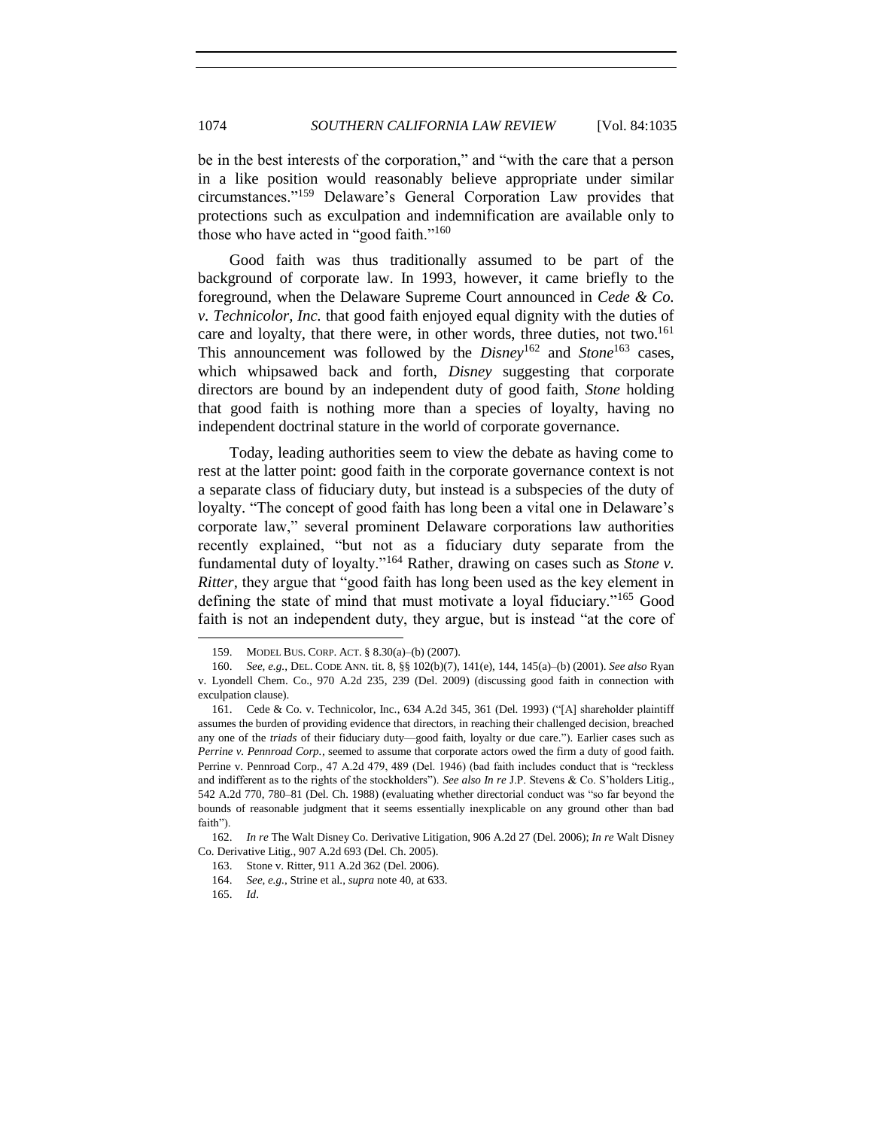be in the best interests of the corporation," and "with the care that a person in a like position would reasonably believe appropriate under similar circumstances.‖<sup>159</sup> Delaware's General Corporation Law provides that protections such as exculpation and indemnification are available only to those who have acted in "good faith." $160$ 

Good faith was thus traditionally assumed to be part of the background of corporate law. In 1993, however, it came briefly to the foreground, when the Delaware Supreme Court announced in *Cede & Co. v. Technicolor, Inc.* that good faith enjoyed equal dignity with the duties of care and loyalty, that there were, in other words, three duties, not two.<sup>161</sup> This announcement was followed by the *Disney*<sup>162</sup> and *Stone*<sup>163</sup> cases, which whipsawed back and forth, *Disney* suggesting that corporate directors are bound by an independent duty of good faith, *Stone* holding that good faith is nothing more than a species of loyalty, having no independent doctrinal stature in the world of corporate governance.

Today, leading authorities seem to view the debate as having come to rest at the latter point: good faith in the corporate governance context is not a separate class of fiduciary duty, but instead is a subspecies of the duty of loyalty. "The concept of good faith has long been a vital one in Delaware's corporate law," several prominent Delaware corporations law authorities recently explained, "but not as a fiduciary duty separate from the fundamental duty of loyalty."<sup>164</sup> Rather, drawing on cases such as *Stone v*. *Ritter*, they argue that "good faith has long been used as the key element in defining the state of mind that must motivate a loyal fiduciary. $165 \text{ Good}$ faith is not an independent duty, they argue, but is instead "at the core of

<sup>159.</sup> MODEL BUS. CORP. ACT. § 8.30(a)–(b) (2007).

<sup>160.</sup> *See, e.g.*, DEL. CODE ANN. tit. 8, §§ 102(b)(7), 141(e), 144, 145(a)–(b) (2001). *See also* Ryan v. Lyondell Chem. Co., 970 A.2d 235, 239 (Del. 2009) (discussing good faith in connection with exculpation clause).

<sup>161.</sup> Cede & Co. v. Technicolor, Inc., 634 A.2d 345, 361 (Del. 1993) ("[A] shareholder plaintiff assumes the burden of providing evidence that directors, in reaching their challenged decision, breached any one of the *triads* of their fiduciary duty—good faith, loyalty or due care."). Earlier cases such as *Perrine v. Pennroad Corp.*, seemed to assume that corporate actors owed the firm a duty of good faith. Perrine v. Pennroad Corp., 47 A.2d 479, 489 (Del. 1946) (bad faith includes conduct that is "reckless and indifferent as to the rights of the stockholders"). *See also In re J.P.* Stevens & Co. S'holders Litig., 542 A.2d 770, 780–81 (Del. Ch. 1988) (evaluating whether directorial conduct was "so far beyond the bounds of reasonable judgment that it seems essentially inexplicable on any ground other than bad faith").

<sup>162.</sup> *In re* The Walt Disney Co. Derivative Litigation, 906 A.2d 27 (Del. 2006); *In re* Walt Disney Co. Derivative Litig., 907 A.2d 693 (Del. Ch. 2005).

<sup>163.</sup> Stone v. Ritter, 911 A.2d 362 (Del. 2006).

<sup>164.</sup> *See, e.g.*, Strine et al., *supra* not[e 40,](#page-10-0) at 633.

<sup>165.</sup> *Id*.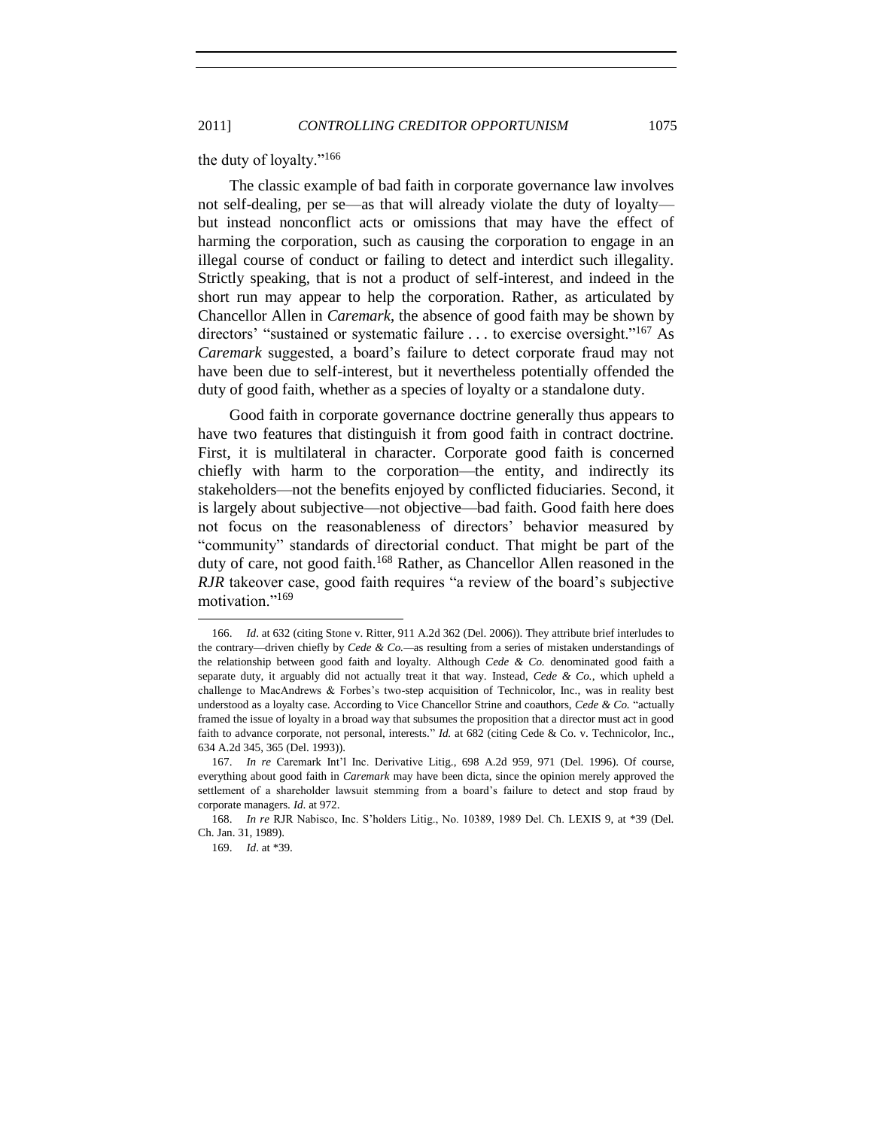the duty of loyalty."<sup>166</sup>

The classic example of bad faith in corporate governance law involves not self-dealing, per se—as that will already violate the duty of loyalty but instead nonconflict acts or omissions that may have the effect of harming the corporation, such as causing the corporation to engage in an illegal course of conduct or failing to detect and interdict such illegality. Strictly speaking, that is not a product of self-interest, and indeed in the short run may appear to help the corporation. Rather, as articulated by Chancellor Allen in *Caremark*, the absence of good faith may be shown by directors' "sustained or systematic failure  $\dots$  to exercise oversight."<sup>167</sup> As *Caremark* suggested, a board's failure to detect corporate fraud may not have been due to self-interest, but it nevertheless potentially offended the duty of good faith, whether as a species of loyalty or a standalone duty.

Good faith in corporate governance doctrine generally thus appears to have two features that distinguish it from good faith in contract doctrine. First, it is multilateral in character. Corporate good faith is concerned chiefly with harm to the corporation—the entity, and indirectly its stakeholders—not the benefits enjoyed by conflicted fiduciaries. Second, it is largely about subjective—not objective—bad faith. Good faith here does not focus on the reasonableness of directors' behavior measured by "community" standards of directorial conduct. That might be part of the duty of care, not good faith.<sup>168</sup> Rather, as Chancellor Allen reasoned in the *RJR* takeover case, good faith requires "a review of the board's subjective motivation."<sup>169</sup>

<sup>166.</sup> *Id*. at 632 (citing Stone v. Ritter, 911 A.2d 362 (Del. 2006)). They attribute brief interludes to the contrary—driven chiefly by *Cede & Co.—*as resulting from a series of mistaken understandings of the relationship between good faith and loyalty. Although *Cede & Co.* denominated good faith a separate duty, it arguably did not actually treat it that way. Instead, *Cede & Co.*, which upheld a challenge to MacAndrews & Forbes's two-step acquisition of Technicolor, Inc., was in reality best understood as a loyalty case. According to Vice Chancellor Strine and coauthors, *Cede & Co.* "actually framed the issue of loyalty in a broad way that subsumes the proposition that a director must act in good faith to advance corporate, not personal, interests." *Id.* at 682 (citing Cede & Co. v. Technicolor, Inc., 634 A.2d 345, 365 (Del. 1993)).

<sup>167.</sup> *In re* Caremark Int'l Inc. Derivative Litig., 698 A.2d 959, 971 (Del. 1996). Of course, everything about good faith in *Caremark* may have been dicta, since the opinion merely approved the settlement of a shareholder lawsuit stemming from a board's failure to detect and stop fraud by corporate managers. *Id*. at 972.

<sup>168.</sup> *In re* RJR Nabisco, Inc. S'holders Litig., No. 10389, 1989 Del. Ch. LEXIS 9, at \*39 (Del. Ch. Jan. 31, 1989).

<sup>169.</sup> *Id*. at \*39.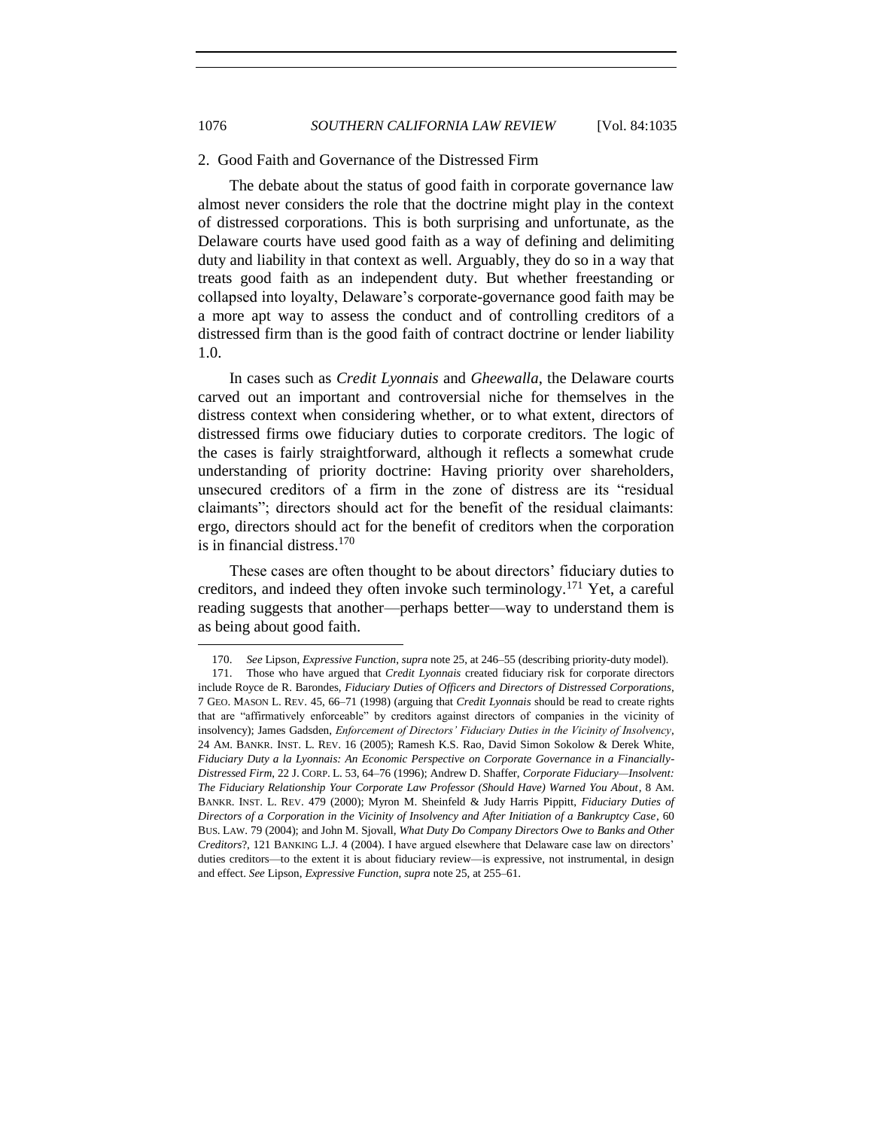#### <span id="page-41-0"></span>2. Good Faith and Governance of the Distressed Firm

The debate about the status of good faith in corporate governance law almost never considers the role that the doctrine might play in the context of distressed corporations. This is both surprising and unfortunate, as the Delaware courts have used good faith as a way of defining and delimiting duty and liability in that context as well. Arguably, they do so in a way that treats good faith as an independent duty. But whether freestanding or collapsed into loyalty, Delaware's corporate-governance good faith may be a more apt way to assess the conduct and of controlling creditors of a distressed firm than is the good faith of contract doctrine or lender liability 1.0.

In cases such as *Credit Lyonnais* and *Gheewalla*, the Delaware courts carved out an important and controversial niche for themselves in the distress context when considering whether, or to what extent, directors of distressed firms owe fiduciary duties to corporate creditors. The logic of the cases is fairly straightforward, although it reflects a somewhat crude understanding of priority doctrine: Having priority over shareholders, unsecured creditors of a firm in the zone of distress are its "residual claimants"; directors should act for the benefit of the residual claimants: ergo, directors should act for the benefit of creditors when the corporation is in financial distress. $170$ 

These cases are often thought to be about directors' fiduciary duties to creditors, and indeed they often invoke such terminology.<sup>171</sup> Yet, a careful reading suggests that another—perhaps better—way to understand them is as being about good faith.

<sup>170.</sup> *See* Lipson, *Expressive Function*, *supra* note [25,](#page-6-2) at 246–55 (describing priority-duty model).

<sup>171.</sup> Those who have argued that *Credit Lyonnais* created fiduciary risk for corporate directors include Royce de R. Barondes, *Fiduciary Duties of Officers and Directors of Distressed Corporations*, 7 GEO. MASON L. REV. 45, 66–71 (1998) (arguing that *Credit Lyonnais* should be read to create rights that are "affirmatively enforceable" by creditors against directors of companies in the vicinity of insolvency); James Gadsden, *Enforcement of Directors' Fiduciary Duties in the Vicinity of Insolvency*, 24 AM. BANKR. INST. L. REV. 16 (2005); Ramesh K.S. Rao, David Simon Sokolow & Derek White, *Fiduciary Duty a la Lyonnais: An Economic Perspective on Corporate Governance in a Financially-Distressed Firm*, 22 J. CORP. L. 53, 64–76 (1996); Andrew D. Shaffer, *Corporate Fiduciary—Insolvent: The Fiduciary Relationship Your Corporate Law Professor (Should Have) Warned You About*, 8 AM. BANKR. INST. L. REV. 479 (2000); Myron M. Sheinfeld & Judy Harris Pippitt, *Fiduciary Duties of Directors of a Corporation in the Vicinity of Insolvency and After Initiation of a Bankruptcy Case*, 60 BUS. LAW. 79 (2004); and John M. Sjovall, *What Duty Do Company Directors Owe to Banks and Other Creditors*?, 121 BANKING L.J. 4 (2004). I have argued elsewhere that Delaware case law on directors' duties creditors—to the extent it is about fiduciary review—is expressive, not instrumental, in design and effect. *See* Lipson, *Expressive Function*, *supra* not[e 25,](#page-6-2) at 255–61.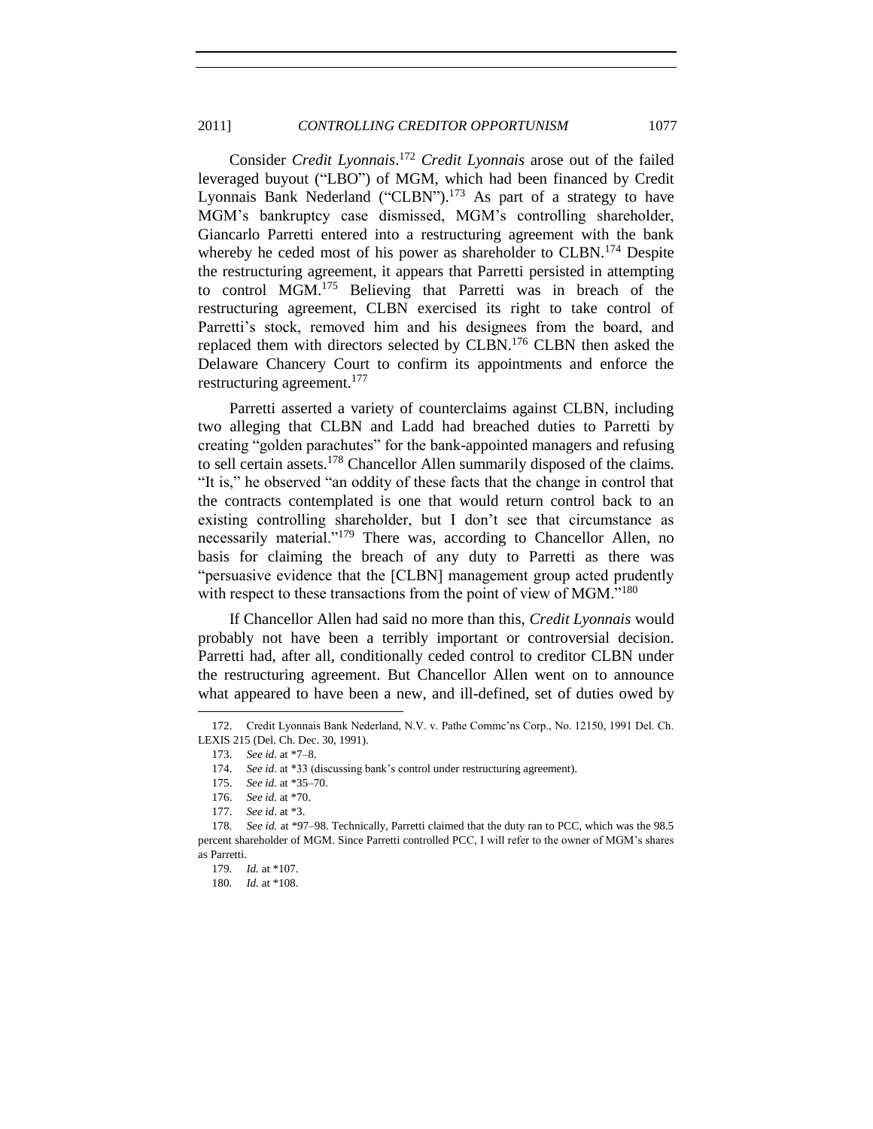## 2011] *CONTROLLING CREDITOR OPPORTUNISM* 1077

Consider *Credit Lyonnais*. <sup>172</sup> *Credit Lyonnais* arose out of the failed leveraged buyout ("LBO") of MGM, which had been financed by Credit Lyonnais Bank Nederland ("CLBN").<sup>173</sup> As part of a strategy to have MGM's bankruptcy case dismissed, MGM's controlling shareholder, Giancarlo Parretti entered into a restructuring agreement with the bank whereby he ceded most of his power as shareholder to CLBN.<sup>174</sup> Despite the restructuring agreement, it appears that Parretti persisted in attempting to control MGM.<sup>175</sup> Believing that Parretti was in breach of the restructuring agreement, CLBN exercised its right to take control of Parretti's stock, removed him and his designees from the board, and replaced them with directors selected by CLBN.<sup>176</sup> CLBN then asked the Delaware Chancery Court to confirm its appointments and enforce the restructuring agreement.<sup>177</sup>

Parretti asserted a variety of counterclaims against CLBN, including two alleging that CLBN and Ladd had breached duties to Parretti by creating "golden parachutes" for the bank-appointed managers and refusing to sell certain assets.<sup>178</sup> Chancellor Allen summarily disposed of the claims. "It is," he observed "an oddity of these facts that the change in control that the contracts contemplated is one that would return control back to an existing controlling shareholder, but I don't see that circumstance as necessarily material."<sup>179</sup> There was, according to Chancellor Allen, no basis for claiming the breach of any duty to Parretti as there was "persuasive evidence that the [CLBN] management group acted prudently with respect to these transactions from the point of view of MGM. $180$ 

If Chancellor Allen had said no more than this, *Credit Lyonnais* would probably not have been a terribly important or controversial decision. Parretti had, after all, conditionally ceded control to creditor CLBN under the restructuring agreement. But Chancellor Allen went on to announce what appeared to have been a new, and ill-defined, set of duties owed by

<sup>172.</sup> Credit Lyonnais Bank Nederland, N.V. v. Pathe Commc'ns Corp., No. 12150, 1991 Del. Ch. LEXIS 215 (Del. Ch. Dec. 30, 1991).

<sup>173.</sup> *See id.* at \*7–8.

<sup>174.</sup> *See id.* at \*33 (discussing bank's control under restructuring agreement).

<sup>175.</sup> *See id.* at \*35–70.

<sup>176.</sup> *See id.* at \*70.

<sup>177.</sup> *See id*. at \*3.

<sup>178</sup>*. See id.* at \*97–98. Technically, Parretti claimed that the duty ran to PCC, which was the 98.5 percent shareholder of MGM. Since Parretti controlled PCC, I will refer to the owner of MGM's shares as Parretti.

<sup>179</sup>*. Id.* at \*107.

<sup>180</sup>*. Id.* at \*108.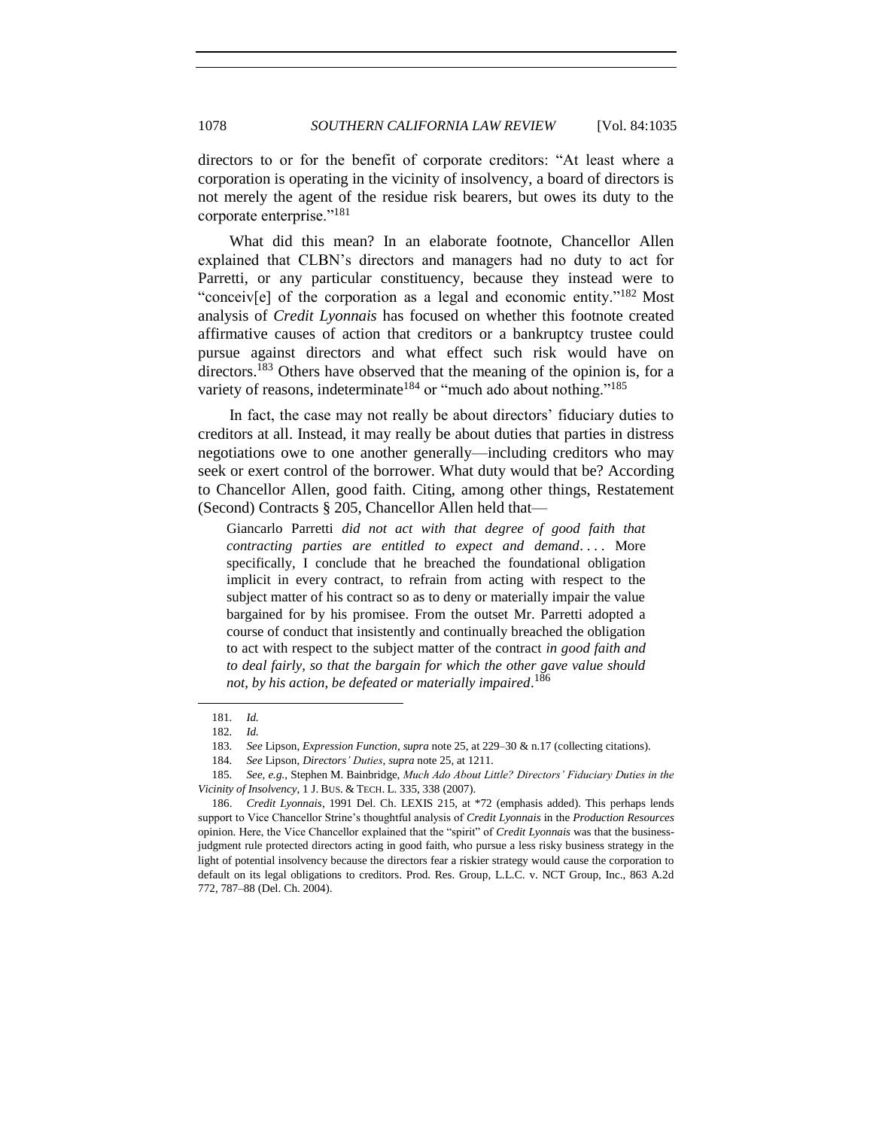directors to or for the benefit of corporate creditors: "At least where a corporation is operating in the vicinity of insolvency, a board of directors is not merely the agent of the residue risk bearers, but owes its duty to the corporate enterprise."<sup>181</sup>

What did this mean? In an elaborate footnote, Chancellor Allen explained that CLBN's directors and managers had no duty to act for Parretti, or any particular constituency, because they instead were to "conceiv[e] of the corporation as a legal and economic entity." $182$  Most analysis of *Credit Lyonnais* has focused on whether this footnote created affirmative causes of action that creditors or a bankruptcy trustee could pursue against directors and what effect such risk would have on directors.<sup>183</sup> Others have observed that the meaning of the opinion is, for a variety of reasons, indeterminate<sup>184</sup> or "much ado about nothing."<sup>185</sup>

In fact, the case may not really be about directors' fiduciary duties to creditors at all. Instead, it may really be about duties that parties in distress negotiations owe to one another generally—including creditors who may seek or exert control of the borrower. What duty would that be? According to Chancellor Allen, good faith. Citing, among other things, Restatement (Second) Contracts § 205, Chancellor Allen held that—

Giancarlo Parretti *did not act with that degree of good faith that contracting parties are entitled to expect and demand....* More specifically, I conclude that he breached the foundational obligation implicit in every contract, to refrain from acting with respect to the subject matter of his contract so as to deny or materially impair the value bargained for by his promisee. From the outset Mr. Parretti adopted a course of conduct that insistently and continually breached the obligation to act with respect to the subject matter of the contract *in good faith and to deal fairly, so that the bargain for which the other gave value should not, by his action, be defeated or materially impaired*. 186

<sup>181</sup>*. Id.*

<sup>182</sup>*. Id.*

<sup>183</sup>*. See* Lipson, *Expression Function*, *supra* note [25,](#page-6-2) at 229–30 & n.17 (collecting citations).

<sup>184</sup>*. See* Lipson, *Directors' Duties*, *supra* not[e 25,](#page-6-2) at 1211.

<sup>185</sup>*. See, e.g.*, Stephen M. Bainbridge, *Much Ado About Little? Directors' Fiduciary Duties in the Vicinity of Insolvency*, 1 J. BUS. & TECH. L. 335, 338 (2007).

<sup>186.</sup> *Credit Lyonnais*, 1991 Del. Ch. LEXIS 215, at \*72 (emphasis added). This perhaps lends support to Vice Chancellor Strine's thoughtful analysis of *Credit Lyonnais* in the *Production Resources*  opinion. Here, the Vice Chancellor explained that the "spirit" of *Credit Lyonnais* was that the businessjudgment rule protected directors acting in good faith, who pursue a less risky business strategy in the light of potential insolvency because the directors fear a riskier strategy would cause the corporation to default on its legal obligations to creditors. Prod. Res. Group, L.L.C. v. NCT Group, Inc., 863 A.2d 772, 787–88 (Del. Ch. 2004).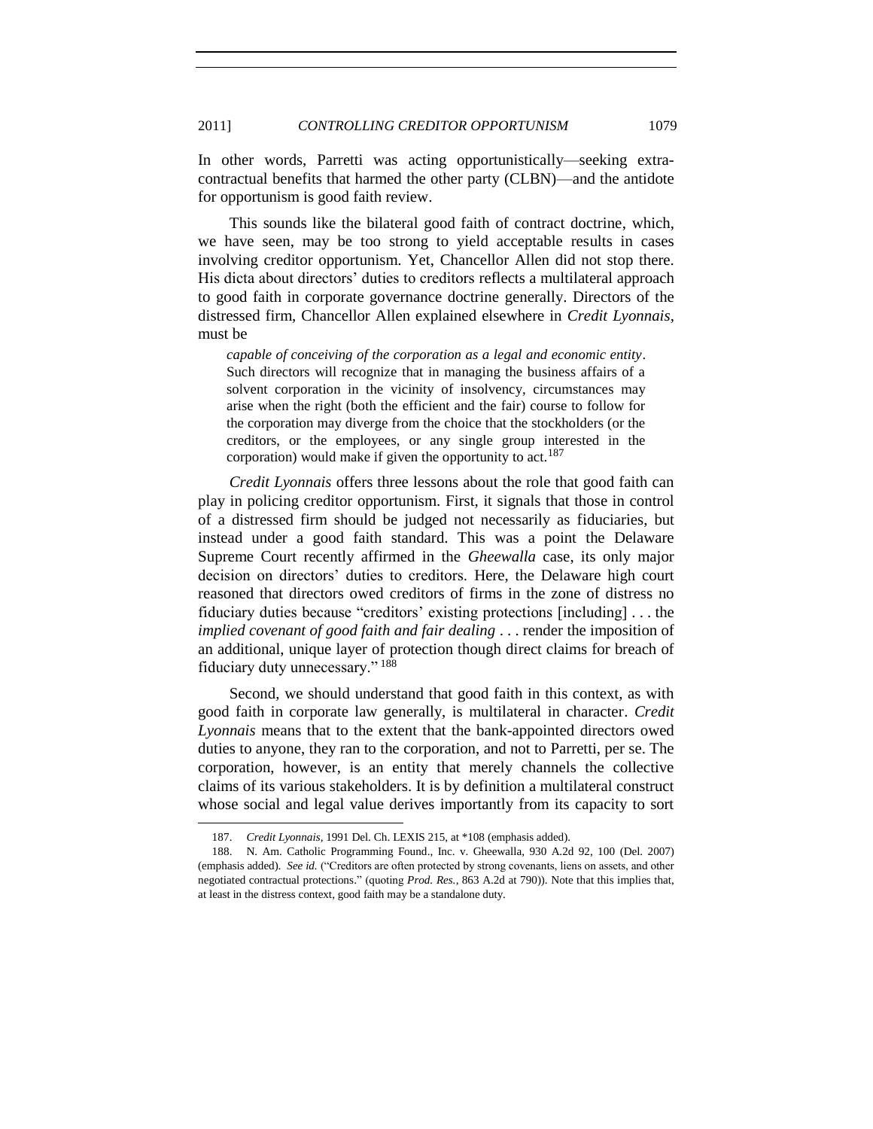In other words, Parretti was acting opportunistically—seeking extracontractual benefits that harmed the other party (CLBN)—and the antidote for opportunism is good faith review.

This sounds like the bilateral good faith of contract doctrine, which, we have seen, may be too strong to yield acceptable results in cases involving creditor opportunism. Yet, Chancellor Allen did not stop there. His dicta about directors' duties to creditors reflects a multilateral approach to good faith in corporate governance doctrine generally. Directors of the distressed firm, Chancellor Allen explained elsewhere in *Credit Lyonnais*, must be

*capable of conceiving of the corporation as a legal and economic entity*. Such directors will recognize that in managing the business affairs of a solvent corporation in the vicinity of insolvency, circumstances may arise when the right (both the efficient and the fair) course to follow for the corporation may diverge from the choice that the stockholders (or the creditors, or the employees, or any single group interested in the corporation) would make if given the opportunity to act.<sup>187</sup>

*Credit Lyonnais* offers three lessons about the role that good faith can play in policing creditor opportunism. First, it signals that those in control of a distressed firm should be judged not necessarily as fiduciaries, but instead under a good faith standard. This was a point the Delaware Supreme Court recently affirmed in the *Gheewalla* case, its only major decision on directors' duties to creditors. Here, the Delaware high court reasoned that directors owed creditors of firms in the zone of distress no fiduciary duties because "creditors' existing protections [including]  $\dots$  the *implied covenant of good faith and fair dealing* . . . render the imposition of an additional, unique layer of protection though direct claims for breach of fiduciary duty unnecessary."<sup>188</sup>

Second, we should understand that good faith in this context, as with good faith in corporate law generally, is multilateral in character. *Credit Lyonnais* means that to the extent that the bank-appointed directors owed duties to anyone, they ran to the corporation, and not to Parretti, per se. The corporation, however, is an entity that merely channels the collective claims of its various stakeholders. It is by definition a multilateral construct whose social and legal value derives importantly from its capacity to sort

<sup>187.</sup> *Credit Lyonnais*, 1991 Del. Ch. LEXIS 215, at \*108 (emphasis added).

<sup>188.</sup> N. Am. Catholic Programming Found., Inc. v. Gheewalla, 930 A.2d 92, 100 (Del. 2007) (emphasis added). *See id.* ("Creditors are often protected by strong covenants, liens on assets, and other negotiated contractual protections.‖ (quoting *Prod. Res.*, 863 A.2d at 790)). Note that this implies that, at least in the distress context, good faith may be a standalone duty.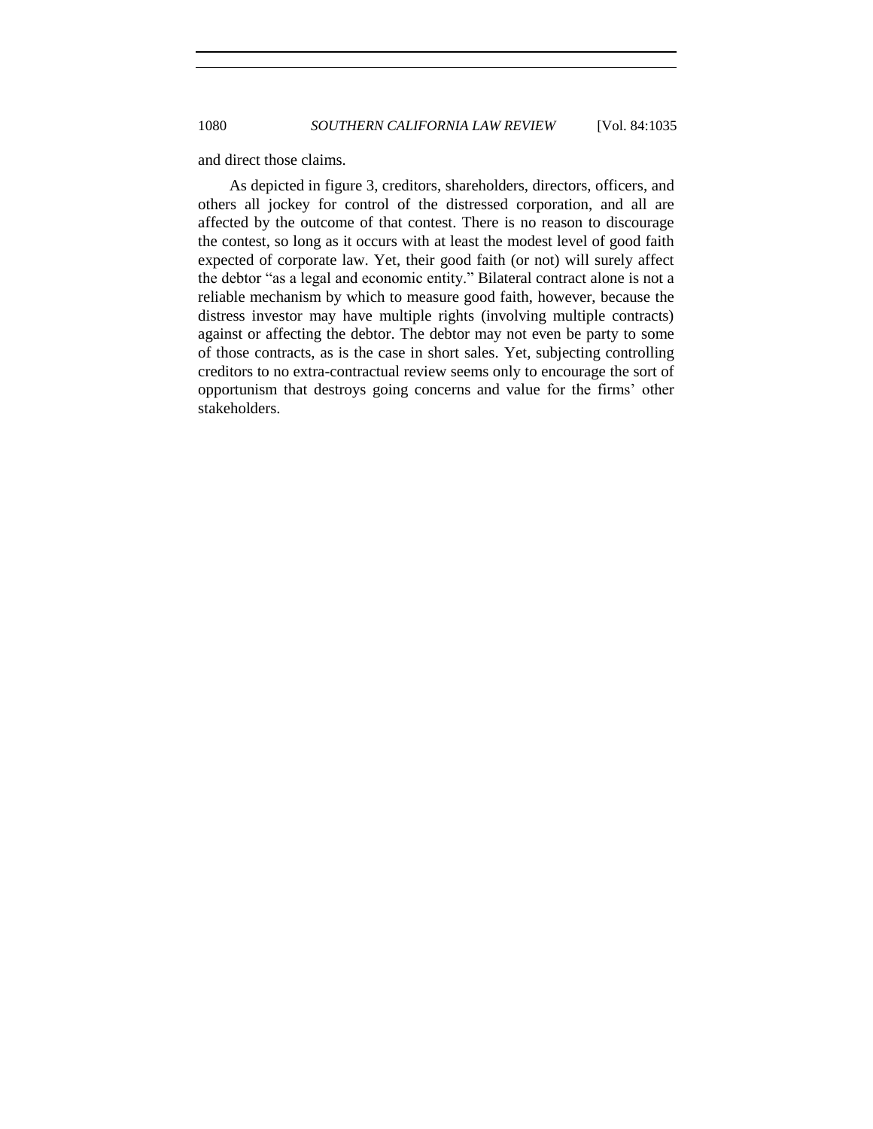and direct those claims.

As depicted in figure 3, creditors, shareholders, directors, officers, and others all jockey for control of the distressed corporation, and all are affected by the outcome of that contest. There is no reason to discourage the contest, so long as it occurs with at least the modest level of good faith expected of corporate law. Yet, their good faith (or not) will surely affect the debtor "as a legal and economic entity." Bilateral contract alone is not a reliable mechanism by which to measure good faith, however, because the distress investor may have multiple rights (involving multiple contracts) against or affecting the debtor. The debtor may not even be party to some of those contracts, as is the case in short sales. Yet, subjecting controlling creditors to no extra-contractual review seems only to encourage the sort of opportunism that destroys going concerns and value for the firms' other stakeholders.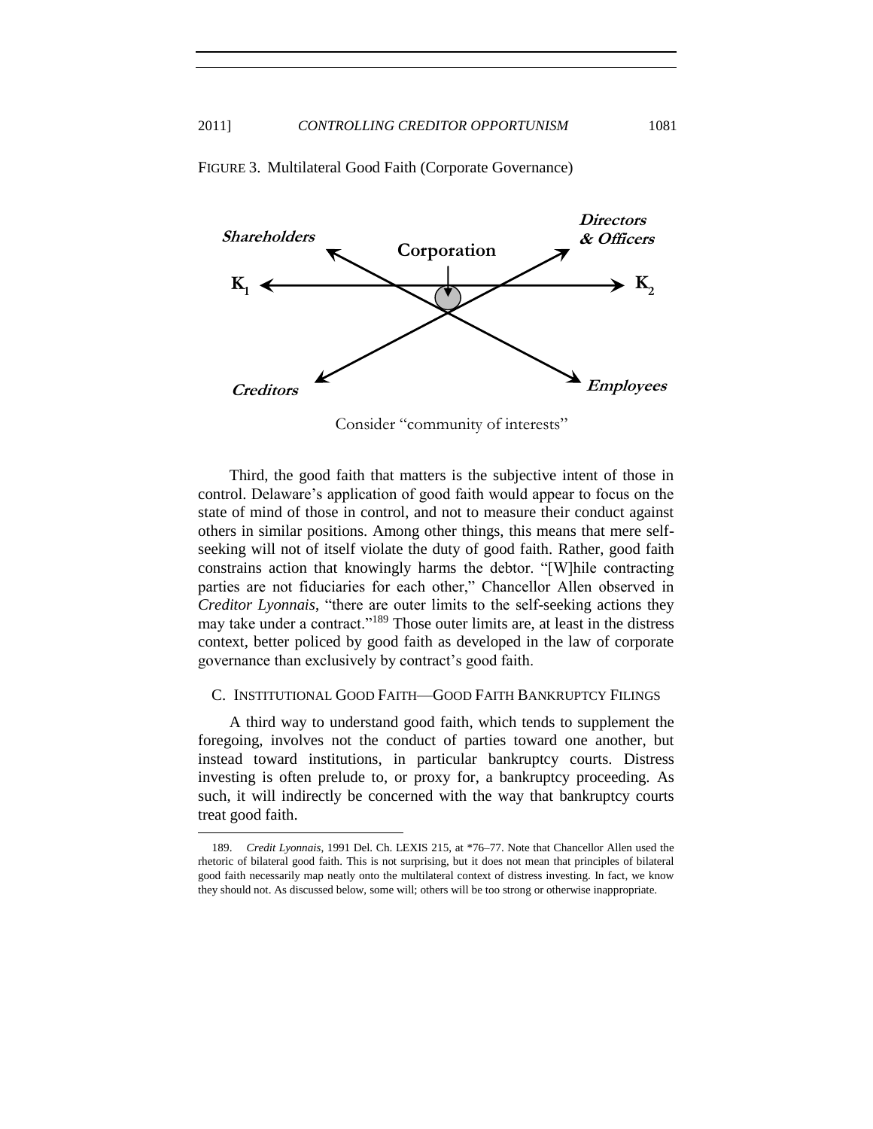

FIGURE 3. Multilateral Good Faith (Corporate Governance)

Consider "community of interests"

Third, the good faith that matters is the subjective intent of those in control. Delaware's application of good faith would appear to focus on the state of mind of those in control, and not to measure their conduct against others in similar positions. Among other things, this means that mere selfseeking will not of itself violate the duty of good faith. Rather, good faith constrains action that knowingly harms the debtor. "[W]hile contracting parties are not fiduciaries for each other," Chancellor Allen observed in *Creditor Lyonnais*, "there are outer limits to the self-seeking actions they may take under a contract."<sup>189</sup> Those outer limits are, at least in the distress context, better policed by good faith as developed in the law of corporate governance than exclusively by contract's good faith.

#### <span id="page-46-0"></span>C. INSTITUTIONAL GOOD FAITH—GOOD FAITH BANKRUPTCY FILINGS

A third way to understand good faith, which tends to supplement the foregoing, involves not the conduct of parties toward one another, but instead toward institutions, in particular bankruptcy courts. Distress investing is often prelude to, or proxy for, a bankruptcy proceeding. As such, it will indirectly be concerned with the way that bankruptcy courts treat good faith.

<sup>189.</sup> *Credit Lyonnais*, 1991 Del. Ch. LEXIS 215, at \*76–77. Note that Chancellor Allen used the rhetoric of bilateral good faith. This is not surprising, but it does not mean that principles of bilateral good faith necessarily map neatly onto the multilateral context of distress investing. In fact, we know they should not. As discussed below, some will; others will be too strong or otherwise inappropriate.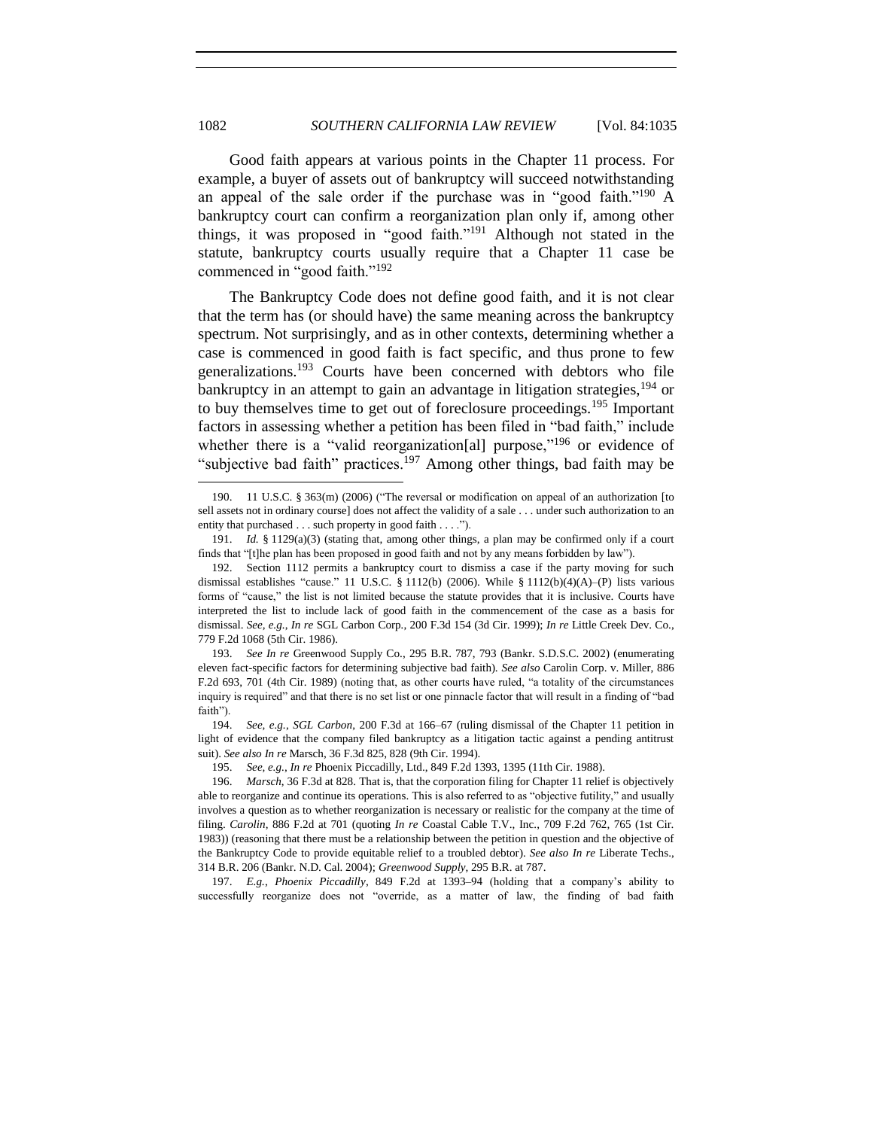Good faith appears at various points in the Chapter 11 process. For example, a buyer of assets out of bankruptcy will succeed notwithstanding an appeal of the sale order if the purchase was in "good faith."<sup>190</sup> A bankruptcy court can confirm a reorganization plan only if, among other things, it was proposed in "good faith."<sup>191</sup> Although not stated in the statute, bankruptcy courts usually require that a Chapter 11 case be commenced in "good faith."<sup>192</sup>

The Bankruptcy Code does not define good faith, and it is not clear that the term has (or should have) the same meaning across the bankruptcy spectrum. Not surprisingly, and as in other contexts, determining whether a case is commenced in good faith is fact specific, and thus prone to few generalizations.<sup>193</sup> Courts have been concerned with debtors who file bankruptcy in an attempt to gain an advantage in litigation strategies,  $194$  or to buy themselves time to get out of foreclosure proceedings.<sup>195</sup> Important factors in assessing whether a petition has been filed in "bad faith," include whether there is a "valid reorganization[al] purpose,"<sup>196</sup> or evidence of "subjective bad faith" practices.<sup>197</sup> Among other things, bad faith may be

<sup>190. 11</sup> U.S.C. § 363(m) (2006) ("The reversal or modification on appeal of an authorization [to sell assets not in ordinary course] does not affect the validity of a sale . . . under such authorization to an entity that purchased . . . such property in good faith . . . .").

<sup>191.</sup> *Id.* § 1129(a)(3) (stating that, among other things, a plan may be confirmed only if a court finds that "[t]he plan has been proposed in good faith and not by any means forbidden by law").

<sup>192.</sup> Section 1112 permits a bankruptcy court to dismiss a case if the party moving for such dismissal establishes "cause." 11 U.S.C. § 1112(b) (2006). While § 1112(b)(4)(A)–(P) lists various forms of "cause," the list is not limited because the statute provides that it is inclusive. Courts have interpreted the list to include lack of good faith in the commencement of the case as a basis for dismissal. *See, e.g.*, *In re* SGL Carbon Corp*.*, 200 F.3d 154 (3d Cir. 1999); *In re* Little Creek Dev. Co., 779 F.2d 1068 (5th Cir. 1986).

<sup>193.</sup> *See In re* Greenwood Supply Co., 295 B.R. 787, 793 (Bankr. S.D.S.C. 2002) (enumerating eleven fact-specific factors for determining subjective bad faith). *See also* Carolin Corp. v. Miller, 886 F.2d 693, 701 (4th Cir. 1989) (noting that, as other courts have ruled, "a totality of the circumstances inquiry is required" and that there is no set list or one pinnacle factor that will result in a finding of "bad faith").

<sup>194.</sup> *See, e.g.*, *SGL Carbon*, 200 F.3d at 166–67 (ruling dismissal of the Chapter 11 petition in light of evidence that the company filed bankruptcy as a litigation tactic against a pending antitrust suit). *See also In re* Marsch, 36 F.3d 825, 828 (9th Cir. 1994).

<sup>195.</sup> *See, e.g.*, *In re* Phoenix Piccadilly, Ltd., 849 F.2d 1393, 1395 (11th Cir. 1988).

<sup>196.</sup> *Marsch*, 36 F.3d at 828. That is, that the corporation filing for Chapter 11 relief is objectively able to reorganize and continue its operations. This is also referred to as "objective futility," and usually involves a question as to whether reorganization is necessary or realistic for the company at the time of filing. *Carolin*, 886 F.2d at 701 (quoting *In re* Coastal Cable T.V., Inc., 709 F.2d 762, 765 (1st Cir. 1983)) (reasoning that there must be a relationship between the petition in question and the objective of the Bankruptcy Code to provide equitable relief to a troubled debtor). *See also In re* Liberate Techs., 314 B.R. 206 (Bankr. N.D. Cal. 2004); *Greenwood Supply*, 295 B.R. at 787.

<sup>197.</sup> *E.g.*, *Phoenix Piccadilly*, 849 F.2d at 1393–94 (holding that a company's ability to successfully reorganize does not "override, as a matter of law, the finding of bad faith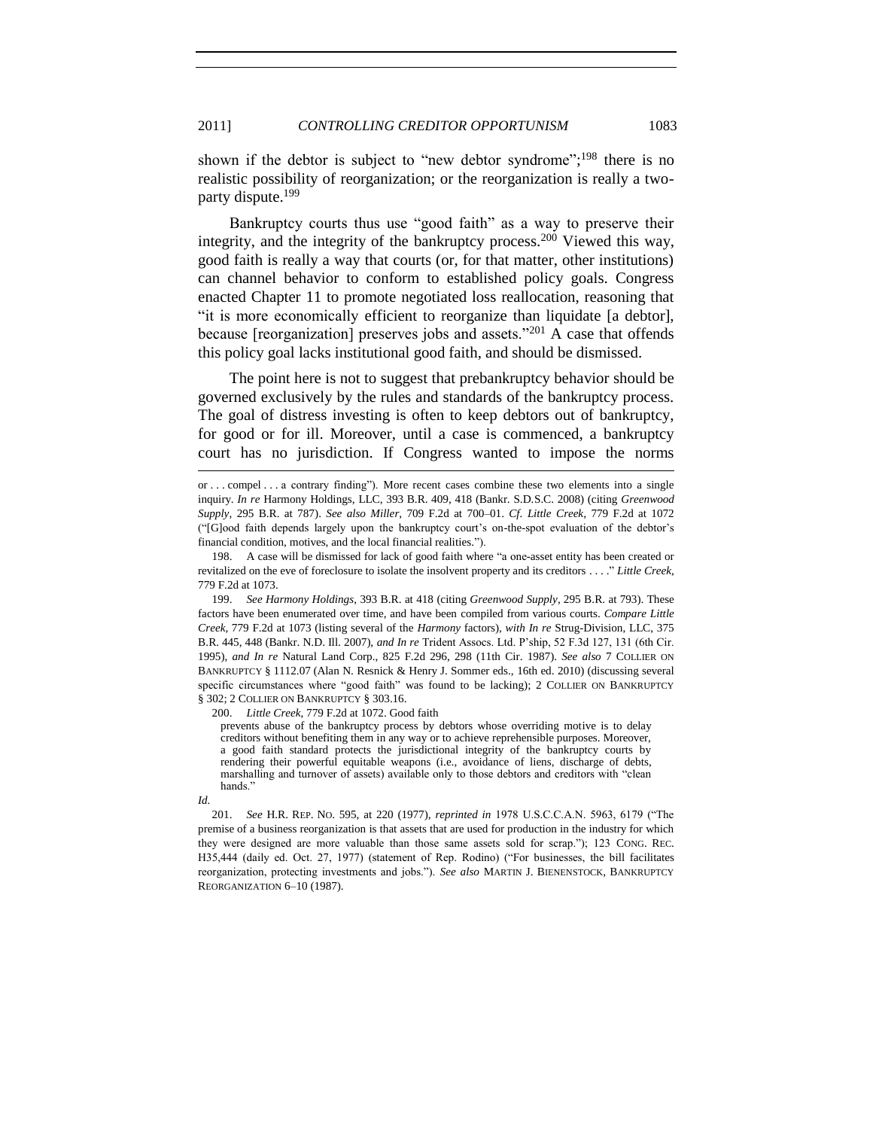shown if the debtor is subject to "new debtor syndrome";<sup>198</sup> there is no realistic possibility of reorganization; or the reorganization is really a twoparty dispute.<sup>199</sup>

Bankruptcy courts thus use "good faith" as a way to preserve their integrity, and the integrity of the bankruptcy process.<sup>200</sup> Viewed this way, good faith is really a way that courts (or, for that matter, other institutions) can channel behavior to conform to established policy goals. Congress enacted Chapter 11 to promote negotiated loss reallocation, reasoning that ―it is more economically efficient to reorganize than liquidate [a debtor], because [reorganization] preserves jobs and assets."<sup>201</sup> A case that offends this policy goal lacks institutional good faith, and should be dismissed.

The point here is not to suggest that prebankruptcy behavior should be governed exclusively by the rules and standards of the bankruptcy process. The goal of distress investing is often to keep debtors out of bankruptcy, for good or for ill. Moreover, until a case is commenced, a bankruptcy court has no jurisdiction. If Congress wanted to impose the norms

199. *See Harmony Holdings*, 393 B.R. at 418 (citing *Greenwood Supply*, 295 B.R. at 793). These factors have been enumerated over time, and have been compiled from various courts. *Compare Little Creek*, 779 F.2d at 1073 (listing several of the *Harmony* factors), *with In re* Strug-Division, LLC, 375 B.R. 445, 448 (Bankr. N.D. Ill. 2007), *and In re* Trident Assocs. Ltd. P'ship, 52 F.3d 127, 131 (6th Cir. 1995), *and In re* Natural Land Corp., 825 F.2d 296, 298 (11th Cir. 1987). *See also* 7 COLLIER ON BANKRUPTCY § 1112.07 (Alan N. Resnick & Henry J. Sommer eds., 16th ed. 2010) (discussing several specific circumstances where "good faith" was found to be lacking); 2 COLLIER ON BANKRUPTCY § 302; 2 COLLIER ON BANKRUPTCY § 303.16.

200. *Little Creek*, 779 F.2d at 1072. Good faith

prevents abuse of the bankruptcy process by debtors whose overriding motive is to delay creditors without benefiting them in any way or to achieve reprehensible purposes. Moreover, a good faith standard protects the jurisdictional integrity of the bankruptcy courts by rendering their powerful equitable weapons (i.e., avoidance of liens, discharge of debts, marshalling and turnover of assets) available only to those debtors and creditors with "clean hands.

*Id.*

l

201. *See* H.R. REP. No. 595, at 220 (1977), *reprinted in* 1978 U.S.C.C.A.N. 5963, 6179 ("The premise of a business reorganization is that assets that are used for production in the industry for which they were designed are more valuable than those same assets sold for scrap."); 123 CONG. REC. H35,444 (daily ed. Oct. 27, 1977) (statement of Rep. Rodino) ("For businesses, the bill facilitates reorganization, protecting investments and jobs.‖). *See also* MARTIN J. BIENENSTOCK, BANKRUPTCY REORGANIZATION 6–10 (1987).

or . . . compel . . . a contrary finding"). More recent cases combine these two elements into a single inquiry. *In re* Harmony Holdings, LLC, 393 B.R. 409, 418 (Bankr. S.D.S.C. 2008) (citing *Greenwood Supply*, 295 B.R. at 787). *See also Miller*, 709 F.2d at 700–01. *Cf. Little Creek*, 779 F.2d at 1072 (―[G]ood faith depends largely upon the bankruptcy court's on-the-spot evaluation of the debtor's financial condition, motives, and the local financial realities.").

<sup>198.</sup> A case will be dismissed for lack of good faith where "a one-asset entity has been created or revitalized on the eve of foreclosure to isolate the insolvent property and its creditors . . . .‖ *Little Creek*, 779 F.2d at 1073.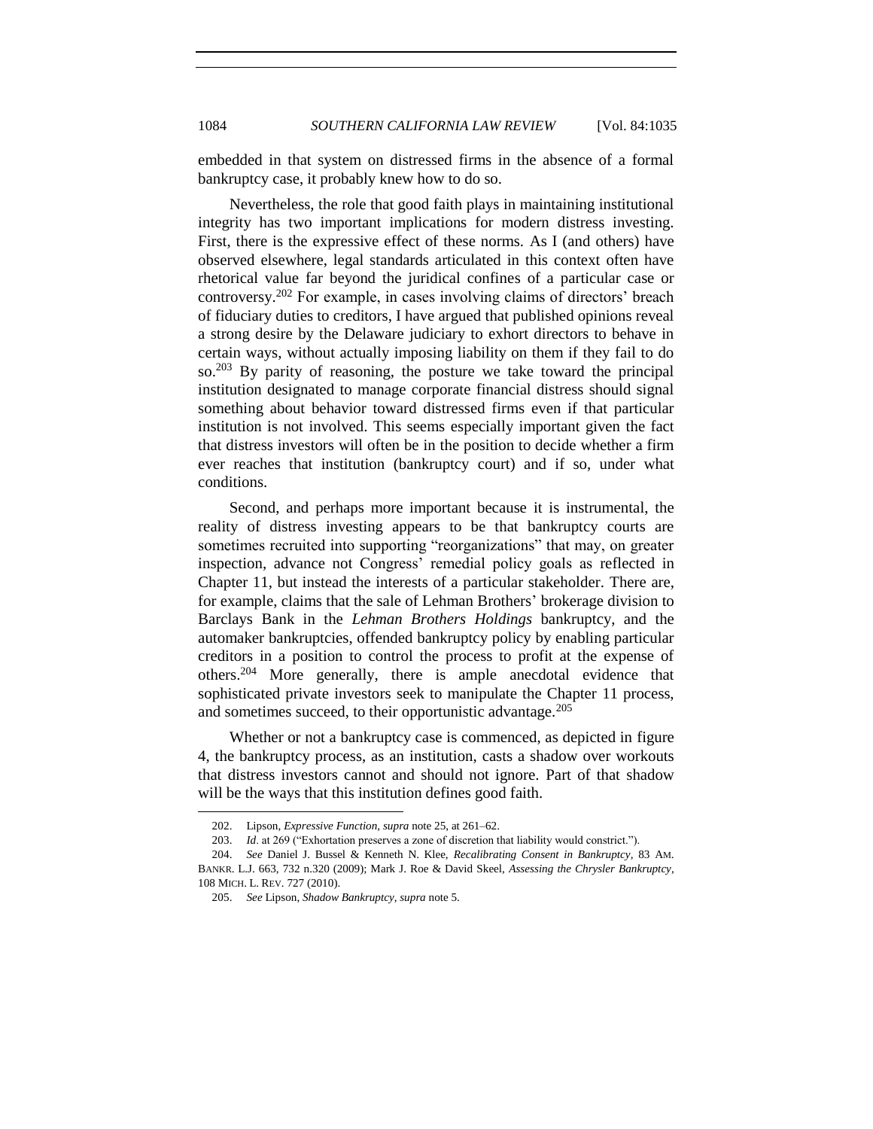embedded in that system on distressed firms in the absence of a formal bankruptcy case, it probably knew how to do so.

Nevertheless, the role that good faith plays in maintaining institutional integrity has two important implications for modern distress investing. First, there is the expressive effect of these norms. As I (and others) have observed elsewhere, legal standards articulated in this context often have rhetorical value far beyond the juridical confines of a particular case or controversy.<sup>202</sup> For example, in cases involving claims of directors' breach of fiduciary duties to creditors, I have argued that published opinions reveal a strong desire by the Delaware judiciary to exhort directors to behave in certain ways, without actually imposing liability on them if they fail to do so.<sup>203</sup> By parity of reasoning, the posture we take toward the principal institution designated to manage corporate financial distress should signal something about behavior toward distressed firms even if that particular institution is not involved. This seems especially important given the fact that distress investors will often be in the position to decide whether a firm ever reaches that institution (bankruptcy court) and if so, under what conditions.

Second, and perhaps more important because it is instrumental, the reality of distress investing appears to be that bankruptcy courts are sometimes recruited into supporting "reorganizations" that may, on greater inspection, advance not Congress' remedial policy goals as reflected in Chapter 11, but instead the interests of a particular stakeholder. There are, for example, claims that the sale of Lehman Brothers' brokerage division to Barclays Bank in the *Lehman Brothers Holdings* bankruptcy, and the automaker bankruptcies, offended bankruptcy policy by enabling particular creditors in a position to control the process to profit at the expense of others.<sup>204</sup> More generally, there is ample anecdotal evidence that sophisticated private investors seek to manipulate the Chapter 11 process, and sometimes succeed, to their opportunistic advantage.<sup>205</sup>

Whether or not a bankruptcy case is commenced, as depicted in figure 4, the bankruptcy process, as an institution, casts a shadow over workouts that distress investors cannot and should not ignore. Part of that shadow will be the ways that this institution defines good faith.

<sup>202.</sup> Lipson, *Expressive Function*, *supra* note [25,](#page-6-2) at 261–62.

<sup>203.</sup> *Id.* at 269 ("Exhortation preserves a zone of discretion that liability would constrict.").

<sup>204.</sup> *See* Daniel J. Bussel & Kenneth N. Klee, *Recalibrating Consent in Bankruptcy*, 83 AM. BANKR. L.J. 663, 732 n.320 (2009); Mark J. Roe & David Skeel, *Assessing the Chrysler Bankruptcy*, 108 MICH. L. REV. 727 (2010).

<sup>205.</sup> *See* Lipson, *Shadow Bankruptcy*, *supra* not[e 5.](#page-2-1)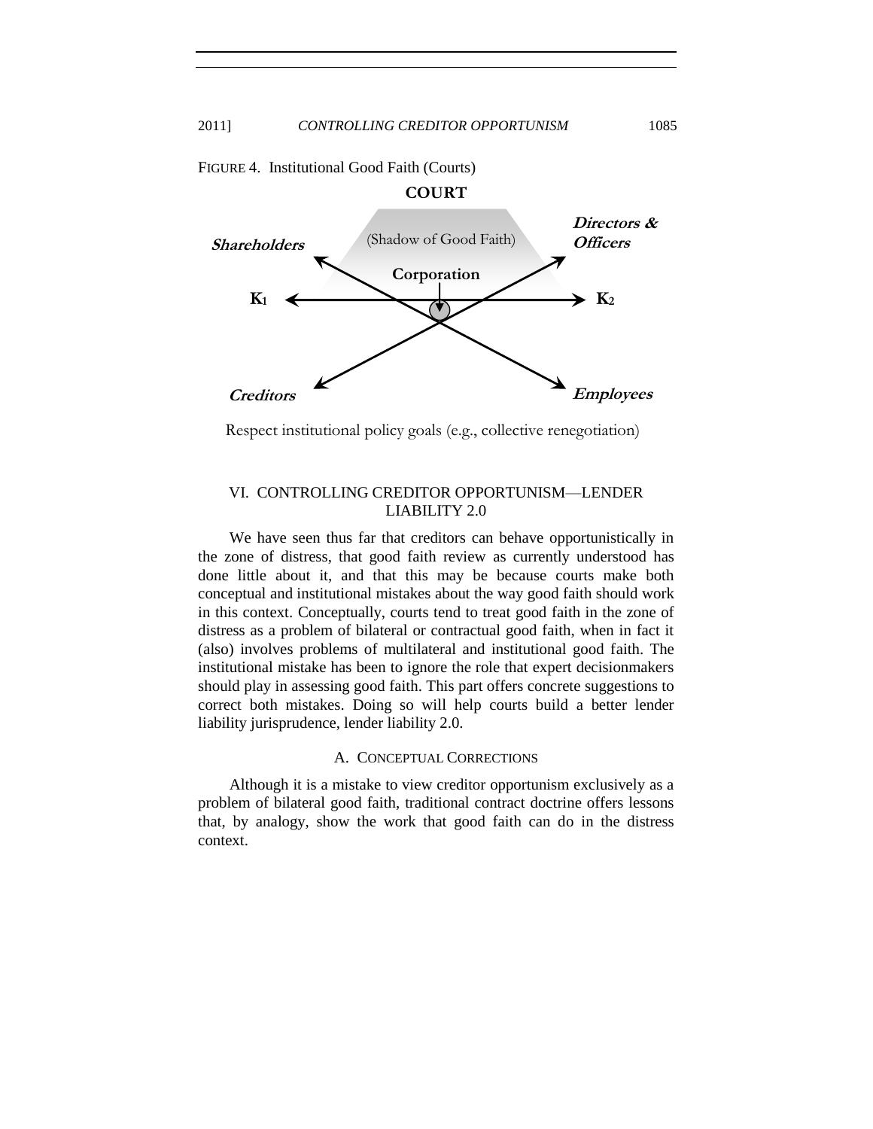

FIGURE 4. Institutional Good Faith (Courts)

<span id="page-50-0"></span>Respect institutional policy goals (e.g., collective renegotiation)

## VI. CONTROLLING CREDITOR OPPORTUNISM—LENDER LIABILITY 2.0

We have seen thus far that creditors can behave opportunistically in the zone of distress, that good faith review as currently understood has done little about it, and that this may be because courts make both conceptual and institutional mistakes about the way good faith should work in this context. Conceptually, courts tend to treat good faith in the zone of distress as a problem of bilateral or contractual good faith, when in fact it (also) involves problems of multilateral and institutional good faith. The institutional mistake has been to ignore the role that expert decisionmakers should play in assessing good faith. This part offers concrete suggestions to correct both mistakes. Doing so will help courts build a better lender liability jurisprudence, lender liability 2.0.

## A. CONCEPTUAL CORRECTIONS

<span id="page-50-1"></span>Although it is a mistake to view creditor opportunism exclusively as a problem of bilateral good faith, traditional contract doctrine offers lessons that, by analogy, show the work that good faith can do in the distress context.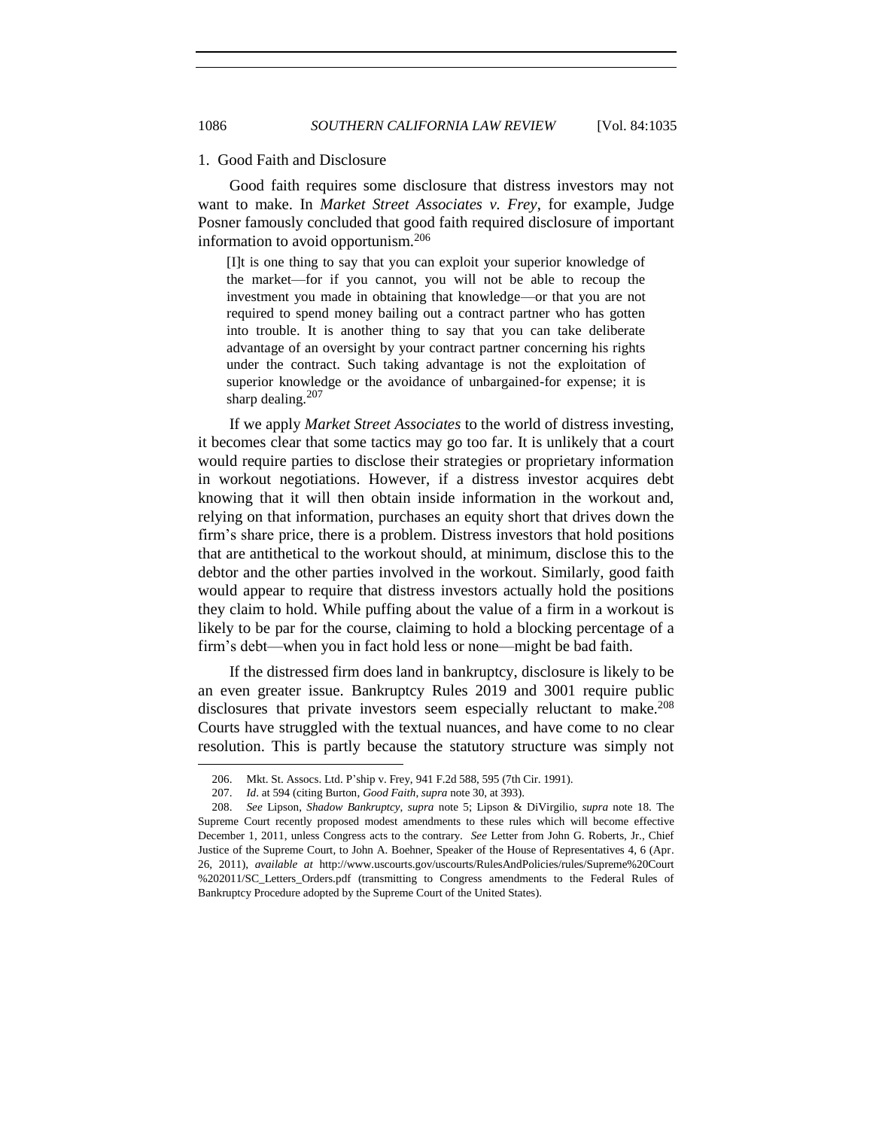#### <span id="page-51-0"></span>1. Good Faith and Disclosure

Good faith requires some disclosure that distress investors may not want to make. In *Market Street Associates v. Frey*, for example, Judge Posner famously concluded that good faith required disclosure of important information to avoid opportunism.<sup>206</sup>

[I]t is one thing to say that you can exploit your superior knowledge of the market—for if you cannot, you will not be able to recoup the investment you made in obtaining that knowledge—or that you are not required to spend money bailing out a contract partner who has gotten into trouble. It is another thing to say that you can take deliberate advantage of an oversight by your contract partner concerning his rights under the contract. Such taking advantage is not the exploitation of superior knowledge or the avoidance of unbargained-for expense; it is sharp dealing. $207$ 

If we apply *Market Street Associates* to the world of distress investing, it becomes clear that some tactics may go too far. It is unlikely that a court would require parties to disclose their strategies or proprietary information in workout negotiations. However, if a distress investor acquires debt knowing that it will then obtain inside information in the workout and, relying on that information, purchases an equity short that drives down the firm's share price, there is a problem. Distress investors that hold positions that are antithetical to the workout should, at minimum, disclose this to the debtor and the other parties involved in the workout. Similarly, good faith would appear to require that distress investors actually hold the positions they claim to hold. While puffing about the value of a firm in a workout is likely to be par for the course, claiming to hold a blocking percentage of a firm's debt—when you in fact hold less or none—might be bad faith.

If the distressed firm does land in bankruptcy, disclosure is likely to be an even greater issue. Bankruptcy Rules 2019 and 3001 require public disclosures that private investors seem especially reluctant to make.<sup>208</sup> Courts have struggled with the textual nuances, and have come to no clear resolution. This is partly because the statutory structure was simply not

<sup>206.</sup> Mkt. St. Assocs. Ltd. P'ship v. Frey, 941 F.2d 588, 595 (7th Cir. 1991).

<sup>207.</sup> *Id*. at 594 (citing Burton, *Good Faith*, *supra* not[e 30,](#page-7-1) at 393).

<sup>208.</sup> *See* Lipson, *Shadow Bankruptcy*, *supra* note [5;](#page-2-1) Lipson & DiVirgilio, *supra* note [18.](#page-5-1) The Supreme Court recently proposed modest amendments to these rules which will become effective December 1, 2011, unless Congress acts to the contrary. *See* Letter from John G. Roberts, Jr., Chief Justice of the Supreme Court, to John A. Boehner, Speaker of the House of Representatives 4, 6 (Apr. 26, 2011), *available at* http://www.uscourts.gov/uscourts/RulesAndPolicies/rules/Supreme%20Court %202011/SC\_Letters\_Orders.pdf (transmitting to Congress amendments to the Federal Rules of Bankruptcy Procedure adopted by the Supreme Court of the United States).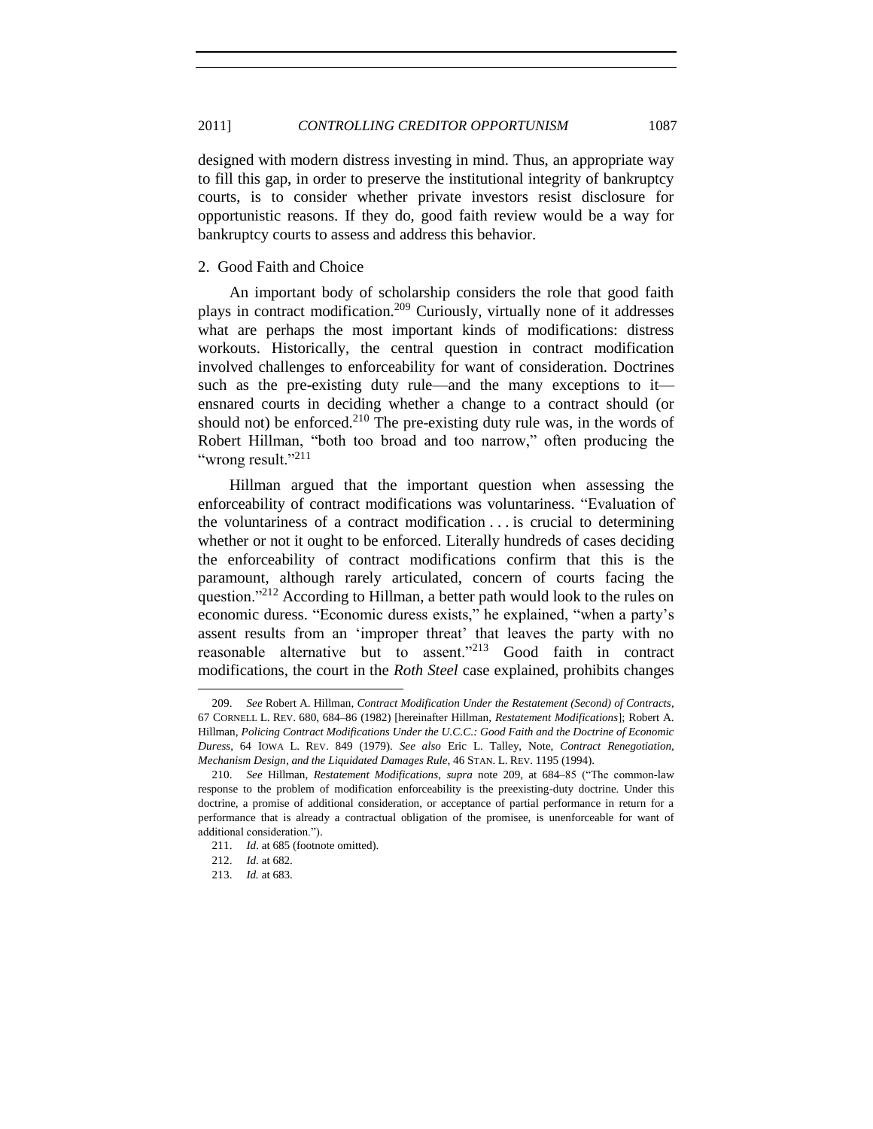designed with modern distress investing in mind. Thus, an appropriate way to fill this gap, in order to preserve the institutional integrity of bankruptcy courts, is to consider whether private investors resist disclosure for opportunistic reasons. If they do, good faith review would be a way for bankruptcy courts to assess and address this behavior.

## <span id="page-52-0"></span>2. Good Faith and Choice

<span id="page-52-1"></span>An important body of scholarship considers the role that good faith plays in contract modification.<sup>209</sup> Curiously, virtually none of it addresses what are perhaps the most important kinds of modifications: distress workouts. Historically, the central question in contract modification involved challenges to enforceability for want of consideration. Doctrines such as the pre-existing duty rule—and the many exceptions to it ensnared courts in deciding whether a change to a contract should (or should not) be enforced. $2^{10}$  The pre-existing duty rule was, in the words of Robert Hillman, "both too broad and too narrow," often producing the "wrong result." $^{211}$ 

Hillman argued that the important question when assessing the enforceability of contract modifications was voluntariness. "Evaluation of the voluntariness of a contract modification . . . is crucial to determining whether or not it ought to be enforced. Literally hundreds of cases deciding the enforceability of contract modifications confirm that this is the paramount, although rarely articulated, concern of courts facing the question.<sup>2212</sup> According to Hillman, a better path would look to the rules on economic duress. "Economic duress exists," he explained, "when a party's assent results from an 'improper threat' that leaves the party with no reasonable alternative but to assent."<sup>213</sup> Good faith in contract modifications, the court in the *Roth Steel* case explained, prohibits changes

<sup>209.</sup> *See* Robert A. Hillman, *Contract Modification Under the Restatement (Second) of Contracts*, 67 CORNELL L. REV. 680, 684–86 (1982) [hereinafter Hillman, *Restatement Modifications*]; Robert A. Hillman, *Policing Contract Modifications Under the U.C.C.: Good Faith and the Doctrine of Economic Duress*, 64 IOWA L. REV. 849 (1979). *See also* Eric L. Talley, Note, *Contract Renegotiation, Mechanism Design, and the Liquidated Damages Rule*, 46 STAN. L. REV. 1195 (1994).

<sup>210.</sup> *See* Hillman, *Restatement Modifications*, *supra* note [209,](#page-52-1) at 684–85 ("The common-law response to the problem of modification enforceability is the preexisting-duty doctrine. Under this doctrine, a promise of additional consideration, or acceptance of partial performance in return for a performance that is already a contractual obligation of the promisee, is unenforceable for want of additional consideration.").

<sup>211.</sup> *Id*. at 685 (footnote omitted).

<sup>212.</sup> *Id.* at 682.

<sup>213.</sup> *Id.* at 683.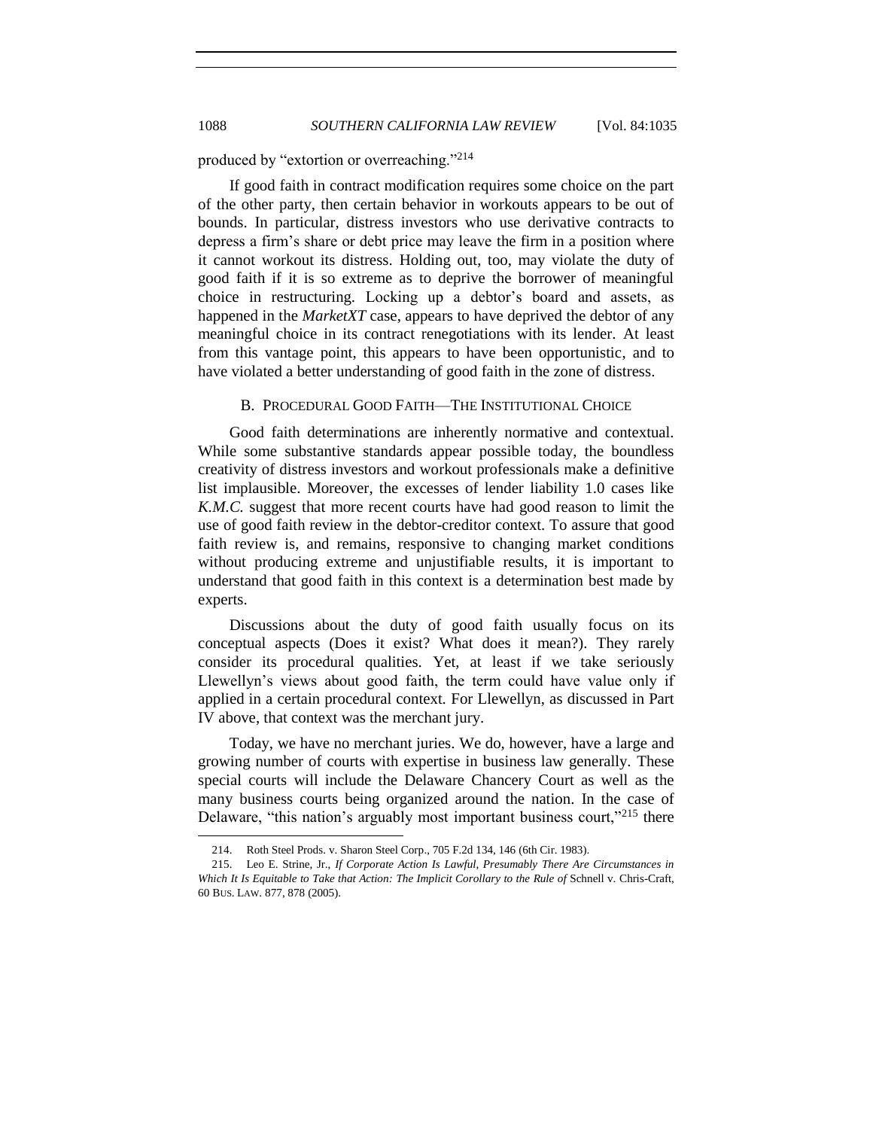produced by "extortion or overreaching."<sup>214</sup>

If good faith in contract modification requires some choice on the part of the other party, then certain behavior in workouts appears to be out of bounds. In particular, distress investors who use derivative contracts to depress a firm's share or debt price may leave the firm in a position where it cannot workout its distress. Holding out, too, may violate the duty of good faith if it is so extreme as to deprive the borrower of meaningful choice in restructuring. Locking up a debtor's board and assets, as happened in the *MarketXT* case, appears to have deprived the debtor of any meaningful choice in its contract renegotiations with its lender. At least from this vantage point, this appears to have been opportunistic, and to have violated a better understanding of good faith in the zone of distress.

## B. PROCEDURAL GOOD FAITH—THE INSTITUTIONAL CHOICE

<span id="page-53-0"></span>Good faith determinations are inherently normative and contextual. While some substantive standards appear possible today, the boundless creativity of distress investors and workout professionals make a definitive list implausible. Moreover, the excesses of lender liability 1.0 cases like *K.M.C.* suggest that more recent courts have had good reason to limit the use of good faith review in the debtor-creditor context. To assure that good faith review is, and remains, responsive to changing market conditions without producing extreme and unjustifiable results, it is important to understand that good faith in this context is a determination best made by experts.

Discussions about the duty of good faith usually focus on its conceptual aspects (Does it exist? What does it mean?). They rarely consider its procedural qualities. Yet, at least if we take seriously Llewellyn's views about good faith, the term could have value only if applied in a certain procedural context. For Llewellyn, as discussed in Part IV above, that context was the merchant jury.

Today, we have no merchant juries. We do, however, have a large and growing number of courts with expertise in business law generally. These special courts will include the Delaware Chancery Court as well as the many business courts being organized around the nation. In the case of Delaware, "this nation's arguably most important business court,  $215$  there

<sup>214.</sup> Roth Steel Prods. v. Sharon Steel Corp., 705 F.2d 134, 146 (6th Cir. 1983).

<sup>215.</sup> Leo E. Strine, Jr., *If Corporate Action Is Lawful, Presumably There Are Circumstances in Which It Is Equitable to Take that Action: The Implicit Corollary to the Rule of* Schnell v. Chris-Craft, 60 BUS. LAW. 877, 878 (2005).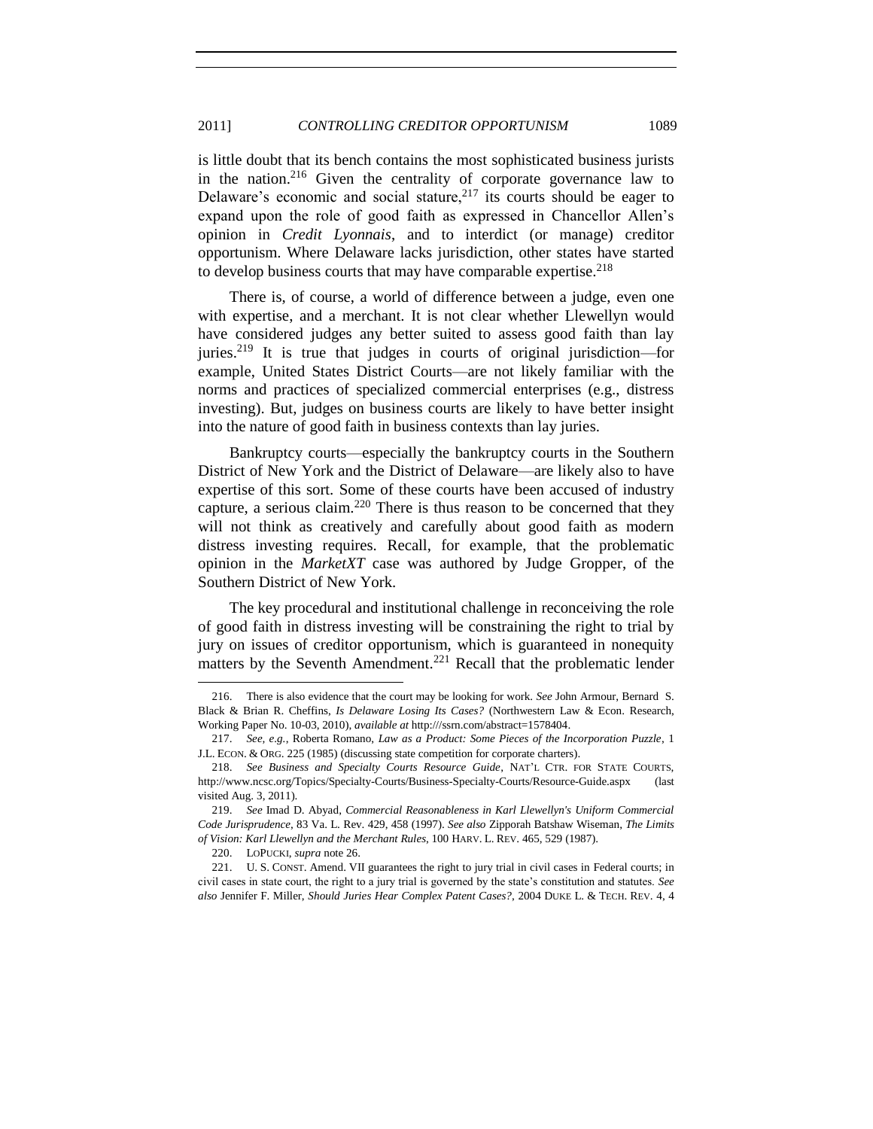#### 2011] *CONTROLLING CREDITOR OPPORTUNISM* 1089

is little doubt that its bench contains the most sophisticated business jurists in the nation.<sup>216</sup> Given the centrality of corporate governance law to Delaware's economic and social stature, $2^{17}$  its courts should be eager to expand upon the role of good faith as expressed in Chancellor Allen's opinion in *Credit Lyonnais*, and to interdict (or manage) creditor opportunism. Where Delaware lacks jurisdiction, other states have started to develop business courts that may have comparable expertise.<sup>218</sup>

There is, of course, a world of difference between a judge, even one with expertise, and a merchant. It is not clear whether Llewellyn would have considered judges any better suited to assess good faith than lay juries.<sup>219</sup> It is true that judges in courts of original jurisdiction—for example, United States District Courts—are not likely familiar with the norms and practices of specialized commercial enterprises (e.g., distress investing). But, judges on business courts are likely to have better insight into the nature of good faith in business contexts than lay juries.

Bankruptcy courts—especially the bankruptcy courts in the Southern District of New York and the District of Delaware—are likely also to have expertise of this sort. Some of these courts have been accused of industry capture, a serious claim.<sup>220</sup> There is thus reason to be concerned that they will not think as creatively and carefully about good faith as modern distress investing requires. Recall, for example, that the problematic opinion in the *MarketXT* case was authored by Judge Gropper, of the Southern District of New York.

The key procedural and institutional challenge in reconceiving the role of good faith in distress investing will be constraining the right to trial by jury on issues of creditor opportunism, which is guaranteed in nonequity matters by the Seventh Amendment.<sup>221</sup> Recall that the problematic lender

<sup>216.</sup> There is also evidence that the court may be looking for work. *See* John Armour, Bernard S. Black & Brian R. Cheffins, *Is Delaware Losing Its Cases?* (Northwestern Law & Econ. Research, Working Paper No. 10-03, 2010), *available at* http:///ssrn.com/abstract=1578404.

<sup>217.</sup> *See, e.g.*, Roberta Romano, *Law as a Product: Some Pieces of the Incorporation Puzzle*, 1 J.L. ECON. & ORG. 225 (1985) (discussing state competition for corporate charters).

<sup>218.</sup> *See Business and Specialty Courts Resource Guide*, NAT'L CTR. FOR STATE COURTS, http://www.ncsc.org/Topics/Specialty-Courts/Business-Specialty-Courts/Resource-Guide.aspx (last visited Aug. 3, 2011).

<sup>219.</sup> *See* Imad D. Abyad, *Commercial Reasonableness in Karl Llewellyn's Uniform Commercial Code Jurisprudence*, 83 Va. L. Rev. 429, 458 (1997). *See also* Zipporah Batshaw Wiseman, *The Limits of Vision: Karl Llewellyn and the Merchant Rules*, 100 HARV. L. REV. 465, 529 (1987).

<sup>220.</sup> LOPUCKI, *supra* note [26.](#page-6-0)

<sup>221.</sup> U. S. CONST. Amend. VII guarantees the right to jury trial in civil cases in Federal courts; in civil cases in state court, the right to a jury trial is governed by the state's constitution and statutes. *See also* Jennifer F. Miller, *Should Juries Hear Complex Patent Cases?*, 2004 DUKE L. & TECH. REV. 4, 4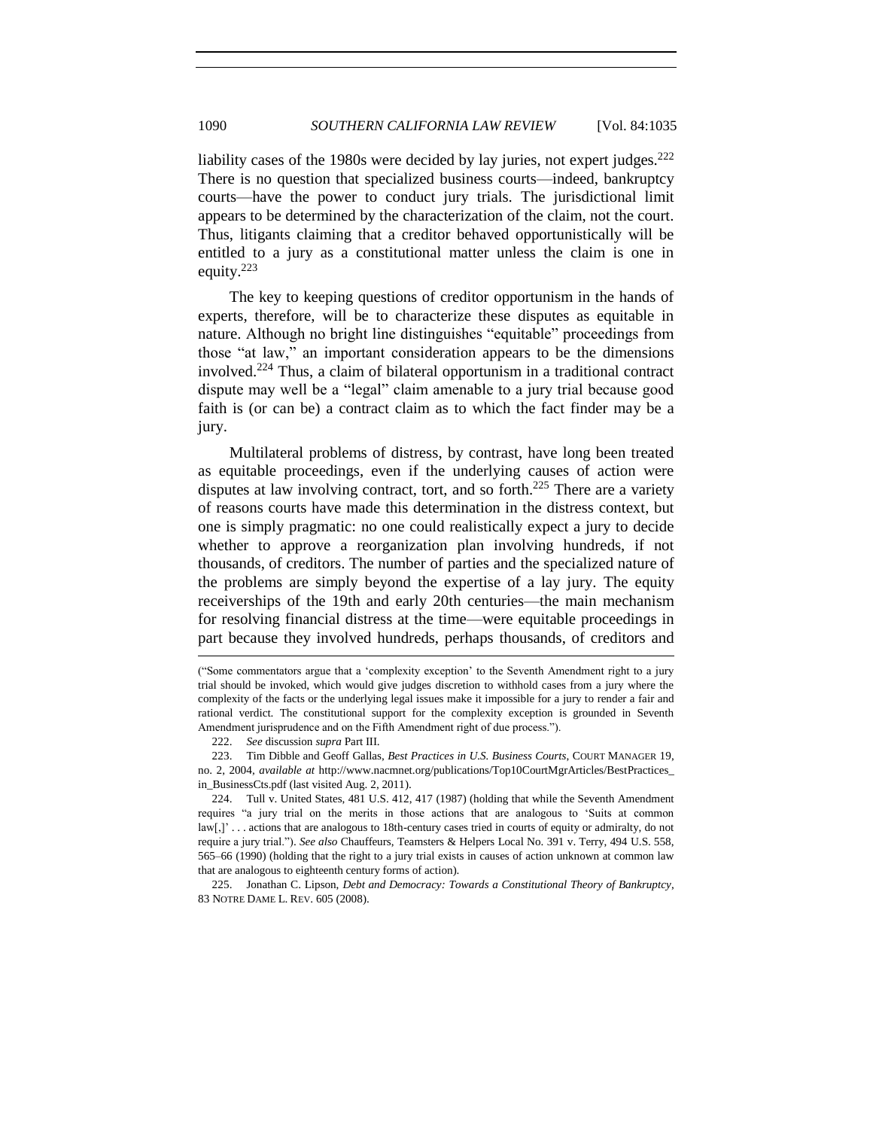liability cases of the 1980s were decided by lay juries, not expert judges.<sup>222</sup> There is no question that specialized business courts—indeed, bankruptcy courts—have the power to conduct jury trials. The jurisdictional limit appears to be determined by the characterization of the claim, not the court. Thus, litigants claiming that a creditor behaved opportunistically will be entitled to a jury as a constitutional matter unless the claim is one in equity.<sup>223</sup>

The key to keeping questions of creditor opportunism in the hands of experts, therefore, will be to characterize these disputes as equitable in nature. Although no bright line distinguishes "equitable" proceedings from those "at law," an important consideration appears to be the dimensions involved.<sup>224</sup> Thus, a claim of bilateral opportunism in a traditional contract dispute may well be a "legal" claim amenable to a jury trial because good faith is (or can be) a contract claim as to which the fact finder may be a jury.

Multilateral problems of distress, by contrast, have long been treated as equitable proceedings, even if the underlying causes of action were disputes at law involving contract, tort, and so forth.<sup>225</sup> There are a variety of reasons courts have made this determination in the distress context, but one is simply pragmatic: no one could realistically expect a jury to decide whether to approve a reorganization plan involving hundreds, if not thousands, of creditors. The number of parties and the specialized nature of the problems are simply beyond the expertise of a lay jury. The equity receiverships of the 19th and early 20th centuries—the main mechanism for resolving financial distress at the time—were equitable proceedings in part because they involved hundreds, perhaps thousands, of creditors and

<sup>(―</sup>Some commentators argue that a ‗complexity exception' to the Seventh Amendment right to a jury trial should be invoked, which would give judges discretion to withhold cases from a jury where the complexity of the facts or the underlying legal issues make it impossible for a jury to render a fair and rational verdict. The constitutional support for the complexity exception is grounded in Seventh Amendment jurisprudence and on the Fifth Amendment right of due process.").

<sup>222.</sup> *See* discussion *supra* Part III.

<sup>223.</sup> Tim Dibble and Geoff Gallas, *Best Practices in U.S. Business Courts*, COURT MANAGER 19, no. 2, 2004, *available at* http://www.nacmnet.org/publications/Top10CourtMgrArticles/BestPractices\_ in\_BusinessCts.pdf (last visited Aug. 2, 2011).

<sup>224.</sup> Tull v. United States, 481 U.S. 412, 417 (1987) (holding that while the Seventh Amendment requires "a jury trial on the merits in those actions that are analogous to 'Suits at common law[,]' . . . actions that are analogous to 18th-century cases tried in courts of equity or admiralty, do not require a jury trial.‖). *See also* Chauffeurs, Teamsters & Helpers Local No. 391 v. Terry, 494 U.S. 558, 565–66 (1990) (holding that the right to a jury trial exists in causes of action unknown at common law that are analogous to eighteenth century forms of action).

<sup>225.</sup> Jonathan C. Lipson, *Debt and Democracy: Towards a Constitutional Theory of Bankruptcy*, 83 NOTRE DAME L. REV. 605 (2008).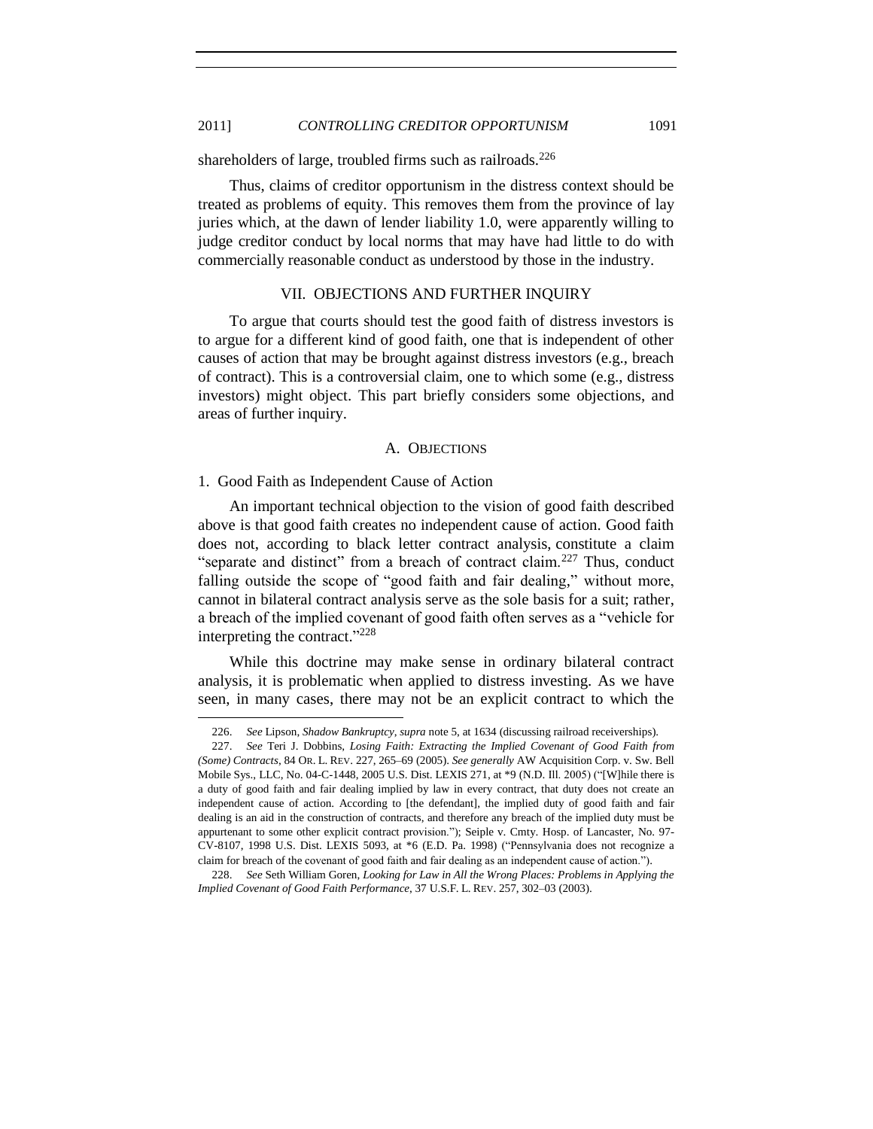## 2011] *CONTROLLING CREDITOR OPPORTUNISM* 1091

shareholders of large, troubled firms such as railroads.<sup>226</sup>

Thus, claims of creditor opportunism in the distress context should be treated as problems of equity. This removes them from the province of lay juries which, at the dawn of lender liability 1.0, were apparently willing to judge creditor conduct by local norms that may have had little to do with commercially reasonable conduct as understood by those in the industry.

## VII. OBJECTIONS AND FURTHER INQUIRY

<span id="page-56-0"></span>To argue that courts should test the good faith of distress investors is to argue for a different kind of good faith, one that is independent of other causes of action that may be brought against distress investors (e.g., breach of contract). This is a controversial claim, one to which some (e.g., distress investors) might object. This part briefly considers some objections, and areas of further inquiry.

#### A. OBJECTIONS

#### <span id="page-56-2"></span><span id="page-56-1"></span>1. Good Faith as Independent Cause of Action

l

An important technical objection to the vision of good faith described above is that good faith creates no independent cause of action. Good faith does not, according to black letter contract analysis, constitute a claim "separate and distinct" from a breach of contract claim.<sup>227</sup> Thus, conduct falling outside the scope of "good faith and fair dealing," without more, cannot in bilateral contract analysis serve as the sole basis for a suit; rather, a breach of the implied covenant of good faith often serves as a "vehicle for interpreting the contract."<sup>228</sup>

While this doctrine may make sense in ordinary bilateral contract analysis, it is problematic when applied to distress investing. As we have seen, in many cases, there may not be an explicit contract to which the

<sup>226.</sup> *See* Lipson, *Shadow Bankruptcy*, *supra* not[e 5,](#page-2-1) at 1634 (discussing railroad receiverships).

<sup>227.</sup> *See* Teri J. Dobbins, *Losing Faith: Extracting the Implied Covenant of Good Faith from (Some) Contracts*, 84 OR. L. REV. 227, 265–69 (2005). *See generally* AW Acquisition Corp. v. Sw. Bell Mobile Sys., LLC, No. 04-C-1448, 2005 U.S. Dist. LEXIS 271, at \*9 (N.D. Ill. 2005) ("[W]hile there is a duty of good faith and fair dealing implied by law in every contract, that duty does not create an independent cause of action. According to [the defendant], the implied duty of good faith and fair dealing is an aid in the construction of contracts, and therefore any breach of the implied duty must be appurtenant to some other explicit contract provision."); Seiple v. Cmty. Hosp. of Lancaster, No. 97-CV-8107, 1998 U.S. Dist. LEXIS 5093, at \*6 (E.D. Pa. 1998) ("Pennsylvania does not recognize a claim for breach of the covenant of good faith and fair dealing as an independent cause of action.").

<sup>228.</sup> *See* Seth William Goren, *Looking for Law in All the Wrong Places: Problems in Applying the Implied Covenant of Good Faith Performance*, 37 U.S.F. L. REV. 257, 302–03 (2003).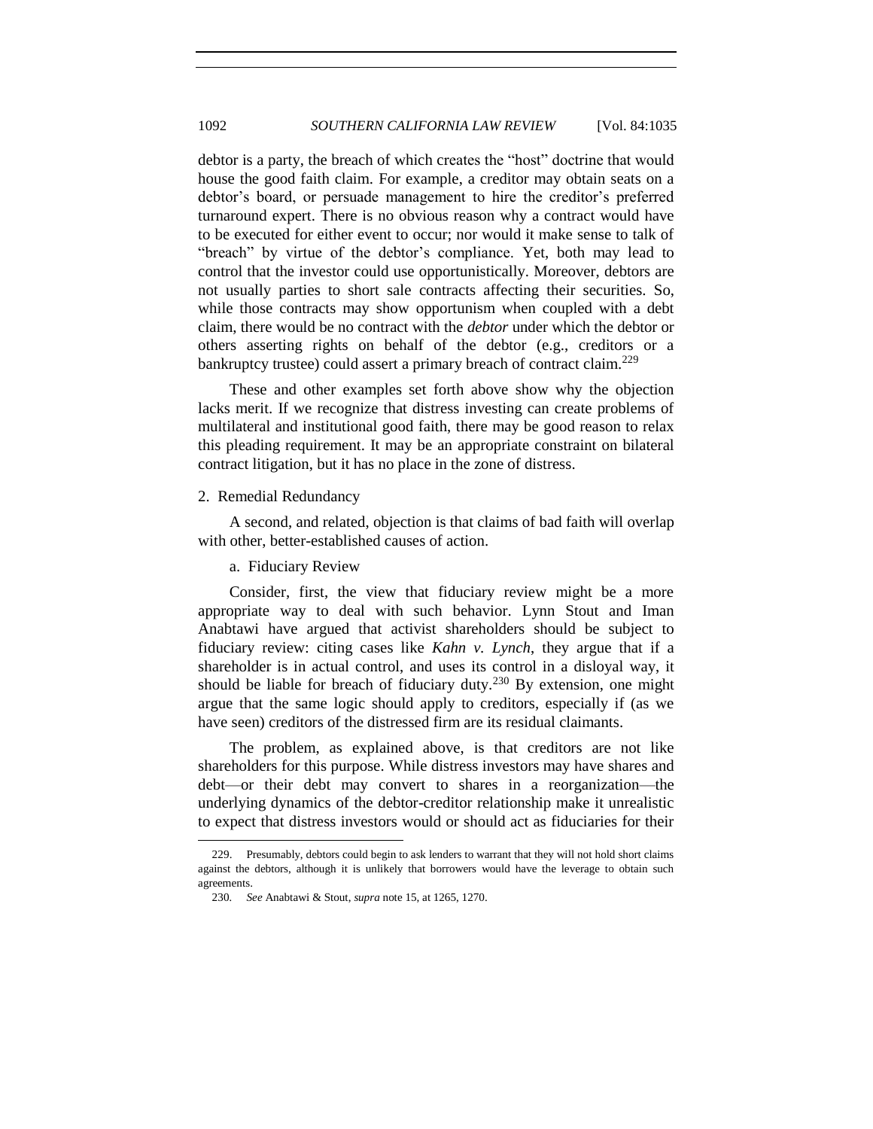debtor is a party, the breach of which creates the "host" doctrine that would house the good faith claim. For example, a creditor may obtain seats on a debtor's board, or persuade management to hire the creditor's preferred turnaround expert. There is no obvious reason why a contract would have to be executed for either event to occur; nor would it make sense to talk of "breach" by virtue of the debtor's compliance. Yet, both may lead to control that the investor could use opportunistically. Moreover, debtors are not usually parties to short sale contracts affecting their securities. So, while those contracts may show opportunism when coupled with a debt claim, there would be no contract with the *debtor* under which the debtor or others asserting rights on behalf of the debtor (e.g., creditors or a bankruptcy trustee) could assert a primary breach of contract claim.<sup>229</sup>

These and other examples set forth above show why the objection lacks merit. If we recognize that distress investing can create problems of multilateral and institutional good faith, there may be good reason to relax this pleading requirement. It may be an appropriate constraint on bilateral contract litigation, but it has no place in the zone of distress.

#### <span id="page-57-0"></span>2. Remedial Redundancy

l

<span id="page-57-1"></span>A second, and related, objection is that claims of bad faith will overlap with other, better-established causes of action.

#### a. Fiduciary Review

Consider, first, the view that fiduciary review might be a more appropriate way to deal with such behavior. Lynn Stout and Iman Anabtawi have argued that activist shareholders should be subject to fiduciary review: citing cases like *Kahn v. Lynch*, they argue that if a shareholder is in actual control, and uses its control in a disloyal way, it should be liable for breach of fiduciary duty.<sup>230</sup> By extension, one might argue that the same logic should apply to creditors, especially if (as we have seen) creditors of the distressed firm are its residual claimants.

The problem, as explained above, is that creditors are not like shareholders for this purpose. While distress investors may have shares and debt—or their debt may convert to shares in a reorganization—the underlying dynamics of the debtor-creditor relationship make it unrealistic to expect that distress investors would or should act as fiduciaries for their

<sup>229.</sup> Presumably, debtors could begin to ask lenders to warrant that they will not hold short claims against the debtors, although it is unlikely that borrowers would have the leverage to obtain such agreements.

<sup>230</sup>*. See* Anabtawi & Stout, *supra* not[e 15,](#page-4-0) at 1265, 1270.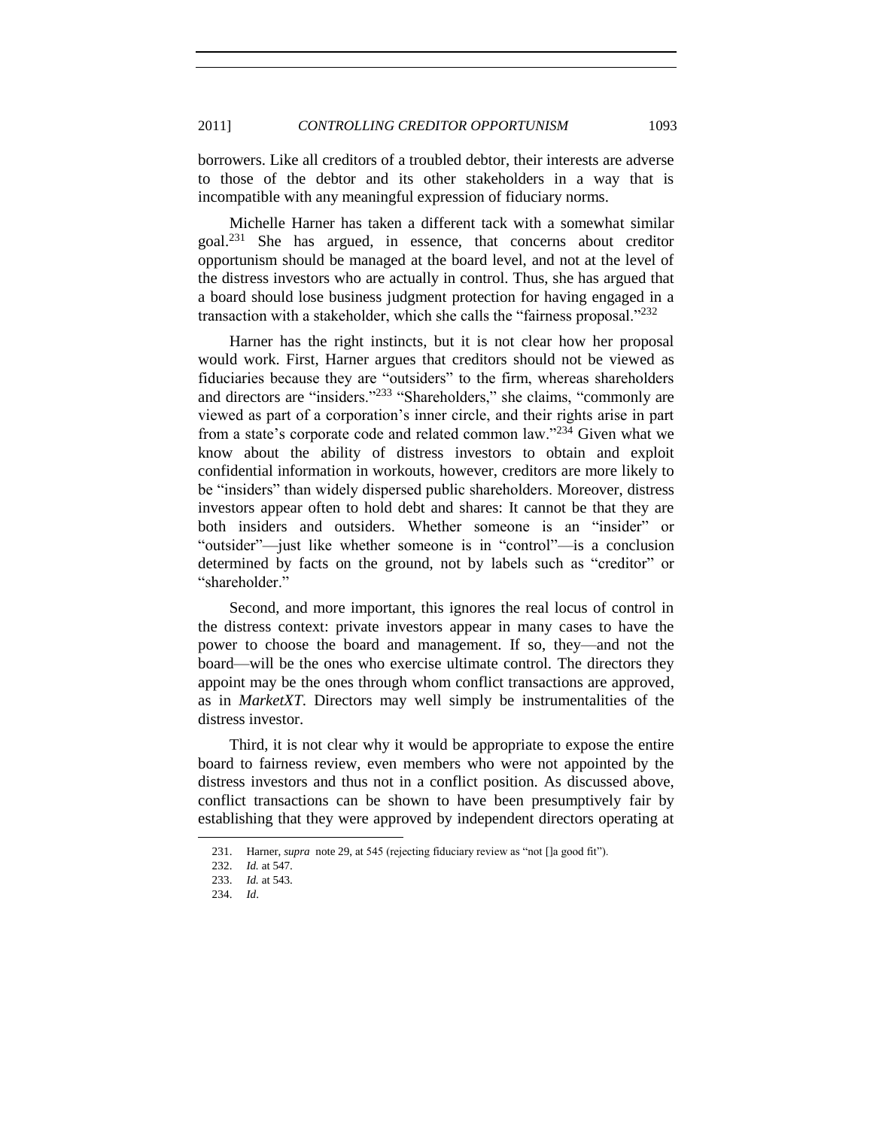borrowers. Like all creditors of a troubled debtor, their interests are adverse to those of the debtor and its other stakeholders in a way that is incompatible with any meaningful expression of fiduciary norms.

Michelle Harner has taken a different tack with a somewhat similar goal.<sup>231</sup> She has argued, in essence, that concerns about creditor opportunism should be managed at the board level, and not at the level of the distress investors who are actually in control. Thus, she has argued that a board should lose business judgment protection for having engaged in a transaction with a stakeholder, which she calls the "fairness proposal." $^{232}$ 

Harner has the right instincts, but it is not clear how her proposal would work. First, Harner argues that creditors should not be viewed as fiduciaries because they are "outsiders" to the firm, whereas shareholders and directors are "insiders."<sup>233</sup> "Shareholders," she claims, "commonly are viewed as part of a corporation's inner circle, and their rights arise in part from a state's corporate code and related common law."<sup>234</sup> Given what we know about the ability of distress investors to obtain and exploit confidential information in workouts, however, creditors are more likely to be "insiders" than widely dispersed public shareholders. Moreover, distress investors appear often to hold debt and shares: It cannot be that they are both insiders and outsiders. Whether someone is an "insider" or "outsider"—just like whether someone is in "control"—is a conclusion determined by facts on the ground, not by labels such as "creditor" or "shareholder."

Second, and more important, this ignores the real locus of control in the distress context: private investors appear in many cases to have the power to choose the board and management. If so, they—and not the board—will be the ones who exercise ultimate control. The directors they appoint may be the ones through whom conflict transactions are approved, as in *MarketXT*. Directors may well simply be instrumentalities of the distress investor.

Third, it is not clear why it would be appropriate to expose the entire board to fairness review, even members who were not appointed by the distress investors and thus not in a conflict position. As discussed above, conflict transactions can be shown to have been presumptively fair by establishing that they were approved by independent directors operating at

<sup>231.</sup> Harner, *supra* not[e 29,](#page-7-2) at 545 (rejecting fiduciary review as "not []a good fit").

<sup>232.</sup> *Id.* at 547.

<sup>233.</sup> *Id.* at 543.

<sup>234.</sup> *Id*.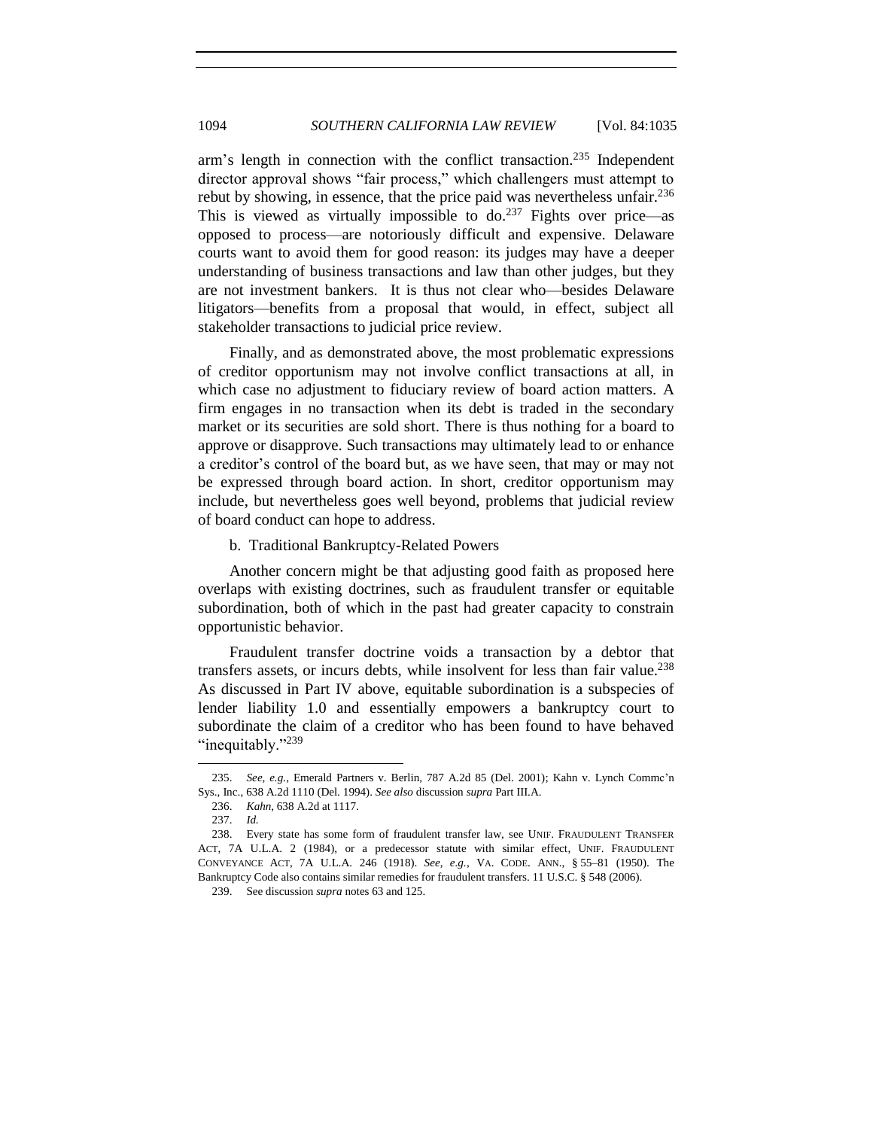arm's length in connection with the conflict transaction.<sup>235</sup> Independent director approval shows "fair process," which challengers must attempt to rebut by showing, in essence, that the price paid was nevertheless unfair.  $236$ This is viewed as virtually impossible to do.<sup>237</sup> Fights over price—as opposed to process—are notoriously difficult and expensive. Delaware courts want to avoid them for good reason: its judges may have a deeper understanding of business transactions and law than other judges, but they are not investment bankers. It is thus not clear who—besides Delaware litigators—benefits from a proposal that would, in effect, subject all stakeholder transactions to judicial price review.

Finally, and as demonstrated above, the most problematic expressions of creditor opportunism may not involve conflict transactions at all, in which case no adjustment to fiduciary review of board action matters. A firm engages in no transaction when its debt is traded in the secondary market or its securities are sold short. There is thus nothing for a board to approve or disapprove. Such transactions may ultimately lead to or enhance a creditor's control of the board but, as we have seen, that may or may not be expressed through board action. In short, creditor opportunism may include, but nevertheless goes well beyond, problems that judicial review of board conduct can hope to address.

#### b. Traditional Bankruptcy-Related Powers

<span id="page-59-0"></span>Another concern might be that adjusting good faith as proposed here overlaps with existing doctrines, such as fraudulent transfer or equitable subordination, both of which in the past had greater capacity to constrain opportunistic behavior.

Fraudulent transfer doctrine voids a transaction by a debtor that transfers assets, or incurs debts, while insolvent for less than fair value.<sup>238</sup> As discussed in Part IV above, equitable subordination is a subspecies of lender liability 1.0 and essentially empowers a bankruptcy court to subordinate the claim of a creditor who has been found to have behaved "inequitably."239

<sup>235.</sup> *See, e.g.*, Emerald Partners v. Berlin, 787 A.2d 85 (Del. 2001); Kahn v. Lynch Commc'n Sys., Inc., 638 A.2d 1110 (Del. 1994). *See also* discussion *supra* Part III.A.

<sup>236.</sup> *Kahn*, 638 A.2d at 1117.

<sup>237.</sup> *Id.*

<sup>238.</sup> Every state has some form of fraudulent transfer law, see UNIF. FRAUDULENT TRANSFER ACT, 7A U.L.A. 2 (1984), or a predecessor statute with similar effect, UNIF. FRAUDULENT CONVEYANCE ACT, 7A U.L.A. 246 (1918). *See, e.g.*, VA. CODE. ANN., § 55–81 (1950). The Bankruptcy Code also contains similar remedies for fraudulent transfers. 11 U.S.C. § 548 (2006).

<sup>239.</sup> See discussion *supra* notes 63 and 125.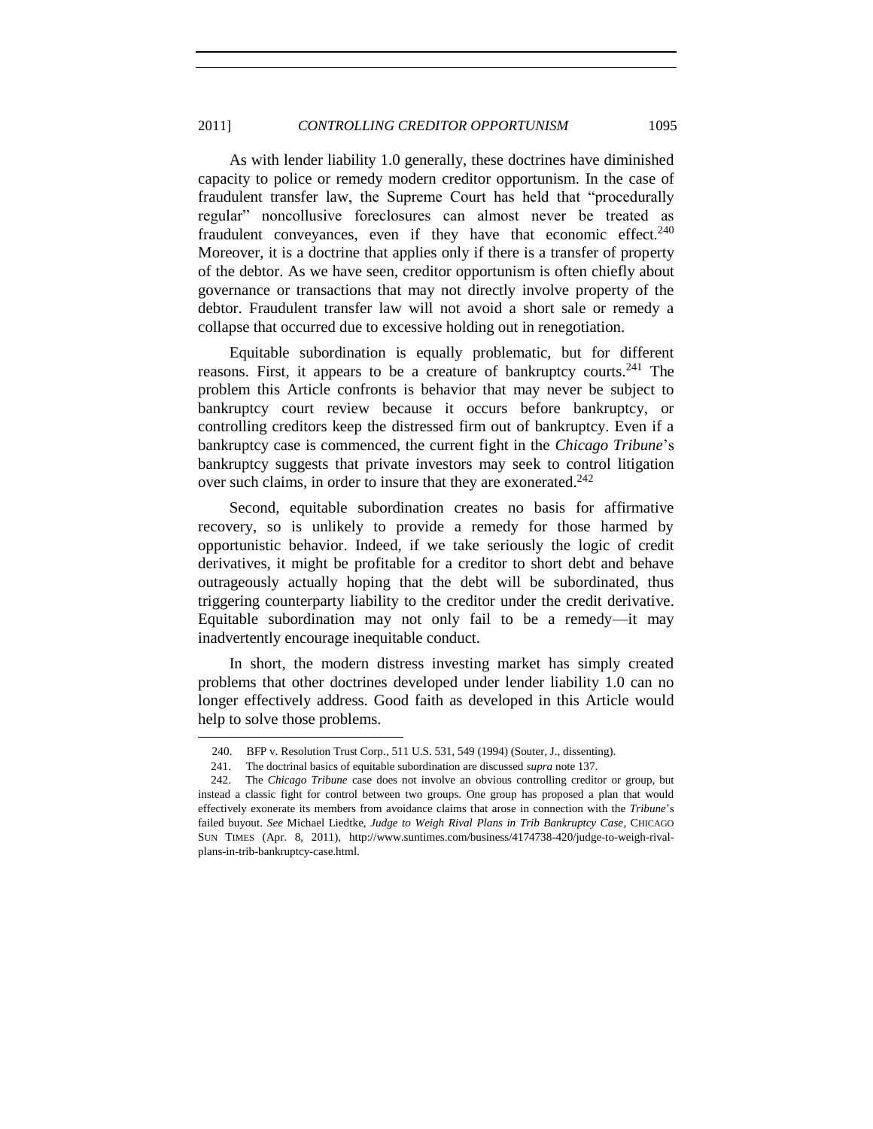#### 2011] *CONTROLLING CREDITOR OPPORTUNISM* 1095

As with lender liability 1.0 generally, these doctrines have diminished capacity to police or remedy modern creditor opportunism. In the case of fraudulent transfer law, the Supreme Court has held that "procedurally regular" noncollusive foreclosures can almost never be treated as fraudulent conveyances, even if they have that economic effect. $240$ Moreover, it is a doctrine that applies only if there is a transfer of property of the debtor. As we have seen, creditor opportunism is often chiefly about governance or transactions that may not directly involve property of the debtor. Fraudulent transfer law will not avoid a short sale or remedy a collapse that occurred due to excessive holding out in renegotiation.

Equitable subordination is equally problematic, but for different reasons. First, it appears to be a creature of bankruptcy courts.<sup>241</sup> The problem this Article confronts is behavior that may never be subject to bankruptcy court review because it occurs before bankruptcy, or controlling creditors keep the distressed firm out of bankruptcy. Even if a bankruptcy case is commenced, the current fight in the *Chicago Tribune*'s bankruptcy suggests that private investors may seek to control litigation over such claims, in order to insure that they are exonerated.<sup>242</sup>

Second, equitable subordination creates no basis for affirmative recovery, so is unlikely to provide a remedy for those harmed by opportunistic behavior. Indeed, if we take seriously the logic of credit derivatives, it might be profitable for a creditor to short debt and behave outrageously actually hoping that the debt will be subordinated, thus triggering counterparty liability to the creditor under the credit derivative. Equitable subordination may not only fail to be a remedy—it may inadvertently encourage inequitable conduct.

In short, the modern distress investing market has simply created problems that other doctrines developed under lender liability 1.0 can no longer effectively address. Good faith as developed in this Article would help to solve those problems.

<sup>240.</sup> BFP v. Resolution Trust Corp., 511 U.S. 531, 549 (1994) (Souter, J., dissenting).

<sup>241.</sup> The doctrinal basics of equitable subordination are discussed *supra* note 137.

<sup>242.</sup> The *Chicago Tribune* case does not involve an obvious controlling creditor or group, but instead a classic fight for control between two groups. One group has proposed a plan that would effectively exonerate its members from avoidance claims that arose in connection with the *Tribune*'s failed buyout. *See* Michael Liedtke, *Judge to Weigh Rival Plans in Trib Bankruptcy Case*, CHICAGO SUN TIMES (Apr. 8, 2011), http://www.suntimes.com/business/4174738-420/judge-to-weigh-rivalplans-in-trib-bankruptcy-case.html.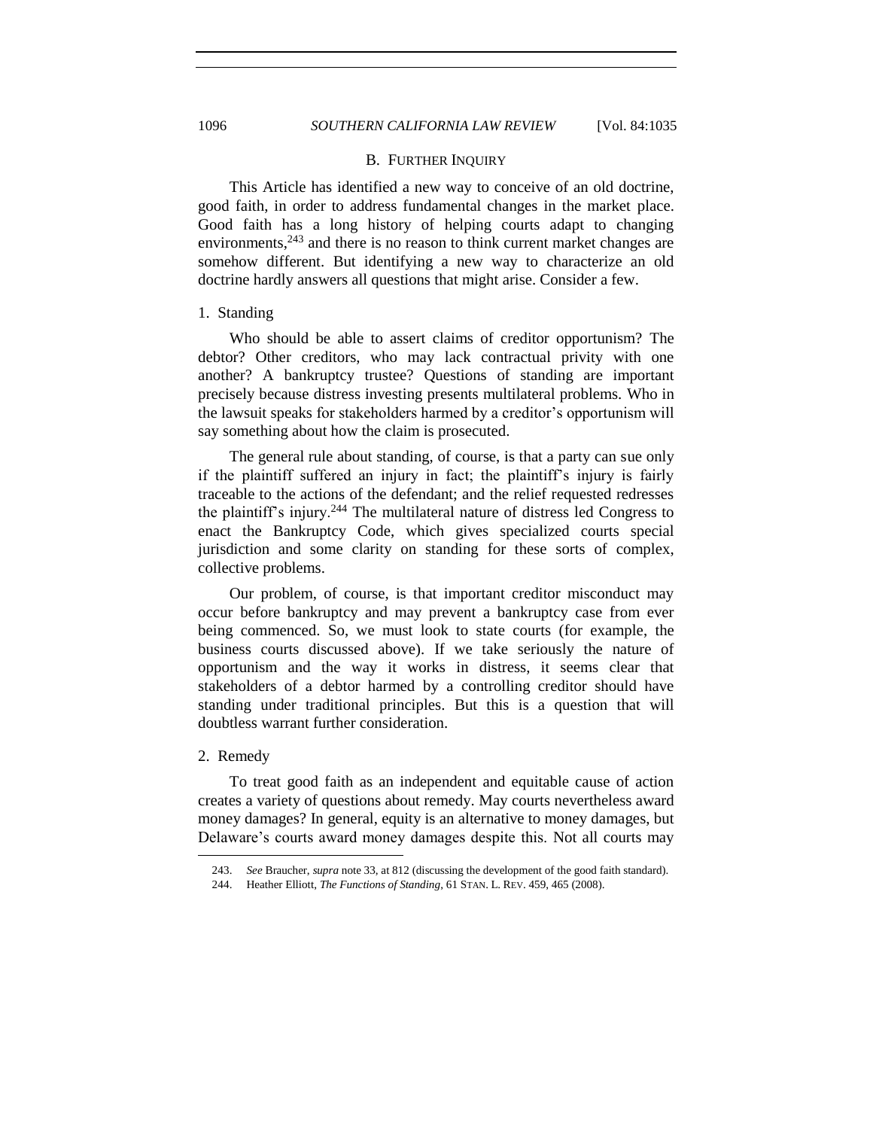#### B. FURTHER INQUIRY

This Article has identified a new way to conceive of an old doctrine, good faith, in order to address fundamental changes in the market place. Good faith has a long history of helping courts adapt to changing environments,  $243$  and there is no reason to think current market changes are somehow different. But identifying a new way to characterize an old doctrine hardly answers all questions that might arise. Consider a few.

#### <span id="page-61-1"></span>1. Standing

Who should be able to assert claims of creditor opportunism? The debtor? Other creditors, who may lack contractual privity with one another? A bankruptcy trustee? Questions of standing are important precisely because distress investing presents multilateral problems. Who in the lawsuit speaks for stakeholders harmed by a creditor's opportunism will say something about how the claim is prosecuted.

The general rule about standing, of course, is that a party can sue only if the plaintiff suffered an injury in fact; the plaintiff's injury is fairly traceable to the actions of the defendant; and the relief requested redresses the plaintiff's injury.<sup>244</sup> The multilateral nature of distress led Congress to enact the Bankruptcy Code, which gives specialized courts special jurisdiction and some clarity on standing for these sorts of complex, collective problems.

Our problem, of course, is that important creditor misconduct may occur before bankruptcy and may prevent a bankruptcy case from ever being commenced. So, we must look to state courts (for example, the business courts discussed above). If we take seriously the nature of opportunism and the way it works in distress, it seems clear that stakeholders of a debtor harmed by a controlling creditor should have standing under traditional principles. But this is a question that will doubtless warrant further consideration.

#### <span id="page-61-2"></span>2. Remedy

l

To treat good faith as an independent and equitable cause of action creates a variety of questions about remedy. May courts nevertheless award money damages? In general, equity is an alternative to money damages, but Delaware's courts award money damages despite this. Not all courts may

<span id="page-61-0"></span>

<sup>243.</sup> *See* Braucher, *supra* not[e 33,](#page-8-2) at 812 (discussing the development of the good faith standard).

<sup>244.</sup> Heather Elliott, *The Functions of Standing*, 61 STAN. L. REV. 459, 465 (2008).